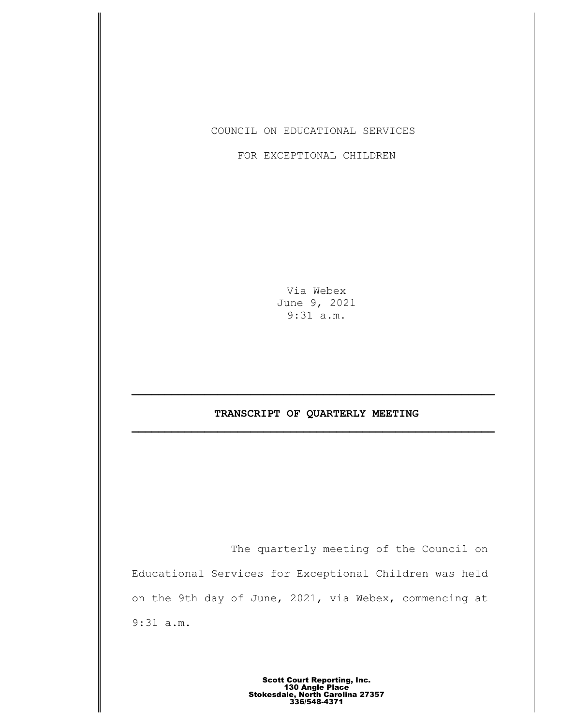## COUNCIL ON EDUCATIONAL SERVICES

## FOR EXCEPTIONAL CHILDREN

Via Webex June 9, 2021 9:31 a.m.

# **TRANSCRIPT OF QUARTERLY MEETING \_\_\_\_\_\_\_\_\_\_\_\_\_\_\_\_\_\_\_\_\_\_\_\_\_\_\_\_\_\_\_\_\_\_\_\_\_\_\_\_\_\_\_\_\_\_\_\_\_\_\_\_\_\_\_**

The quarterly meeting of the Council on Educational Services for Exceptional Children was held on the 9th day of June, 2021, via Webex, commencing at 9:31 a.m.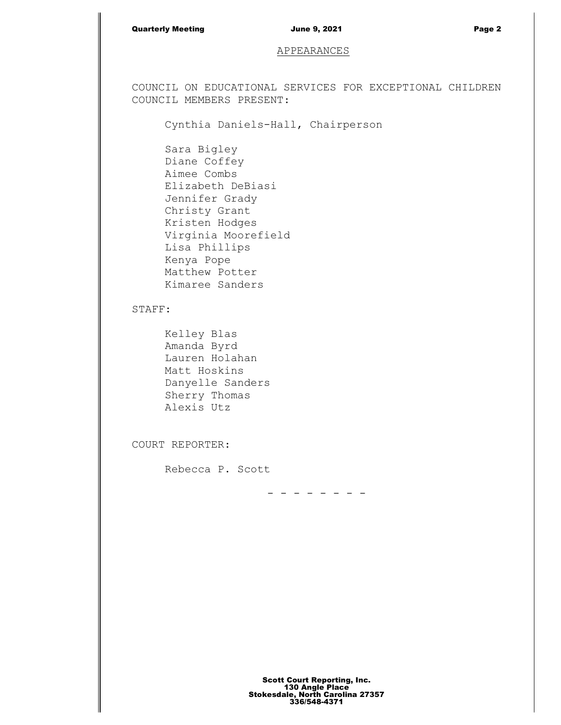#### Quarterly Meeting **Contract Contract Contract Contract Contract Contract Contract Contract Contract Contract Contract Page 2**

### APPEARANCES

COUNCIL ON EDUCATIONAL SERVICES FOR EXCEPTIONAL CHILDREN COUNCIL MEMBERS PRESENT:

Cynthia Daniels-Hall, Chairperson

Sara Bigley Diane Coffey Aimee Combs Elizabeth DeBiasi Jennifer Grady Christy Grant Kristen Hodges Virginia Moorefield Lisa Phillips Kenya Pope Matthew Potter Kimaree Sanders

## STAFF:

Kelley Blas Amanda Byrd Lauren Holahan Matt Hoskins Danyelle Sanders Sherry Thomas Alexis Utz

COURT REPORTER:

Rebecca P. Scott

- - - - - - - -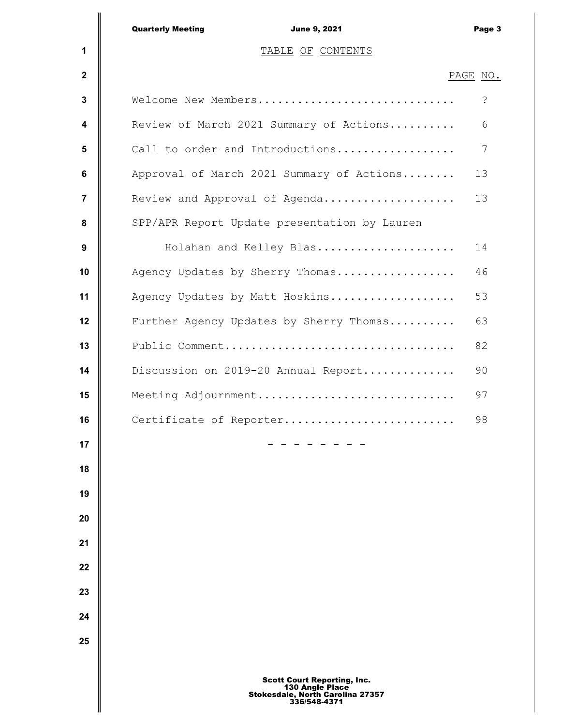|                 | <b>Quarterly Meeting</b><br><b>June 9, 2021</b> | Page 3   |
|-----------------|-------------------------------------------------|----------|
| 1               | TABLE OF CONTENTS                               |          |
| $\mathbf{2}$    |                                                 | PAGE NO. |
| 3               | Welcome New Members                             | S.       |
| 4               | Review of March 2021 Summary of Actions         | 6        |
| $5\phantom{.0}$ | Call to order and Introductions                 | 7        |
| 6               | Approval of March 2021 Summary of Actions       | 13       |
| $\overline{7}$  | Review and Approval of Agenda                   | 13       |
| 8               | SPP/APR Report Update presentation by Lauren    |          |
| 9               | Holahan and Kelley Blas                         | 14       |
| 10              | Agency Updates by Sherry Thomas                 | 46       |
| 11              | Agency Updates by Matt Hoskins                  | 53       |
| 12              | Further Agency Updates by Sherry Thomas         | 63       |
| 13              | Public Comment                                  | 82       |
| 14              | Discussion on 2019-20 Annual Report             | 90       |
| 15              | Meeting Adjournment                             | 97       |
| 16              | Cartificate of Reporter                         | 98       |
| 17              |                                                 |          |
| 18              |                                                 |          |
| 19              |                                                 |          |
| 20              |                                                 |          |
| 21              |                                                 |          |
| 22              |                                                 |          |
| 23              |                                                 |          |
| 24              |                                                 |          |
| 25              |                                                 |          |
|                 |                                                 |          |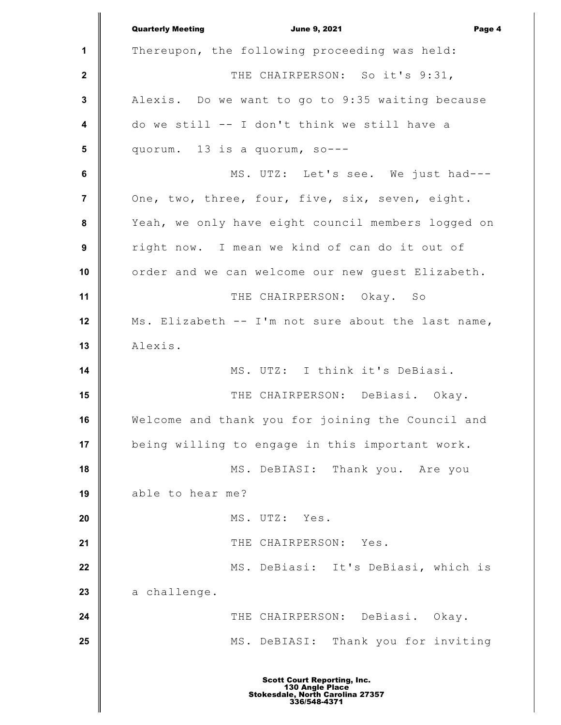**1 2 3 4 5 6 7 8 9 10 11 12 13 14 15 16 17 18 19 20 21 22 23 24 25** Quarterly Meeting **Communist Communist Communist Communist Communist Communist Communist Communist Communist Communist Communist Communist Communist Communist Communist Communist Communist Communist Communist Communist Com** Thereupon, the following proceeding was held: THE CHAIRPERSON: So it's 9:31, Alexis. Do we want to go to 9:35 waiting because do we still -- I don't think we still have a quorum. 13 is a quorum, so--- MS. UTZ: Let's see. We just had--- One, two, three, four, five, six, seven, eight. Yeah, we only have eight council members logged on right now. I mean we kind of can do it out of order and we can welcome our new guest Elizabeth. THE CHAIRPERSON: Okay. So Ms. Elizabeth -- I'm not sure about the last name, Alexis. MS. UTZ: I think it's DeBiasi. THE CHAIRPERSON: DeBiasi. Okay. Welcome and thank you for joining the Council and being willing to engage in this important work. MS. DeBIASI: Thank you. Are you able to hear me? MS. UTZ: Yes. THE CHAIRPERSON: Yes. MS. DeBiasi: It's DeBiasi, which is a challenge. THE CHAIRPERSON: DeBiasi. Okay. MS. DeBIASI: Thank you for inviting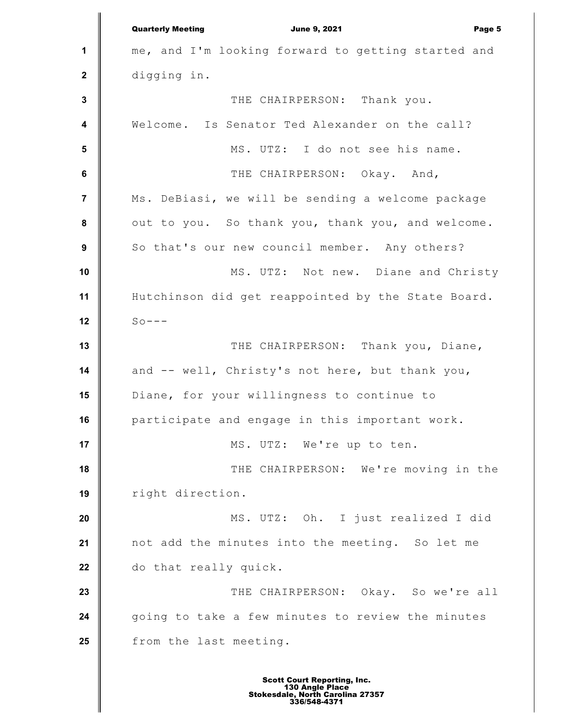**1 2 3 4 5 6 7 8 9 10 11 12 13 14 15 16 17 18 19 20 21 22 23 24 25** Quarterly Meeting **Communist Communist Communist Communist Communist Communist Communist Communist Communist Communist Communist Communist Communist Communist Communist Communist Communist Communist Communist Communist Com** me, and I'm looking forward to getting started and digging in. THE CHAIRPERSON: Thank you. Welcome. Is Senator Ted Alexander on the call? MS. UTZ: I do not see his name. THE CHAIRPERSON: Okay. And, Ms. DeBiasi, we will be sending a welcome package out to you. So thank you, thank you, and welcome. So that's our new council member. Any others? MS. UTZ: Not new. Diane and Christy Hutchinson did get reappointed by the State Board.  $S_0$ ---THE CHAIRPERSON: Thank you, Diane, and -- well, Christy's not here, but thank you, Diane, for your willingness to continue to participate and engage in this important work. MS. UTZ: We're up to ten. THE CHAIRPERSON: We're moving in the right direction. MS. UTZ: Oh. I just realized I did not add the minutes into the meeting. So let me do that really quick. THE CHAIRPERSON: Okay. So we're all going to take a few minutes to review the minutes from the last meeting.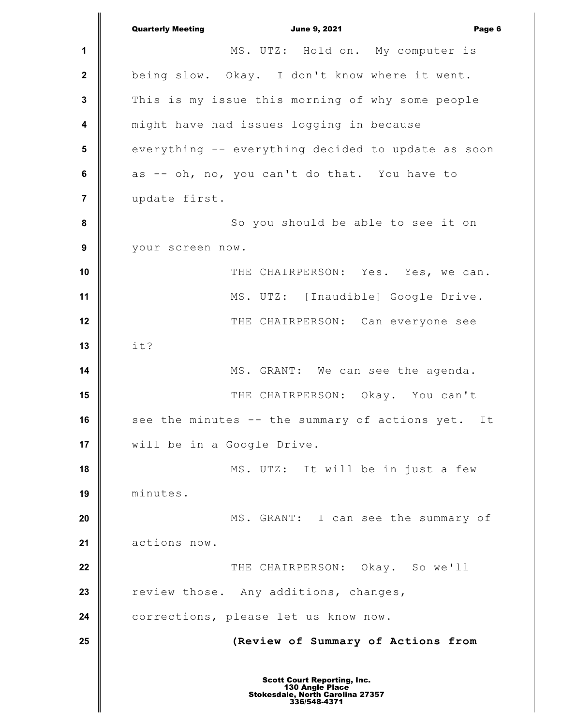**1 2 3 4 5 6 7 8 9 10 11 12 13 14 15 16 17 18 19 20 21 22 23 24 25** Quarterly Meeting **Communist Communist Communist Communist Communist Communist Communist Communist Communist Communist Communist Communist Communist Communist Communist Communist Communist Communist Communist Communist Com** MS. UTZ: Hold on. My computer is being slow. Okay. I don't know where it went. This is my issue this morning of why some people might have had issues logging in because everything -- everything decided to update as soon as -- oh, no, you can't do that. You have to update first. So you should be able to see it on your screen now. THE CHAIRPERSON: Yes. Yes, we can. MS. UTZ: [Inaudible] Google Drive. THE CHAIRPERSON: Can everyone see it? MS. GRANT: We can see the agenda. THE CHAIRPERSON: Okay. You can't see the minutes -- the summary of actions yet. It will be in a Google Drive. MS. UTZ: It will be in just a few minutes. MS. GRANT: I can see the summary of actions now. THE CHAIRPERSON: Okay. So we'll review those. Any additions, changes, corrections, please let us know now. **(Review of Summary of Actions from** Scott Court Reporting, Inc. 130 Angle Place Stokesdale, North Carolina 27357 336/548-4371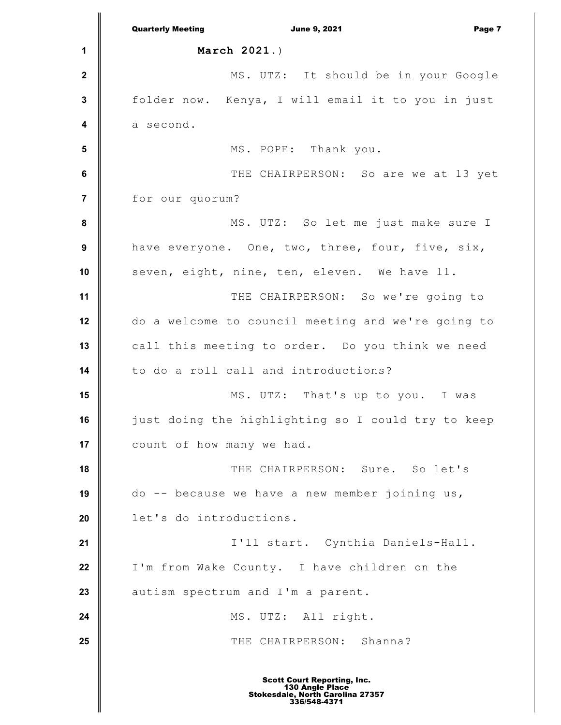**1 2 3 4 5 6 7 8 9 10 11 12 13 14 15 16 17 18 19 20 21 22 23 24 25** Quarterly Meeting **Communist Communist Communist Communist Communist Communist Communist Communist Communist Communist Communist Communist Communist Communist Communist Communist Communist Communist Communist Communist Com March 2021.**) MS. UTZ: It should be in your Google folder now. Kenya, I will email it to you in just a second. MS. POPE: Thank you. THE CHAIRPERSON: So are we at 13 yet for our quorum? MS. UTZ: So let me just make sure I have everyone. One, two, three, four, five, six, seven, eight, nine, ten, eleven. We have 11. THE CHAIRPERSON: So we're going to do a welcome to council meeting and we're going to call this meeting to order. Do you think we need to do a roll call and introductions? MS. UTZ: That's up to you. I was just doing the highlighting so I could try to keep count of how many we had. THE CHAIRPERSON: Sure. So let's do -- because we have a new member joining us, let's do introductions. I'll start. Cynthia Daniels-Hall. I'm from Wake County. I have children on the autism spectrum and I'm a parent. MS. UTZ: All right. THE CHAIRPERSON: Shanna?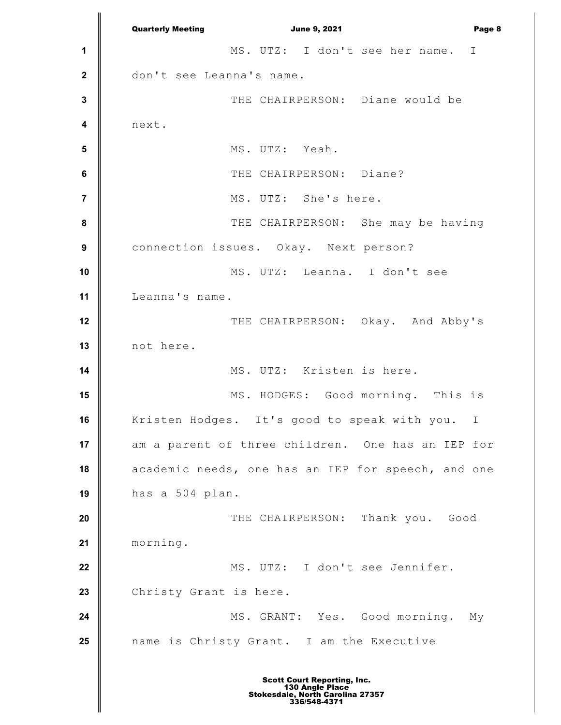**1 2 3 4 5 6 7 8 9 10 11 12 13 14 15 16 17 18 19 20 21 22 23 24 25** Quarterly Meeting **Communist Communist Communist Communist Communist Communist Communist Communist Communist Communist Communist Communist Communist Communist Communist Communist Communist Communist Communist Communist Com** MS. UTZ: I don't see her name. I don't see Leanna's name. THE CHAIRPERSON: Diane would be next. MS. UTZ: Yeah. THE CHAIRPERSON: Diane? MS. UTZ: She's here. THE CHAIRPERSON: She may be having connection issues. Okay. Next person? MS. UTZ: Leanna. I don't see Leanna's name. THE CHAIRPERSON: Okay. And Abby's not here. MS. UTZ: Kristen is here. MS. HODGES: Good morning. This is Kristen Hodges. It's good to speak with you. I am a parent of three children. One has an IEP for academic needs, one has an IEP for speech, and one has a 504 plan. THE CHAIRPERSON: Thank you. Good morning. MS. UTZ: I don't see Jennifer. Christy Grant is here. MS. GRANT: Yes. Good morning. My name is Christy Grant. I am the Executive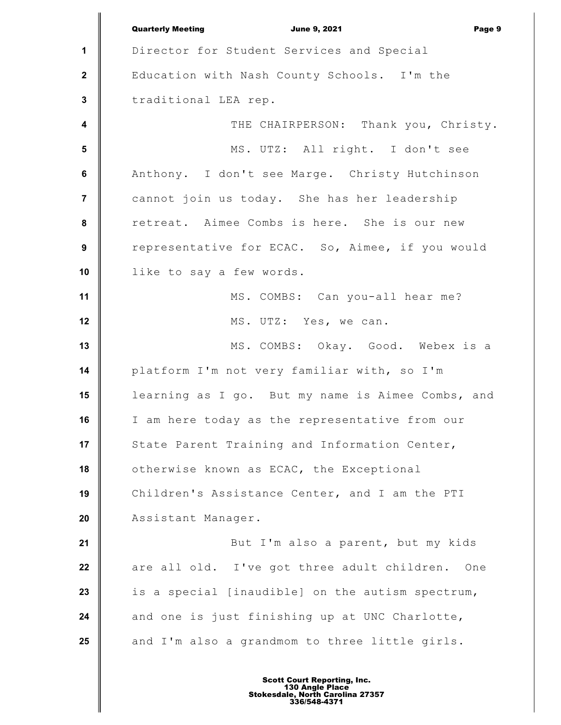**1 2 3 4 5 6 7 8 9 10 11 12 13 14 15 16 17 18 19 20 21 22 23 24 25** Quarterly Meeting **Communist Communist Communist Communist Communist Communist Communist Communist Communist Communist Communist Communist Communist Communist Communist Communist Communist Communist Communist Communist Com** Director for Student Services and Special Education with Nash County Schools. I'm the traditional LEA rep. THE CHAIRPERSON: Thank you, Christy. MS. UTZ: All right. I don't see Anthony. I don't see Marge. Christy Hutchinson cannot join us today. She has her leadership retreat. Aimee Combs is here. She is our new representative for ECAC. So, Aimee, if you would like to say a few words. MS. COMBS: Can you-all hear me? MS. UTZ: Yes, we can. MS. COMBS: Okay. Good. Webex is a platform I'm not very familiar with, so I'm learning as I go. But my name is Aimee Combs, and I am here today as the representative from our State Parent Training and Information Center, otherwise known as ECAC, the Exceptional Children's Assistance Center, and I am the PTI Assistant Manager. But I'm also a parent, but my kids are all old. I've got three adult children. One is a special [inaudible] on the autism spectrum, and one is just finishing up at UNC Charlotte, and I'm also a grandmom to three little girls.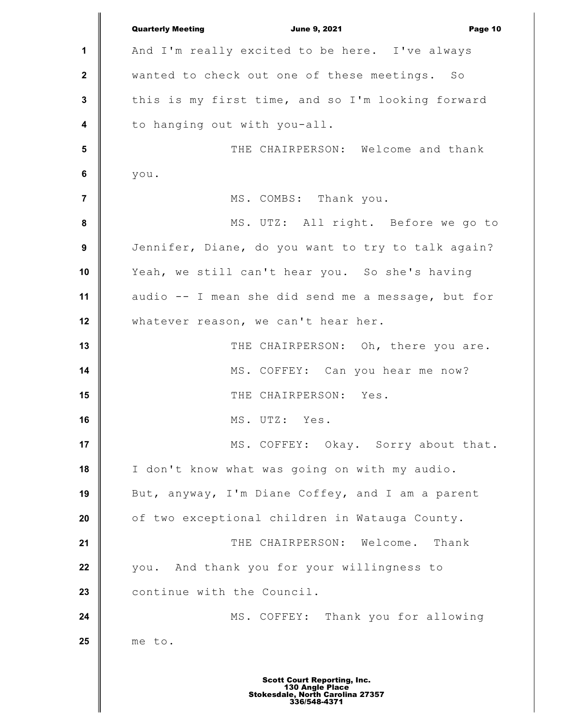**1 2 3 4 5 6 7 8 9 10 11 12 13 14 15 16 17 18 19 20 21 22 23 24 25** Quarterly Meeting **Communist Communist Communist Communist Communist Communist Communist Communist Communist Communist Communist Communist Communist Communist Communist Communist Communist Communist Communist Communist Com** And I'm really excited to be here. I've always wanted to check out one of these meetings. So this is my first time, and so I'm looking forward to hanging out with you-all. THE CHAIRPERSON: Welcome and thank you. MS. COMBS: Thank you. MS. UTZ: All right. Before we go to Jennifer, Diane, do you want to try to talk again? Yeah, we still can't hear you. So she's having audio -- I mean she did send me a message, but for whatever reason, we can't hear her. THE CHAIRPERSON: Oh, there you are. MS. COFFEY: Can you hear me now? THE CHAIRPERSON: Yes. MS. UTZ: Yes. MS. COFFEY: Okay. Sorry about that. I don't know what was going on with my audio. But, anyway, I'm Diane Coffey, and I am a parent of two exceptional children in Watauga County. THE CHAIRPERSON: Welcome. Thank you. And thank you for your willingness to continue with the Council. MS. COFFEY: Thank you for allowing me to.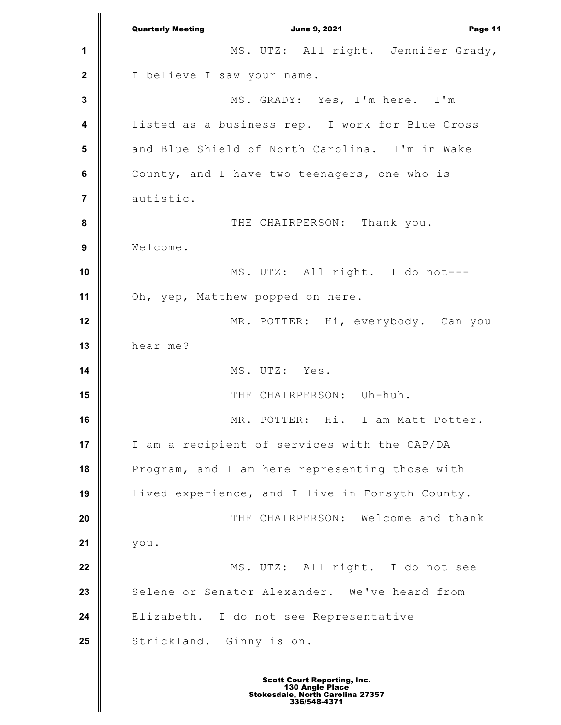**1 2 3 4 5 6 7 8 9 10 11 12 13 14 15 16 17 18 19 20 21 22 23 24 25** Quarterly Meeting **Communist Communist Communist Communist Communist Communist Communist Communist Communist Communist Communist Communist Page 11** MS. UTZ: All right. Jennifer Grady, I believe I saw your name. MS. GRADY: Yes, I'm here. I'm listed as a business rep. I work for Blue Cross and Blue Shield of North Carolina. I'm in Wake County, and I have two teenagers, one who is autistic. THE CHAIRPERSON: Thank you. Welcome. MS. UTZ: All right. I do not--- Oh, yep, Matthew popped on here. MR. POTTER: Hi, everybody. Can you hear me? MS. UTZ: Yes. THE CHAIRPERSON: Uh-huh. MR. POTTER: Hi. I am Matt Potter. I am a recipient of services with the CAP/DA Program, and I am here representing those with lived experience, and I live in Forsyth County. THE CHAIRPERSON: Welcome and thank you. MS. UTZ: All right. I do not see Selene or Senator Alexander. We've heard from Elizabeth. I do not see Representative Strickland. Ginny is on.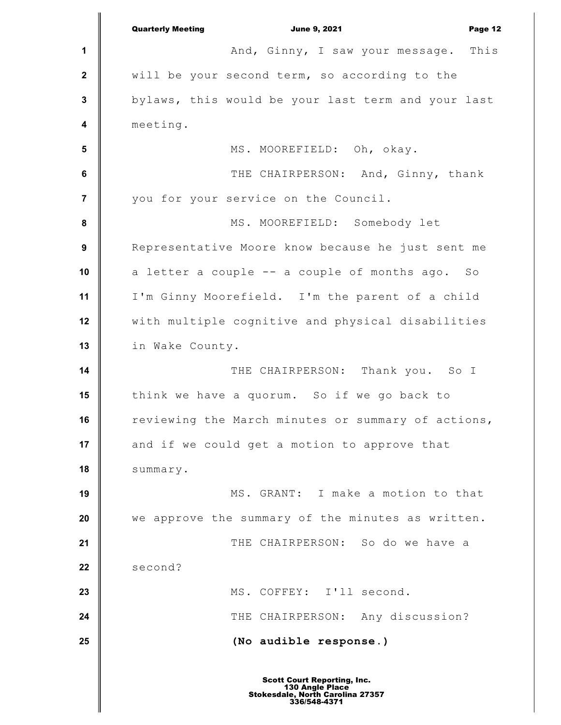|                         | <b>Quarterly Meeting</b><br><b>June 9, 2021</b><br>Page 12 |
|-------------------------|------------------------------------------------------------|
| 1                       | And, Ginny, I saw your message. This                       |
| $\mathbf{2}$            | will be your second term, so according to the              |
| $\mathbf 3$             | bylaws, this would be your last term and your last         |
| $\overline{\mathbf{4}}$ | meeting.                                                   |
| $5\phantom{.0}$         | MS. MOOREFIELD: Oh, okay.                                  |
| $\bf 6$                 | THE CHAIRPERSON: And, Ginny, thank                         |
| $\overline{7}$          | you for your service on the Council.                       |
| 8                       | MS. MOOREFIELD: Somebody let                               |
| 9                       | Representative Moore know because he just sent me          |
| 10                      | a letter a couple -- a couple of months ago. So            |
| 11                      | I'm Ginny Moorefield. I'm the parent of a child            |
| 12                      | with multiple cognitive and physical disabilities          |
| 13                      | in Wake County.                                            |
| 14                      | THE CHAIRPERSON: Thank you. So I                           |
| 15                      | think we have a quorum. So if we go back to                |
| 16                      | reviewing the March minutes or summary of actions,         |
| 17                      | and if we could get a motion to approve that               |
| 18                      | summary.                                                   |
| 19                      | MS. GRANT: I make a motion to that                         |
| 20                      | we approve the summary of the minutes as written.          |
| 21                      | THE CHAIRPERSON: So do we have a                           |
| 22                      | second?                                                    |
| 23                      | MS. COFFEY: I'll second.                                   |
| 24                      | THE CHAIRPERSON: Any discussion?                           |
| 25                      | (No audible response.)                                     |
|                         |                                                            |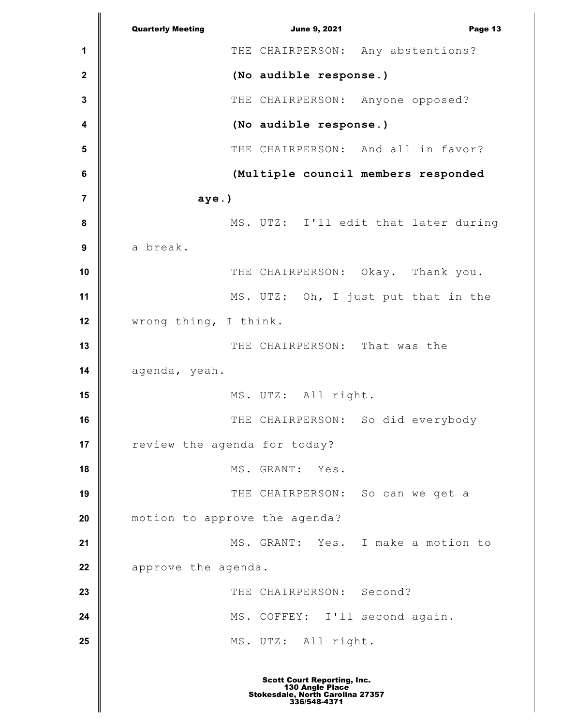**1 2 3 4 5 6 7 8 9 10 11 12 13 14 15 16 17 18 19 20 21 22 23 24 25** Quarterly Meeting **Communist Communist Communist Communist Communist Communist Communist Communist Communist Communist Communist Communist Page 13** THE CHAIRPERSON: Any abstentions? **(No audible response.)** THE CHAIRPERSON: Anyone opposed? **(No audible response.)** THE CHAIRPERSON: And all in favor? **(Multiple council members responded aye.)** MS. UTZ: I'll edit that later during a break. THE CHAIRPERSON: Okay. Thank you. MS. UTZ: Oh, I just put that in the wrong thing, I think. THE CHAIRPERSON: That was the agenda, yeah. MS. UTZ: All right. THE CHAIRPERSON: So did everybody review the agenda for today? MS. GRANT: Yes. THE CHAIRPERSON: So can we get a motion to approve the agenda? MS. GRANT: Yes. I make a motion to approve the agenda. THE CHAIRPERSON: Second? MS. COFFEY: I'll second again. MS. UTZ: All right.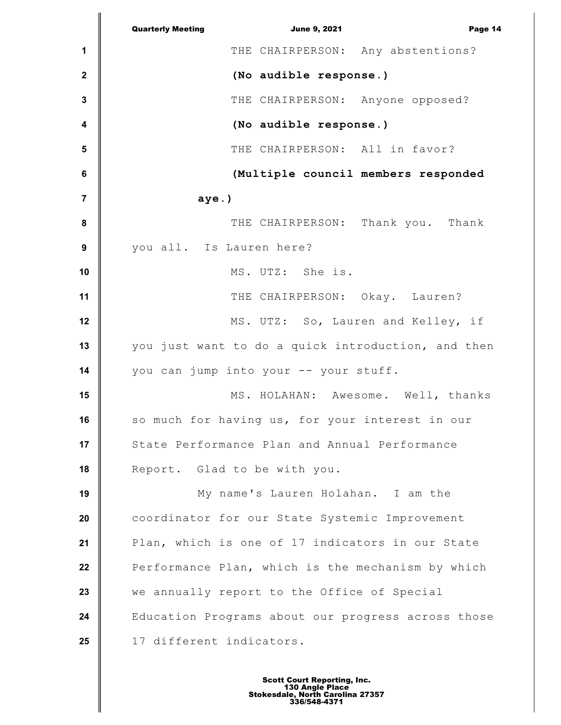|                  | <b>Quarterly Meeting</b><br><b>June 9, 2021</b><br>Page 14 |
|------------------|------------------------------------------------------------|
| 1                | THE CHAIRPERSON: Any abstentions?                          |
| $\mathbf{2}$     | (No audible response.)                                     |
| 3                | THE CHAIRPERSON: Anyone opposed?                           |
| 4                | (No audible response.)                                     |
| 5                | THE CHAIRPERSON: All in favor?                             |
| 6                | (Multiple council members responded                        |
| 7                | $aye.$ )                                                   |
| 8                | THE CHAIRPERSON: Thank you. Thank                          |
| $\boldsymbol{9}$ | you all. Is Lauren here?                                   |
| 10               | MS. UTZ: She is.                                           |
| 11               | THE CHAIRPERSON: Okay. Lauren?                             |
| 12               | MS. UTZ: So, Lauren and Kelley, if                         |
| 13               | you just want to do a quick introduction, and then         |
| 14               | you can jump into your -- your stuff.                      |
| 15               | MS. HOLAHAN: Awesome. Well, thanks                         |
| 16               | so much for having us, for your interest in our            |
| 17               | State Performance Plan and Annual Performance              |
| 18               | Report. Glad to be with you.                               |
| 19               | My name's Lauren Holahan. I am the                         |
| 20               | coordinator for our State Systemic Improvement             |
| 21               | Plan, which is one of 17 indicators in our State           |
| 22               | Performance Plan, which is the mechanism by which          |
| 23               | we annually report to the Office of Special                |
| 24               | Education Programs about our progress across those         |
| 25               | 17 different indicators.                                   |
|                  |                                                            |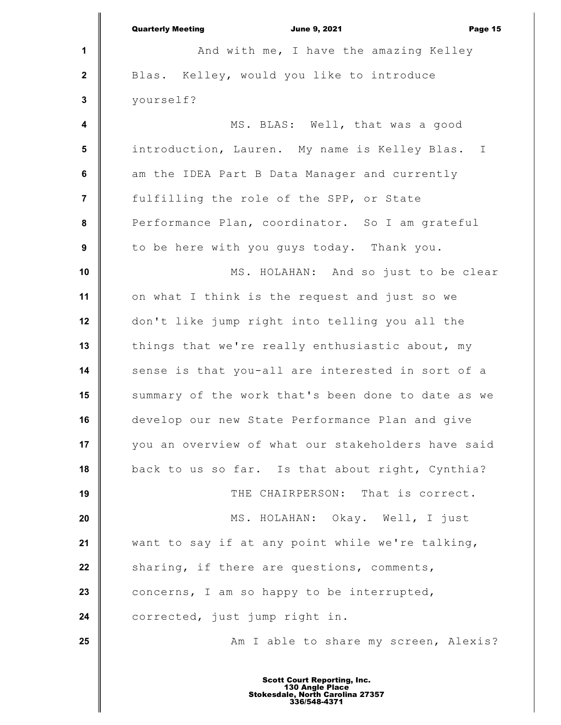|                         | <b>Quarterly Meeting</b><br><b>June 9, 2021</b><br>Page 15 |
|-------------------------|------------------------------------------------------------|
| 1                       | And with me, I have the amazing Kelley                     |
| $\mathbf{2}$            | Blas. Kelley, would you like to introduce                  |
| $\mathbf{3}$            | yourself?                                                  |
| $\overline{\mathbf{4}}$ | MS. BLAS: Well, that was a good                            |
| $5\phantom{.0}$         | introduction, Lauren. My name is Kelley Blas. I            |
| $\bf 6$                 | am the IDEA Part B Data Manager and currently              |
| $\overline{7}$          | fulfilling the role of the SPP, or State                   |
| 8                       | Performance Plan, coordinator. So I am grateful            |
| 9                       | to be here with you guys today. Thank you.                 |
| 10                      | MS. HOLAHAN: And so just to be clear                       |
| 11                      | on what I think is the request and just so we              |
| 12                      | don't like jump right into telling you all the             |
| 13                      | things that we're really enthusiastic about, my            |
| 14                      | sense is that you-all are interested in sort of a          |
| 15                      | summary of the work that's been done to date as we         |
| 16                      | develop our new State Performance Plan and give            |
| 17                      | you an overview of what our stakeholders have said         |
| 18                      | back to us so far. Is that about right, Cynthia?           |
| 19                      | THE CHAIRPERSON: That is correct.                          |
| 20                      | MS. HOLAHAN: Okay. Well, I just                            |
| 21                      | want to say if at any point while we're talking,           |
| 22                      | sharing, if there are questions, comments,                 |
| 23                      | concerns, I am so happy to be interrupted,                 |
| 24                      | corrected, just jump right in.                             |
| 25                      | Am I able to share my screen, Alexis?                      |
|                         |                                                            |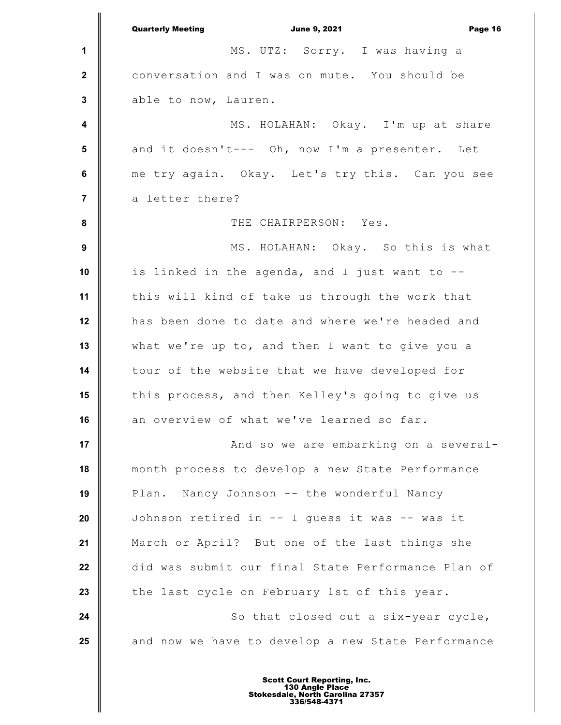**1 2 3 4 5 6 7 8 9 10 11 12 13 14 15 16 17 18 19 20 21 22 23 24 25** Quarterly Meeting **Communist Communist Communist Communist Communist Communist Communist Communist Communist Communist Communist Communist Communist Communist Communist Communist Communist Communist Communist Communist Com** MS. UTZ: Sorry. I was having a conversation and I was on mute. You should be able to now, Lauren. MS. HOLAHAN: Okay. I'm up at share and it doesn't--- Oh, now I'm a presenter. Let me try again. Okay. Let's try this. Can you see a letter there? THE CHAIRPERSON: Yes. MS. HOLAHAN: Okay. So this is what is linked in the agenda, and I just want to - this will kind of take us through the work that has been done to date and where we're headed and what we're up to, and then I want to give you a tour of the website that we have developed for this process, and then Kelley's going to give us an overview of what we've learned so far. And so we are embarking on a severalmonth process to develop a new State Performance Plan. Nancy Johnson -- the wonderful Nancy Johnson retired in -- I guess it was -- was it March or April? But one of the last things she did was submit our final State Performance Plan of the last cycle on February 1st of this year. So that closed out a six-year cycle, and now we have to develop a new State Performance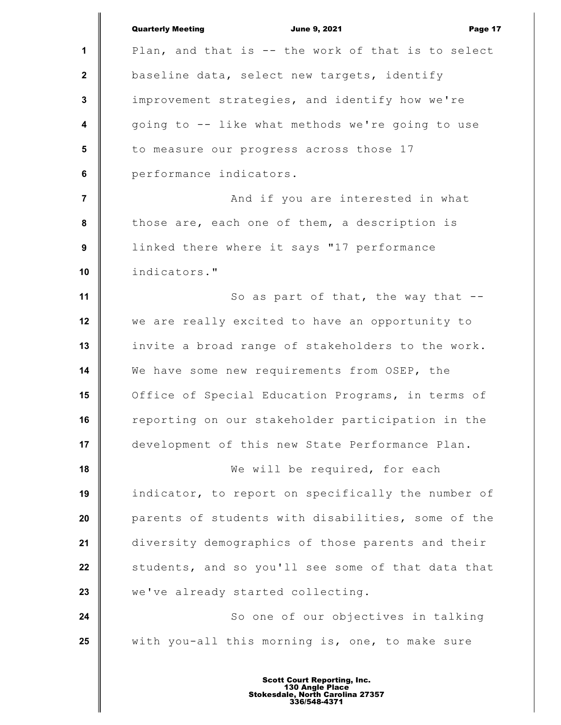|                         | <b>Quarterly Meeting</b><br><b>June 9, 2021</b><br>Page 17 |
|-------------------------|------------------------------------------------------------|
| 1                       | Plan, and that is -- the work of that is to select         |
| $\mathbf{2}$            | baseline data, select new targets, identify                |
| $\mathbf{3}$            | improvement strategies, and identify how we're             |
| $\overline{\mathbf{4}}$ | going to -- like what methods we're going to use           |
| $5\phantom{.0}$         | to measure our progress across those 17                    |
| $\bf 6$                 | performance indicators.                                    |
| $\overline{7}$          | And if you are interested in what                          |
| $\bf 8$                 | those are, each one of them, a description is              |
| 9                       | linked there where it says "17 performance                 |
| 10                      | indicators."                                               |
| 11                      | So as part of that, the way that --                        |
| 12                      | we are really excited to have an opportunity to            |
| 13                      | invite a broad range of stakeholders to the work.          |
| 14                      | We have some new requirements from OSEP, the               |
| 15                      | Office of Special Education Programs, in terms of          |
| 16                      | reporting on our stakeholder participation in the          |
| 17                      | development of this new State Performance Plan.            |
| 18                      | We will be required, for each                              |
| 19                      | indicator, to report on specifically the number of         |
| 20                      | parents of students with disabilities, some of the         |
| 21                      | diversity demographics of those parents and their          |
| 22                      | students, and so you'll see some of that data that         |
| 23                      | we've already started collecting.                          |
| 24                      | So one of our objectives in talking                        |
| 25                      | with you-all this morning is, one, to make sure            |
|                         |                                                            |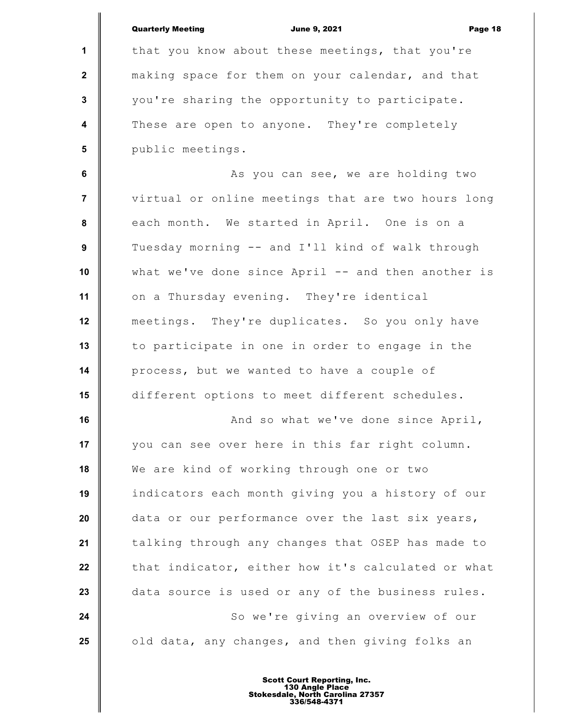|                         | <b>Quarterly Meeting</b><br><b>June 9, 2021</b><br>Page 18 |
|-------------------------|------------------------------------------------------------|
| 1                       | that you know about these meetings, that you're            |
| $\mathbf{2}$            | making space for them on your calendar, and that           |
| $\mathbf 3$             | you're sharing the opportunity to participate.             |
| $\overline{\mathbf{4}}$ | These are open to anyone. They're completely               |
| 5                       | public meetings.                                           |
| 6                       | As you can see, we are holding two                         |
| $\overline{7}$          | virtual or online meetings that are two hours long         |
| 8                       | each month. We started in April. One is on a               |
| $\boldsymbol{9}$        | Tuesday morning -- and I'll kind of walk through           |
| 10                      | what we've done since April -- and then another is         |
| 11                      | on a Thursday evening. They're identical                   |
| 12                      | meetings. They're duplicates. So you only have             |
| 13                      | to participate in one in order to engage in the            |
| 14                      | process, but we wanted to have a couple of                 |
| 15                      | different options to meet different schedules.             |
| 16                      | And so what we've done since April,                        |
| 17                      | you can see over here in this far right column.            |
| 18                      | We are kind of working through one or two                  |
| 19                      | indicators each month giving you a history of our          |
| 20                      | data or our performance over the last six years,           |
| 21                      | talking through any changes that OSEP has made to          |
| 22                      | that indicator, either how it's calculated or what         |
| 23                      | data source is used or any of the business rules.          |
| 24                      | So we're giving an overview of our                         |
| 25                      | old data, any changes, and then giving folks an            |
|                         |                                                            |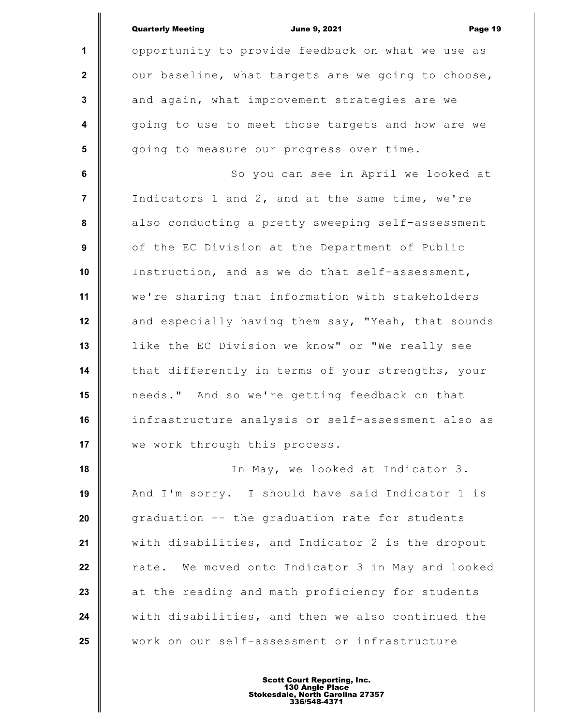|                  | <b>Quarterly Meeting</b><br><b>June 9, 2021</b><br>Page 19 |
|------------------|------------------------------------------------------------|
| $\mathbf{1}$     | opportunity to provide feedback on what we use as          |
| $\mathbf{2}$     | our baseline, what targets are we going to choose,         |
| $\mathbf{3}$     | and again, what improvement strategies are we              |
| $\boldsymbol{4}$ | going to use to meet those targets and how are we          |
| 5                | going to measure our progress over time.                   |
| 6                | So you can see in April we looked at                       |
| $\overline{7}$   | Indicators 1 and 2, and at the same time, we're            |
| 8                | also conducting a pretty sweeping self-assessment          |
| 9                | of the EC Division at the Department of Public             |
| 10               | Instruction, and as we do that self-assessment,            |
| 11               | we're sharing that information with stakeholders           |
| 12               | and especially having them say, "Yeah, that sounds         |
| 13               | like the EC Division we know" or "We really see            |
| 14               | that differently in terms of your strengths, your          |
| 15               | needs." And so we're getting feedback on that              |
| 16               | infrastructure analysis or self-assessment also as         |
| 17               | we work through this process.                              |
| 18               | In May, we looked at Indicator 3.                          |
| 19               | And I'm sorry. I should have said Indicator 1 is           |
| 20               | graduation -- the graduation rate for students             |
| 21               | with disabilities, and Indicator 2 is the dropout          |
| 22               | We moved onto Indicator 3 in May and looked<br>rate.       |
| 23               | at the reading and math proficiency for students           |
| 24               | with disabilities, and then we also continued the          |
| 25               | work on our self-assessment or infrastructure              |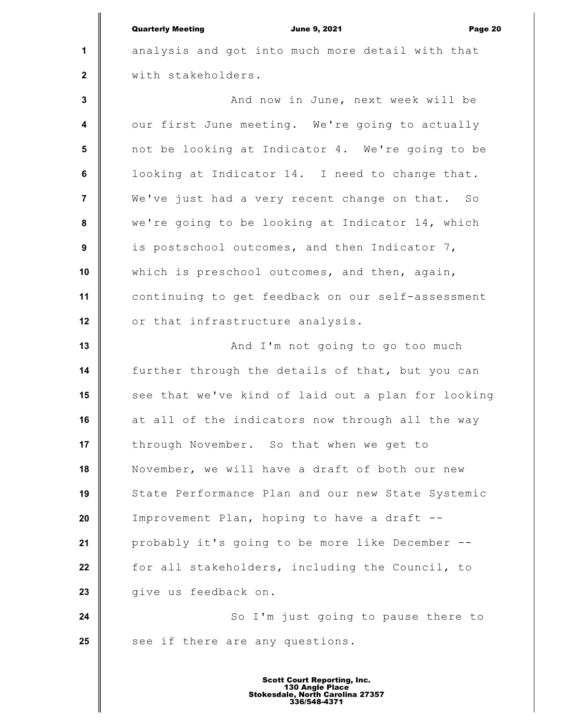**1 2 3 4 5 6 7 8 9 10 11 12 13 14 15 16 17 18 19 20 21 22 23 24 25** Quarterly Meeting June 9, 2021 Page 20 analysis and got into much more detail with that with stakeholders. And now in June, next week will be our first June meeting. We're going to actually not be looking at Indicator 4. We're going to be looking at Indicator 14. I need to change that. We've just had a very recent change on that. So we're going to be looking at Indicator 14, which is postschool outcomes, and then Indicator 7, which is preschool outcomes, and then, again, continuing to get feedback on our self-assessment or that infrastructure analysis. And I'm not going to go too much further through the details of that, but you can see that we've kind of laid out a plan for looking at all of the indicators now through all the way through November. So that when we get to November, we will have a draft of both our new State Performance Plan and our new State Systemic Improvement Plan, hoping to have a draft - probably it's going to be more like December - for all stakeholders, including the Council, to give us feedback on. So I'm just going to pause there to see if there are any questions.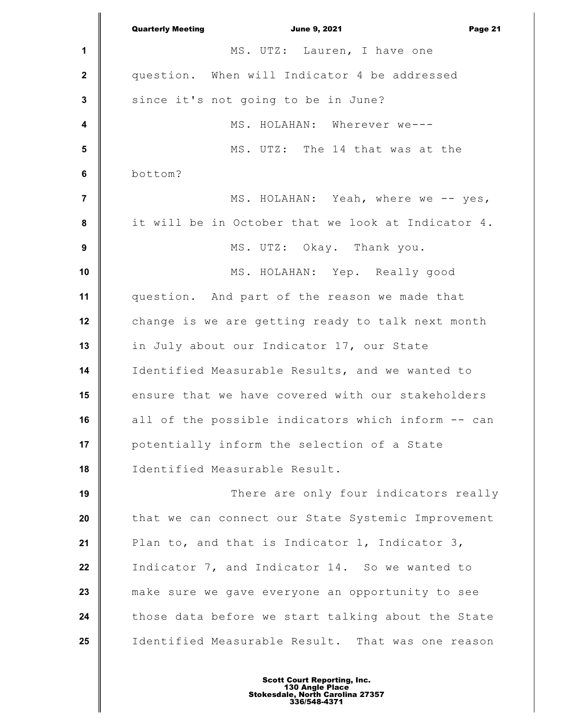**1 2 3 4 5 6 7 8 9 10 11 12 13 14 15 16 17 18 19 20 21 22 23 24 25** Quarterly Meeting **Communist Communist Communist Communist Communist Communist Communist Communist Communist Communist Communist Communist Page 21 and 21 and 21 and 21 and 21 and 21 and 21 and 22 and 22 and 22 and 22 and 2** MS. UTZ: Lauren, I have one question. When will Indicator 4 be addressed since it's not going to be in June? MS. HOLAHAN: Wherever we--- MS. UTZ: The 14 that was at the bottom? MS. HOLAHAN: Yeah, where we -- yes, it will be in October that we look at Indicator 4. MS. UTZ: Okay. Thank you. MS. HOLAHAN: Yep. Really good question. And part of the reason we made that change is we are getting ready to talk next month in July about our Indicator 17, our State Identified Measurable Results, and we wanted to ensure that we have covered with our stakeholders all of the possible indicators which inform -- can potentially inform the selection of a State Identified Measurable Result. There are only four indicators really that we can connect our State Systemic Improvement Plan to, and that is Indicator 1, Indicator 3, Indicator 7, and Indicator 14. So we wanted to make sure we gave everyone an opportunity to see those data before we start talking about the State Identified Measurable Result. That was one reason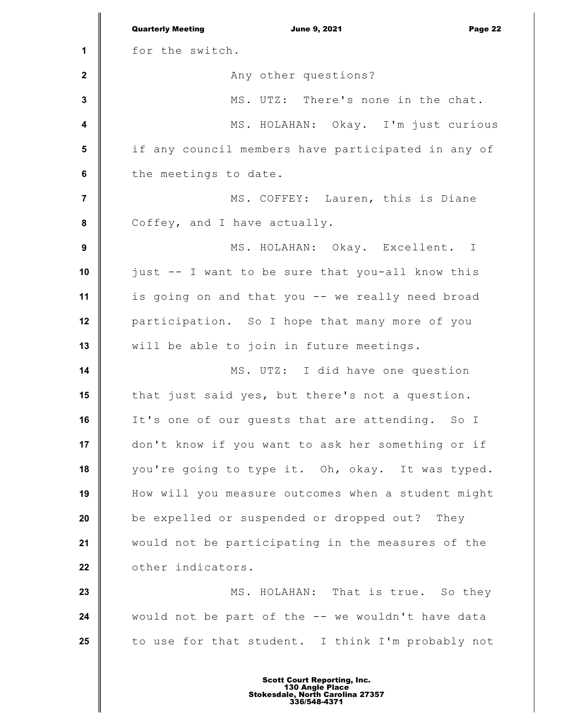**1 2 3 4 5 6 7 8 9 10 11 12 13 14 15 16 17 18 19 20 21 22 23 24 25** Quarterly Meeting **Communist Communist Communist Communist Communist Communist Communist Communist Communist Communist Communist Communist Page 22** for the switch. Any other questions? MS. UTZ: There's none in the chat. MS. HOLAHAN: Okay. I'm just curious if any council members have participated in any of the meetings to date. MS. COFFEY: Lauren, this is Diane Coffey, and I have actually. MS. HOLAHAN: Okay. Excellent. I just -- I want to be sure that you-all know this is going on and that you -- we really need broad participation. So I hope that many more of you will be able to join in future meetings. MS. UTZ: I did have one question that just said yes, but there's not a question. It's one of our guests that are attending. So I don't know if you want to ask her something or if you're going to type it. Oh, okay. It was typed. How will you measure outcomes when a student might be expelled or suspended or dropped out? They would not be participating in the measures of the other indicators. MS. HOLAHAN: That is true. So they would not be part of the -- we wouldn't have data to use for that student. I think I'm probably not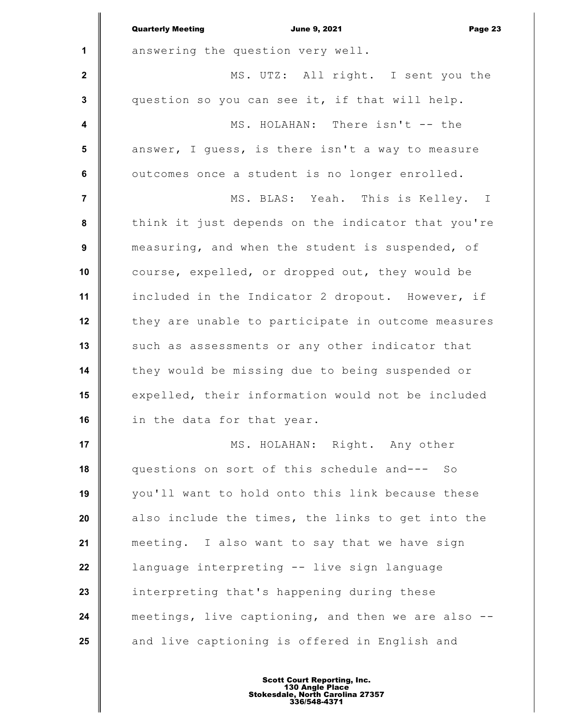|                         | <b>Quarterly Meeting</b><br><b>June 9, 2021</b><br>Page 23 |
|-------------------------|------------------------------------------------------------|
| $\mathbf{1}$            | answering the question very well.                          |
| $\mathbf{2}$            | MS. UTZ: All right. I sent you the                         |
| 3                       | question so you can see it, if that will help.             |
| $\overline{\mathbf{4}}$ | MS. HOLAHAN: There isn't -- the                            |
| 5                       | answer, I guess, is there isn't a way to measure           |
| 6                       | outcomes once a student is no longer enrolled.             |
| 7                       | MS. BLAS: Yeah. This is Kelley. I                          |
| 8                       | think it just depends on the indicator that you're         |
| 9                       | measuring, and when the student is suspended, of           |
| 10                      | course, expelled, or dropped out, they would be            |
| 11                      | included in the Indicator 2 dropout. However, if           |
| 12                      | they are unable to participate in outcome measures         |
| 13                      | such as assessments or any other indicator that            |
| 14                      | they would be missing due to being suspended or            |
| 15                      | expelled, their information would not be included          |
| 16                      | in the data for that year.                                 |
| 17                      | MS. HOLAHAN: Right. Any other                              |
| 18                      | questions on sort of this schedule and--- So               |
| 19                      | you'll want to hold onto this link because these           |
| 20                      | also include the times, the links to get into the          |
| 21                      | meeting. I also want to say that we have sign              |
| 22                      | language interpreting -- live sign language                |
| 23                      | interpreting that's happening during these                 |
| 24                      | meetings, live captioning, and then we are also -          |
| 25                      | and live captioning is offered in English and              |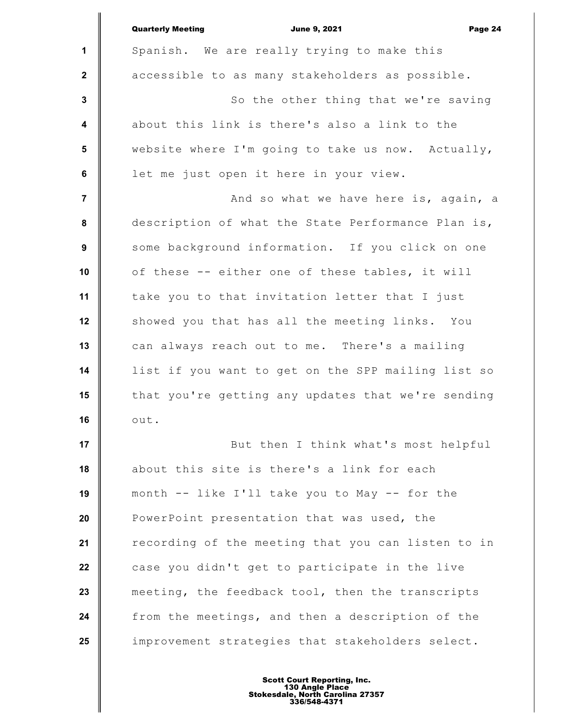|                         | <b>Quarterly Meeting</b><br><b>June 9, 2021</b><br>Page 24 |
|-------------------------|------------------------------------------------------------|
| 1                       | Spanish. We are really trying to make this                 |
| $\mathbf{2}$            | accessible to as many stakeholders as possible.            |
| $\mathbf 3$             | So the other thing that we're saving                       |
| $\overline{\mathbf{4}}$ | about this link is there's also a link to the              |
| $5\phantom{1}$          | website where I'm going to take us now. Actually,          |
| $\bf 6$                 | let me just open it here in your view.                     |
| $\overline{7}$          | And so what we have here is, again, a                      |
| 8                       | description of what the State Performance Plan is,         |
| $\boldsymbol{9}$        | some background information. If you click on one           |
| 10                      | of these -- either one of these tables, it will            |
| 11                      | take you to that invitation letter that I just             |
| 12                      | showed you that has all the meeting links. You             |
| 13                      | can always reach out to me. There's a mailing              |
| 14                      | list if you want to get on the SPP mailing list so         |
| 15                      | that you're getting any updates that we're sending         |
| 16                      | out.                                                       |
| 17                      | But then I think what's most helpful                       |
| 18                      | about this site is there's a link for each                 |
| 19                      | month -- like I'll take you to May -- for the              |
| 20                      | PowerPoint presentation that was used, the                 |
| 21                      | recording of the meeting that you can listen to in         |
| 22                      | case you didn't get to participate in the live             |
| 23                      | meeting, the feedback tool, then the transcripts           |
| 24                      | from the meetings, and then a description of the           |
| 25                      | improvement strategies that stakeholders select.           |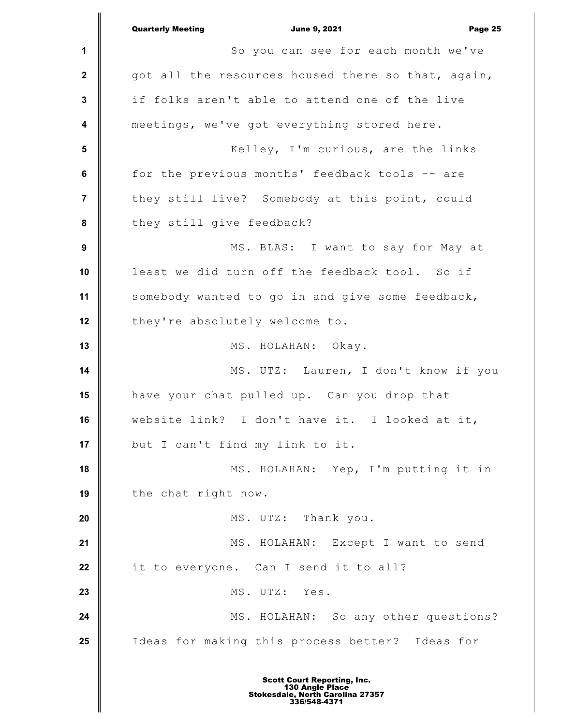**1 2 3 4 5 6 7 8 9 10 11 12 13 14 15 16 17 18 19 20 21 22 23 24 25** Quarterly Meeting **Communist Communist Communist Communist Communist Communist Communist Communist Communist Communist Communist Communist Communist Communist Communist Communist Communist Communist Communist Communist Com** So you can see for each month we've got all the resources housed there so that, again, if folks aren't able to attend one of the live meetings, we've got everything stored here. Kelley, I'm curious, are the links for the previous months' feedback tools -- are they still live? Somebody at this point, could they still give feedback? MS. BLAS: I want to say for May at least we did turn off the feedback tool. So if somebody wanted to go in and give some feedback, they're absolutely welcome to. MS. HOLAHAN: Okay. MS. UTZ: Lauren, I don't know if you have your chat pulled up. Can you drop that website link? I don't have it. I looked at it, but I can't find my link to it. MS. HOLAHAN: Yep, I'm putting it in the chat right now. MS. UTZ: Thank you. MS. HOLAHAN: Except I want to send it to everyone. Can I send it to all? MS. UTZ: Yes. MS. HOLAHAN: So any other questions? Ideas for making this process better? Ideas for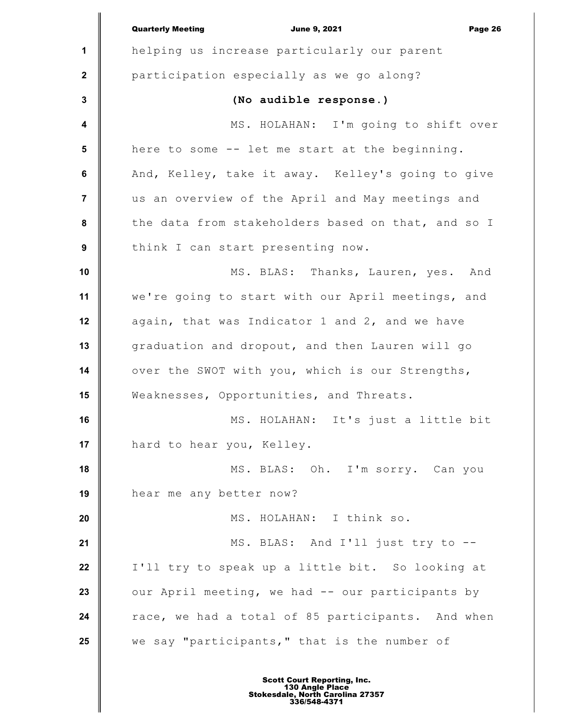|                         | <b>Quarterly Meeting</b><br><b>June 9, 2021</b><br>Page 26 |
|-------------------------|------------------------------------------------------------|
| 1                       | helping us increase particularly our parent                |
| $\mathbf{2}$            | participation especially as we go along?                   |
| $\mathbf 3$             | (No audible response.)                                     |
| $\overline{\mathbf{4}}$ | MS. HOLAHAN: I'm going to shift over                       |
| 5                       | here to some -- let me start at the beginning.             |
| $\bf 6$                 | And, Kelley, take it away. Kelley's going to give          |
| $\overline{7}$          | us an overview of the April and May meetings and           |
| 8                       | the data from stakeholders based on that, and so I         |
| 9                       | think I can start presenting now.                          |
| 10                      | MS. BLAS: Thanks, Lauren, yes. And                         |
| 11                      | we're going to start with our April meetings, and          |
| 12                      | again, that was Indicator 1 and 2, and we have             |
| 13                      | graduation and dropout, and then Lauren will go            |
| 14                      | over the SWOT with you, which is our Strengths,            |
| 15                      | Weaknesses, Opportunities, and Threats.                    |
| 16                      | MS. HOLAHAN: It's just a little bit                        |
| 17                      | hard to hear you, Kelley.                                  |
| 18                      | MS. BLAS: Oh. I'm sorry. Can you                           |
| 19                      | hear me any better now?                                    |
| 20                      | MS. HOLAHAN: I think so.                                   |
| 21                      | MS. BLAS: And I'll just try to --                          |
| 22                      | I'll try to speak up a little bit. So looking at           |
| 23                      | our April meeting, we had -- our participants by           |
| 24                      | race, we had a total of 85 participants. And when          |
| 25                      | we say "participants," that is the number of               |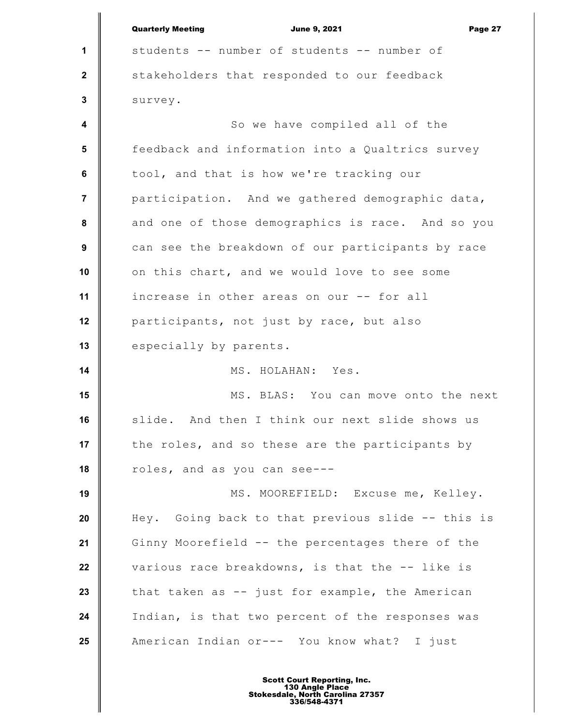**1 2 3 4 5 6 7 8 9 10 11 12 13 14 15 16 17 18 19 20 21 22 23 24 25** Quarterly Meeting **Communist Communist Communist Communist Communist Communist Communist Communist Communist Communist Communist Communist Page 27 and 27 and 27 and 27 and 27 and 27 and 27 and 27 and 27 and 27 and 27 and 2** students -- number of students -- number of stakeholders that responded to our feedback survey. So we have compiled all of the feedback and information into a Qualtrics survey tool, and that is how we're tracking our participation. And we gathered demographic data, and one of those demographics is race. And so you can see the breakdown of our participants by race on this chart, and we would love to see some increase in other areas on our -- for all participants, not just by race, but also especially by parents. MS. HOLAHAN: Yes. MS. BLAS: You can move onto the next slide. And then I think our next slide shows us the roles, and so these are the participants by roles, and as you can see--- MS. MOOREFIELD: Excuse me, Kelley. Hey. Going back to that previous slide -- this is Ginny Moorefield -- the percentages there of the various race breakdowns, is that the -- like is that taken as -- just for example, the American Indian, is that two percent of the responses was American Indian or--- You know what? I just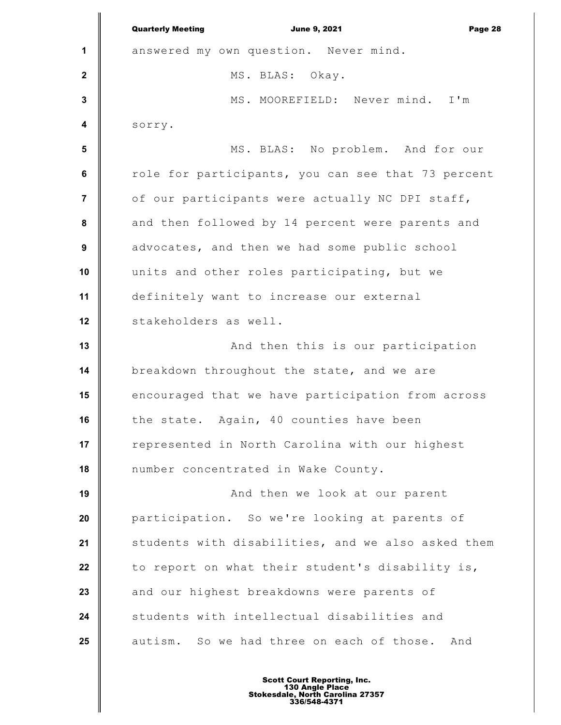|                         | <b>Quarterly Meeting</b><br><b>June 9, 2021</b><br>Page 28 |
|-------------------------|------------------------------------------------------------|
| 1                       | answered my own question. Never mind.                      |
| $\mathbf{2}$            | MS. BLAS: Okay.                                            |
| $\mathbf 3$             | MS. MOOREFIELD: Never mind. I'm                            |
| $\overline{\mathbf{4}}$ | sorry.                                                     |
| $5\phantom{a}$          | MS. BLAS: No problem. And for our                          |
| 6                       | role for participants, you can see that 73 percent         |
| 7                       | of our participants were actually NC DPI staff,            |
| 8                       | and then followed by 14 percent were parents and           |
| 9                       | advocates, and then we had some public school              |
| 10                      | units and other roles participating, but we                |
| 11                      | definitely want to increase our external                   |
| 12                      | stakeholders as well.                                      |
| 13                      | And then this is our participation                         |
| 14                      | breakdown throughout the state, and we are                 |
| 15                      | encouraged that we have participation from across          |
| 16                      | the state. Again, 40 counties have been                    |
| 17                      | represented in North Carolina with our highest             |
| 18                      | number concentrated in Wake County.                        |
| 19                      | And then we look at our parent                             |
| 20                      | participation. So we're looking at parents of              |
| 21                      | students with disabilities, and we also asked them         |
| 22                      | to report on what their student's disability is,           |
| 23                      | and our highest breakdowns were parents of                 |
| 24                      | students with intellectual disabilities and                |
| 25                      | autism. So we had three on each of those.<br>And           |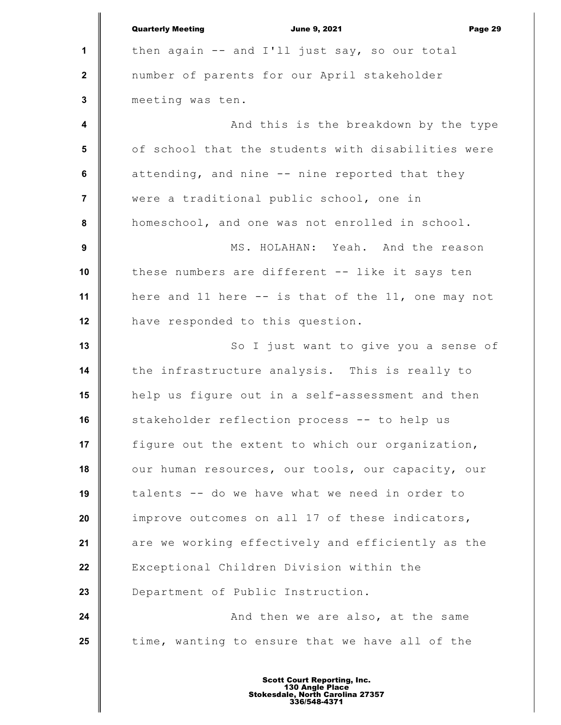|                         | <b>Quarterly Meeting</b><br><b>June 9, 2021</b><br>Page 29 |
|-------------------------|------------------------------------------------------------|
| $\mathbf 1$             | then again -- and I'll just say, so our total              |
| $\mathbf{2}$            | number of parents for our April stakeholder                |
| $\mathbf 3$             | meeting was ten.                                           |
| $\overline{\mathbf{4}}$ | And this is the breakdown by the type                      |
| $5\phantom{.0}$         | of school that the students with disabilities were         |
| $\bf 6$                 | attending, and nine -- nine reported that they             |
| $\overline{7}$          | were a traditional public school, one in                   |
| 8                       | homeschool, and one was not enrolled in school.            |
| 9                       | MS. HOLAHAN: Yeah. And the reason                          |
| 10                      | these numbers are different -- like it says ten            |
| 11                      | here and 11 here -- is that of the 11, one may not         |
| 12                      | have responded to this question.                           |
| 13                      | So I just want to give you a sense of                      |
| 14                      | the infrastructure analysis. This is really to             |
| 15                      | help us figure out in a self-assessment and then           |
| 16                      | stakeholder reflection process -- to help us               |
| 17                      | figure out the extent to which our organization,           |
| 18                      | our human resources, our tools, our capacity, our          |
| 19                      | talents -- do we have what we need in order to             |
| 20                      | improve outcomes on all 17 of these indicators,            |
| 21                      | are we working effectively and efficiently as the          |
| 22                      | Exceptional Children Division within the                   |
| 23                      | Department of Public Instruction.                          |
| 24                      | And then we are also, at the same                          |
| 25                      | time, wanting to ensure that we have all of the            |
|                         |                                                            |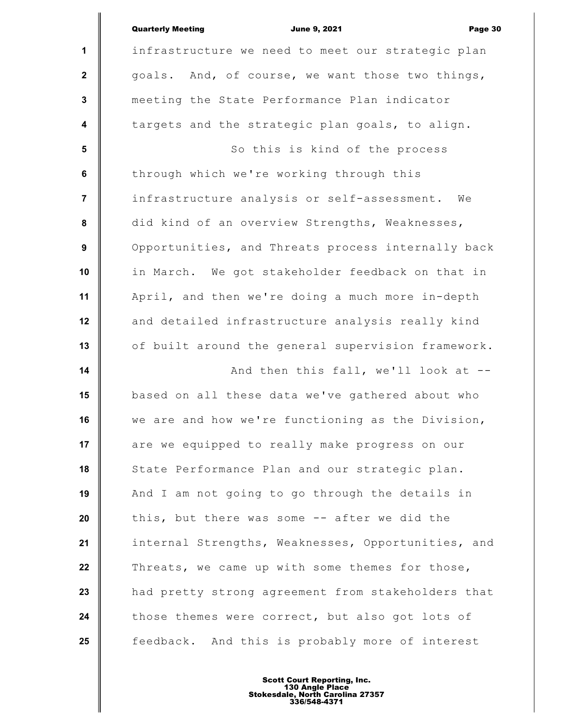|                         | <b>Quarterly Meeting</b><br><b>June 9, 2021</b><br>Page 30 |
|-------------------------|------------------------------------------------------------|
| 1                       | infrastructure we need to meet our strategic plan          |
| $\mathbf{2}$            | goals. And, of course, we want those two things,           |
| $\mathbf 3$             | meeting the State Performance Plan indicator               |
| $\overline{\mathbf{4}}$ | targets and the strategic plan goals, to align.            |
| $5\phantom{.0}$         | So this is kind of the process                             |
| $\bf 6$                 | through which we're working through this                   |
| $\overline{\mathbf{r}}$ | infrastructure analysis or self-assessment.<br>We          |
| 8                       | did kind of an overview Strengths, Weaknesses,             |
| 9                       | Opportunities, and Threats process internally back         |
| 10                      | in March. We got stakeholder feedback on that in           |
| 11                      | April, and then we're doing a much more in-depth           |
| 12                      | and detailed infrastructure analysis really kind           |
| 13                      | of built around the general supervision framework.         |
| 14                      | And then this fall, we'll look at --                       |
| 15                      | based on all these data we've gathered about who           |
| 16                      | we are and how we're functioning as the Division,          |
| 17                      | are we equipped to really make progress on our             |
| 18                      | State Performance Plan and our strategic plan.             |
| 19                      | And I am not going to go through the details in            |
| 20                      | this, but there was some -- after we did the               |
| 21                      | internal Strengths, Weaknesses, Opportunities, and         |
| 22                      | Threats, we came up with some themes for those,            |
| 23                      | had pretty strong agreement from stakeholders that         |
| 24                      | those themes were correct, but also got lots of            |
| 25                      | feedback. And this is probably more of interest            |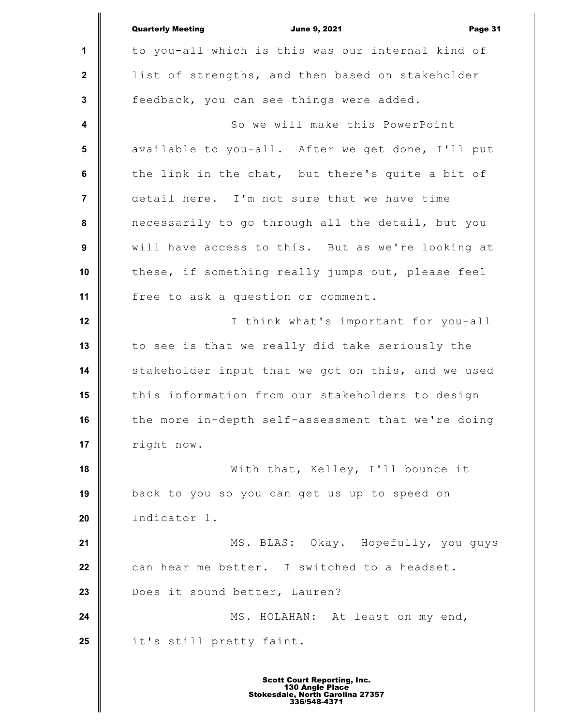|                      | <b>Quarterly Meeting</b><br><b>June 9, 2021</b><br>Page 31 |
|----------------------|------------------------------------------------------------|
| $\mathbf{1}$         | to you-all which is this was our internal kind of          |
| $\mathbf{2}$         | list of strengths, and then based on stakeholder           |
| $\mathbf 3$          | feedback, you can see things were added.                   |
| $\blacktriangleleft$ | So we will make this PowerPoint                            |
| 5                    | available to you-all. After we get done, I'll put          |
| 6                    | the link in the chat, but there's quite a bit of           |
| $\overline{7}$       | detail here. I'm not sure that we have time                |
| ${\bf 8}$            | necessarily to go through all the detail, but you          |
| $\boldsymbol{9}$     | will have access to this. But as we're looking at          |
| 10                   | these, if something really jumps out, please feel          |
| 11                   | free to ask a question or comment.                         |
| 12                   | I think what's important for you-all                       |
| 13                   | to see is that we really did take seriously the            |
| 14                   | stakeholder input that we got on this, and we used         |
| 15                   | this information from our stakeholders to design           |
| 16                   | the more in-depth self-assessment that we're doing         |
| 17                   | right now.                                                 |
| 18                   | With that, Kelley, I'll bounce it                          |
| 19                   | back to you so you can get us up to speed on               |
| 20                   | Indicator 1.                                               |
| 21                   | MS. BLAS: Okay. Hopefully, you guys                        |
| 22                   | can hear me better. I switched to a headset.               |
| 23                   | Does it sound better, Lauren?                              |
| 24                   | MS. HOLAHAN: At least on my end,                           |
| 25                   | it's still pretty faint.                                   |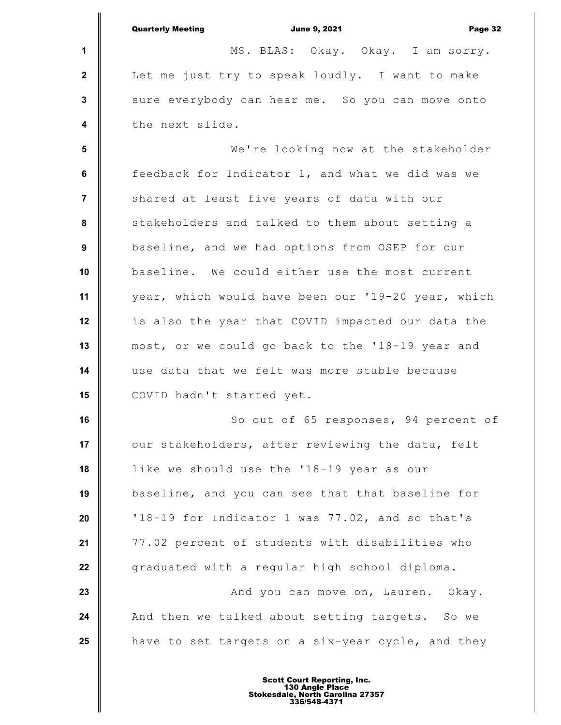|                         | <b>Quarterly Meeting</b><br><b>June 9, 2021</b><br>Page 32 |
|-------------------------|------------------------------------------------------------|
| 1                       | MS. BLAS: Okay. Okay. I am sorry.                          |
| $\mathbf{2}$            | Let me just try to speak loudly. I want to make            |
| $\mathbf{3}$            | sure everybody can hear me. So you can move onto           |
| $\overline{\mathbf{4}}$ | the next slide.                                            |
| $5\phantom{1}$          | We're looking now at the stakeholder                       |
| 6                       | feedback for Indicator 1, and what we did was we           |
| $\overline{7}$          | shared at least five years of data with our                |
| $\pmb{8}$               | stakeholders and talked to them about setting a            |
| $\boldsymbol{9}$        | baseline, and we had options from OSEP for our             |
| 10                      | baseline. We could either use the most current             |
| 11                      | year, which would have been our '19-20 year, which         |
| 12                      | is also the year that COVID impacted our data the          |
| 13                      | most, or we could go back to the '18-19 year and           |
| 14                      | use data that we felt was more stable because              |
| 15                      | COVID hadn't started yet.                                  |
| 16                      | So out of 65 responses, 94 percent of                      |
| 17                      | our stakeholders, after reviewing the data, felt           |
| 18                      | like we should use the '18-19 year as our                  |
| 19                      | baseline, and you can see that that baseline for           |
| 20                      | '18-19 for Indicator 1 was 77.02, and so that's            |
| 21                      | 77.02 percent of students with disabilities who            |
| 22                      | graduated with a regular high school diploma.              |
| 23                      | And you can move on, Lauren. Okay.                         |
| 24                      | And then we talked about setting targets. So we            |
| 25                      | have to set targets on a six-year cycle, and they          |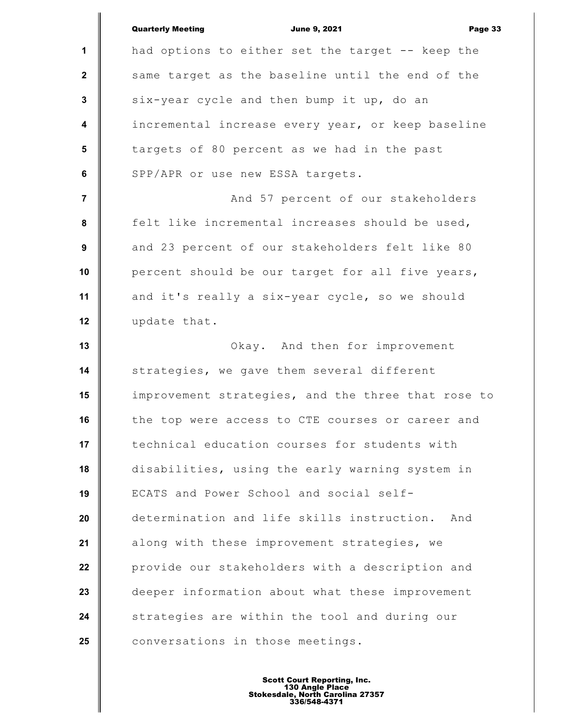|                  | <b>Quarterly Meeting</b><br><b>June 9, 2021</b><br>Page 33 |
|------------------|------------------------------------------------------------|
| $\mathbf{1}$     | had options to either set the target -- keep the           |
| $\mathbf{2}$     | same target as the baseline until the end of the           |
| $\mathbf{3}$     | six-year cycle and then bump it up, do an                  |
| $\boldsymbol{4}$ | incremental increase every year, or keep baseline          |
| $5\phantom{.0}$  | targets of 80 percent as we had in the past                |
| 6                | SPP/APR or use new ESSA targets.                           |
| $\overline{7}$   | And 57 percent of our stakeholders                         |
| 8                | felt like incremental increases should be used,            |
| 9                | and 23 percent of our stakeholders felt like 80            |
| 10               | percent should be our target for all five years,           |
| 11               | and it's really a six-year cycle, so we should             |
| 12               | update that.                                               |
| 13               | Okay. And then for improvement                             |
| 14               | strategies, we gave them several different                 |
| 15               | improvement strategies, and the three that rose to         |
| 16               | the top were access to CTE courses or career and           |
| 17               | technical education courses for students with              |
| 18               | disabilities, using the early warning system in            |
| 19               | ECATS and Power School and social self-                    |
| 20               | determination and life skills instruction.<br>And          |
| 21               | along with these improvement strategies, we                |
| 22               | provide our stakeholders with a description and            |
| 23               | deeper information about what these improvement            |
| 24               | strategies are within the tool and during our              |
| 25               | conversations in those meetings.                           |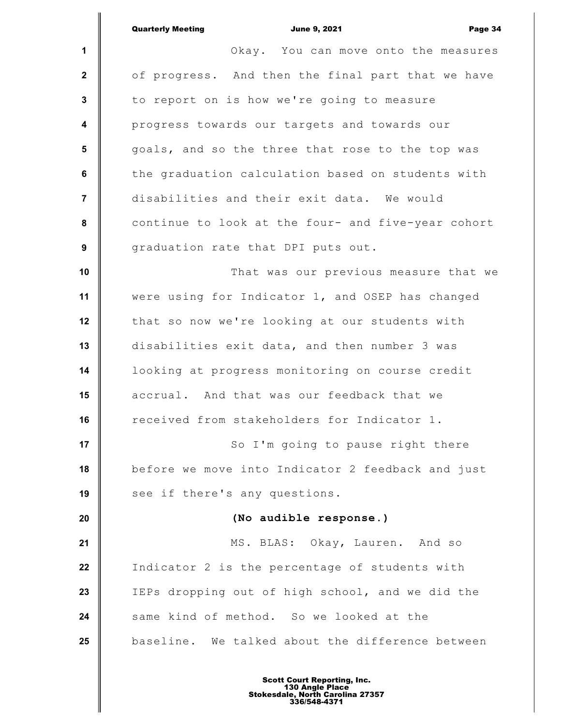|                         | <b>Quarterly Meeting</b><br><b>June 9, 2021</b><br>Page 34 |
|-------------------------|------------------------------------------------------------|
| $\mathbf 1$             | Okay. You can move onto the measures                       |
| $\mathbf{2}$            | of progress. And then the final part that we have          |
| $\mathbf{3}$            | to report on is how we're going to measure                 |
| $\overline{\mathbf{4}}$ | progress towards our targets and towards our               |
| 5                       | goals, and so the three that rose to the top was           |
| $\bf 6$                 | the graduation calculation based on students with          |
| $\overline{7}$          | disabilities and their exit data. We would                 |
| 8                       | continue to look at the four- and five-year cohort         |
| 9                       | graduation rate that DPI puts out.                         |
| 10                      | That was our previous measure that we                      |
| 11                      | were using for Indicator 1, and OSEP has changed           |
| 12                      | that so now we're looking at our students with             |
| 13                      | disabilities exit data, and then number 3 was              |
| 14                      | looking at progress monitoring on course credit            |
| 15                      | accrual. And that was our feedback that we                 |
| 16                      | received from stakeholders for Indicator 1.                |
| 17                      | So I'm going to pause right there                          |
| 18                      | before we move into Indicator 2 feedback and just          |
| 19                      | see if there's any questions.                              |
| 20                      | (No audible response.)                                     |
| 21                      | MS. BLAS: Okay, Lauren. And so                             |
| 22                      | Indicator 2 is the percentage of students with             |
| 23                      | IEPs dropping out of high school, and we did the           |
| 24                      | same kind of method. So we looked at the                   |
| 25                      | baseline. We talked about the difference between           |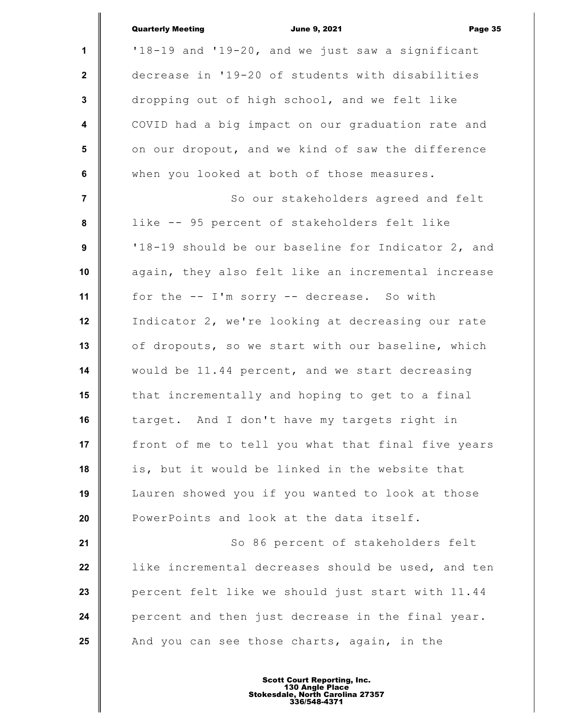|                         | <b>Quarterly Meeting</b><br><b>June 9, 2021</b><br>Page 35 |
|-------------------------|------------------------------------------------------------|
| $\mathbf{1}$            | '18-19 and '19-20, and we just saw a significant           |
| $\mathbf{2}$            | decrease in '19-20 of students with disabilities           |
| $\mathbf{3}$            | dropping out of high school, and we felt like              |
| $\overline{\mathbf{4}}$ | COVID had a big impact on our graduation rate and          |
| 5                       | on our dropout, and we kind of saw the difference          |
| 6                       | when you looked at both of those measures.                 |
| $\overline{7}$          | So our stakeholders agreed and felt                        |
| 8                       | like -- 95 percent of stakeholders felt like               |
| 9                       | '18-19 should be our baseline for Indicator 2, and         |
| 10                      | again, they also felt like an incremental increase         |
| 11                      | for the -- I'm sorry -- decrease. So with                  |
| 12                      | Indicator 2, we're looking at decreasing our rate          |
| 13                      | of dropouts, so we start with our baseline, which          |
| 14                      | would be 11.44 percent, and we start decreasing            |
| 15                      | that incrementally and hoping to get to a final            |
| 16                      | target. And I don't have my targets right in               |
| 17                      | front of me to tell you what that final five years         |
| 18                      | is, but it would be linked in the website that             |
| 19                      | Lauren showed you if you wanted to look at those           |
| 20                      | PowerPoints and look at the data itself.                   |
| 21                      | So 86 percent of stakeholders felt                         |
| 22                      | like incremental decreases should be used, and ten         |
| 23                      | percent felt like we should just start with 11.44          |
| 24                      | percent and then just decrease in the final year.          |
| 25                      | And you can see those charts, again, in the                |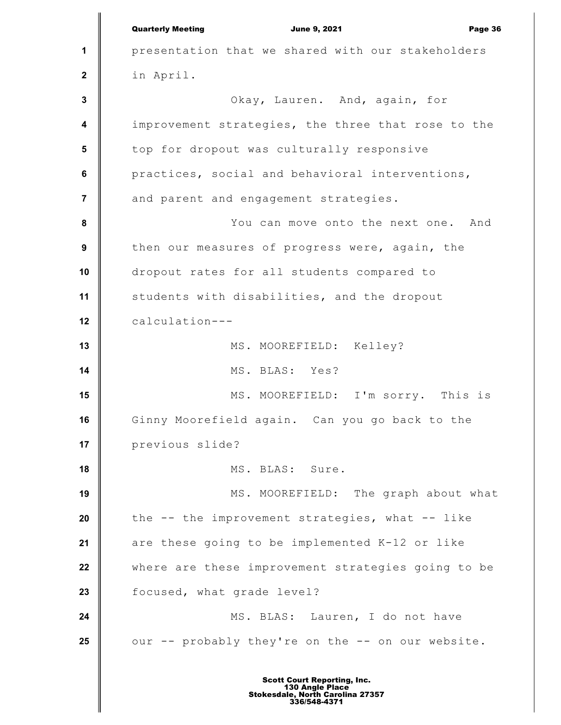**1 2 3 4 5 6 7 8 9 10 11 12 13 14 15 16 17 18 19 20 21 22 23 24 25** Quarterly Meeting **Communist Communist Communist Communist Communist Communist Communist Communist Communist Communist Communist Communist Communist Communist Communist Communist Communist Communist Communist Communist Com** presentation that we shared with our stakeholders in April. Okay, Lauren. And, again, for improvement strategies, the three that rose to the top for dropout was culturally responsive practices, social and behavioral interventions, and parent and engagement strategies. You can move onto the next one. And then our measures of progress were, again, the dropout rates for all students compared to students with disabilities, and the dropout calculation--- MS. MOOREFIELD: Kelley? MS. BLAS: Yes? MS. MOOREFIELD: I'm sorry. This is Ginny Moorefield again. Can you go back to the previous slide? MS. BLAS: Sure. MS. MOOREFIELD: The graph about what the -- the improvement strategies, what -- like are these going to be implemented K-12 or like where are these improvement strategies going to be focused, what grade level? MS. BLAS: Lauren, I do not have our -- probably they're on the -- on our website.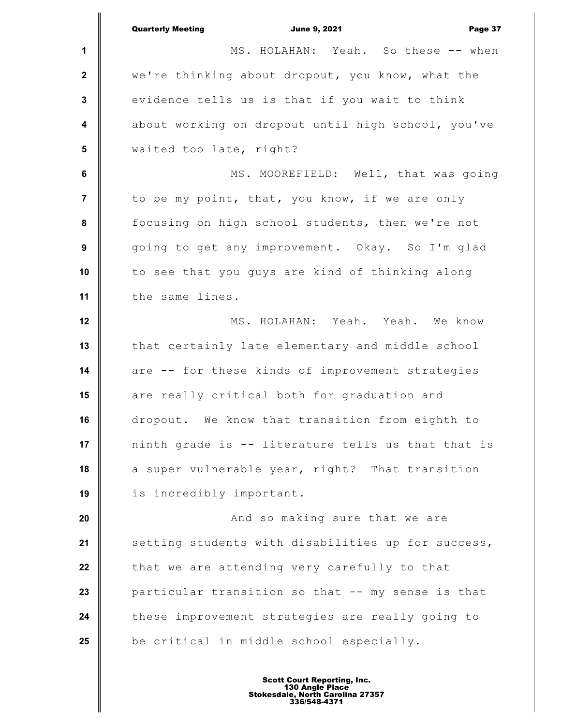**1 2 3 4 5 6 7 8 9 10 11 12 13 14 15 16 17 18 19 20 21 22 23 24 25** Quarterly Meeting **Communist Communist Communist Communist Communist Communist Communist Communist Communist Communist Communist Communist Communist Communist Communist Communist Communist Communist Communist Communist Com** MS. HOLAHAN: Yeah. So these -- when we're thinking about dropout, you know, what the evidence tells us is that if you wait to think about working on dropout until high school, you've waited too late, right? MS. MOOREFIELD: Well, that was going to be my point, that, you know, if we are only focusing on high school students, then we're not going to get any improvement. Okay. So I'm glad to see that you guys are kind of thinking along the same lines. MS. HOLAHAN: Yeah. Yeah. We know that certainly late elementary and middle school are -- for these kinds of improvement strategies are really critical both for graduation and dropout. We know that transition from eighth to ninth grade is -- literature tells us that that is a super vulnerable year, right? That transition is incredibly important. And so making sure that we are setting students with disabilities up for success, that we are attending very carefully to that particular transition so that -- my sense is that these improvement strategies are really going to be critical in middle school especially.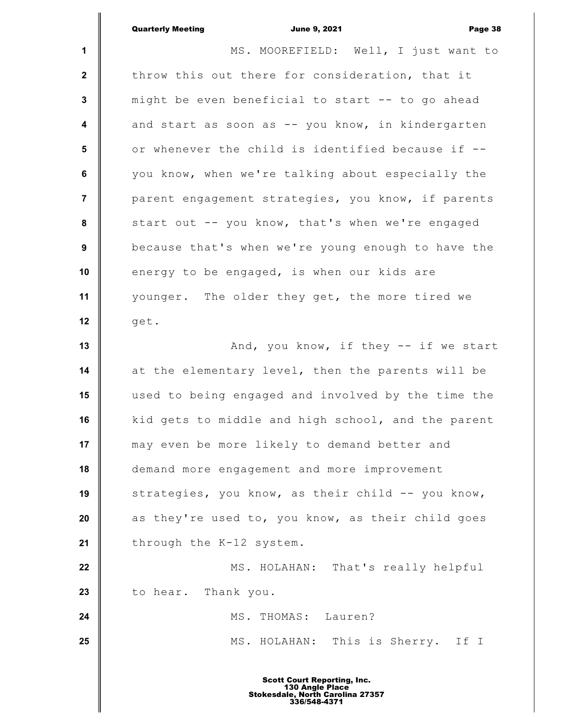|                | <b>Quarterly Meeting</b><br><b>June 9, 2021</b><br>Page 38 |
|----------------|------------------------------------------------------------|
| 1              | MS. MOOREFIELD: Well, I just want to                       |
| $\mathbf{2}$   | throw this out there for consideration, that it            |
| $\mathbf 3$    | might be even beneficial to start -- to go ahead           |
| 4              | and start as soon as -- you know, in kindergarten          |
| 5              | or whenever the child is identified because if --          |
| $\bf 6$        | you know, when we're talking about especially the          |
| $\overline{7}$ | parent engagement strategies, you know, if parents         |
| 8              | start out -- you know, that's when we're engaged           |
| 9              | because that's when we're young enough to have the         |
| 10             | energy to be engaged, is when our kids are                 |
| 11             | younger. The older they get, the more tired we             |
| 12             | get.                                                       |
| 13             | And, you know, if they -- if we start                      |
| 14             | at the elementary level, then the parents will be          |
| 15             | used to being engaged and involved by the time the         |
| 16             | kid gets to middle and high school, and the parent         |
| 17             | may even be more likely to demand better and               |
| 18             | demand more engagement and more improvement                |
| 19             | strategies, you know, as their child -- you know,          |
| 20             | as they're used to, you know, as their child goes          |
| 21             | through the K-12 system.                                   |
| 22             | MS. HOLAHAN: That's really helpful                         |
| 23             | to hear. Thank you.                                        |
| 24             | MS. THOMAS: Lauren?                                        |
| 25             | MS. HOLAHAN: This is Sherry. If I                          |
|                | <b>Scott Court Reporting, Inc.</b>                         |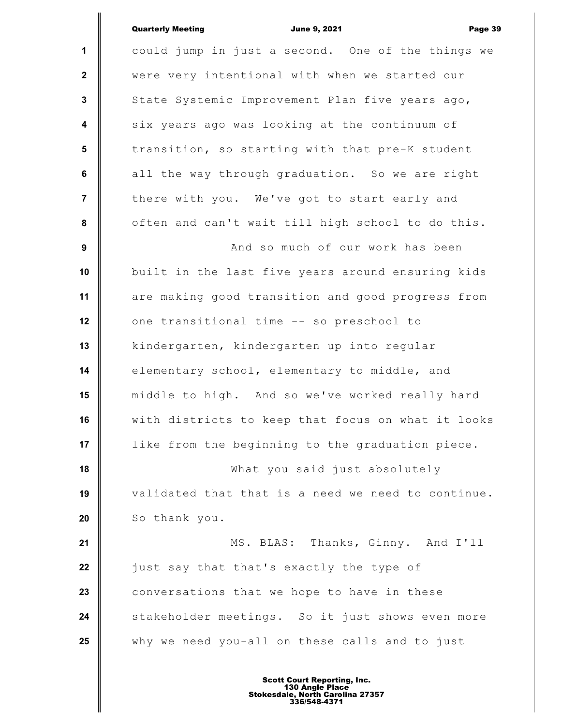|                         | <b>Quarterly Meeting</b><br><b>June 9, 2021</b><br>Page 39 |
|-------------------------|------------------------------------------------------------|
| $\mathbf 1$             | could jump in just a second. One of the things we          |
| $\mathbf{2}$            | were very intentional with when we started our             |
| $\mathbf{3}$            | State Systemic Improvement Plan five years ago,            |
| $\overline{\mathbf{4}}$ | six years ago was looking at the continuum of              |
| 5                       | transition, so starting with that pre-K student            |
| $6\phantom{a}$          | all the way through graduation. So we are right            |
| $\overline{7}$          | there with you. We've got to start early and               |
| 8                       | often and can't wait till high school to do this.          |
| $\boldsymbol{9}$        | And so much of our work has been                           |
| 10                      | built in the last five years around ensuring kids          |
| 11                      | are making good transition and good progress from          |
| 12                      | one transitional time -- so preschool to                   |
| 13                      | kindergarten, kindergarten up into regular                 |
| 14                      | elementary school, elementary to middle, and               |
| 15                      | middle to high. And so we've worked really hard            |
| 16                      | with districts to keep that focus on what it looks         |
| 17                      | like from the beginning to the graduation piece.           |
| 18                      | What you said just absolutely                              |
| 19                      | validated that that is a need we need to continue.         |
| 20                      | So thank you.                                              |
| 21                      | MS. BLAS: Thanks, Ginny. And I'll                          |
| 22                      | just say that that's exactly the type of                   |
| 23                      | conversations that we hope to have in these                |
| 24                      | stakeholder meetings. So it just shows even more           |
| 25                      | why we need you-all on these calls and to just             |
|                         |                                                            |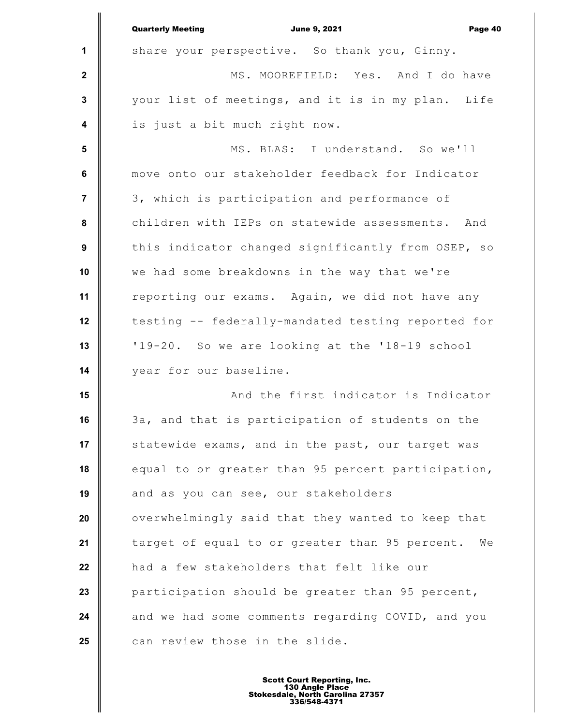|                  | <b>Quarterly Meeting</b><br><b>June 9, 2021</b><br>Page 40 |
|------------------|------------------------------------------------------------|
| 1                | share your perspective. So thank you, Ginny.               |
| $\mathbf{2}$     | MS. MOOREFIELD: Yes. And I do have                         |
| $\mathbf{3}$     | your list of meetings, and it is in my plan. Life          |
| $\boldsymbol{4}$ | is just a bit much right now.                              |
| $5\phantom{1}$   | MS. BLAS: I understand. So we'll                           |
| 6                | move onto our stakeholder feedback for Indicator           |
| $\overline{7}$   | 3, which is participation and performance of               |
| 8                | children with IEPs on statewide assessments. And           |
| $\boldsymbol{9}$ | this indicator changed significantly from OSEP, so         |
| 10               | we had some breakdowns in the way that we're               |
| 11               | reporting our exams. Again, we did not have any            |
| 12               | testing -- federally-mandated testing reported for         |
| 13               | '19-20. So we are looking at the '18-19 school             |
| 14               | year for our baseline.                                     |
| 15               | And the first indicator is Indicator                       |
| 16               | 3a, and that is participation of students on the           |
| 17               | statewide exams, and in the past, our target was           |
| 18               | equal to or greater than 95 percent participation,         |
| 19               | and as you can see, our stakeholders                       |
| 20               | overwhelmingly said that they wanted to keep that          |
| 21               | target of equal to or greater than 95 percent.<br>We       |
| 22               | had a few stakeholders that felt like our                  |
| 23               | participation should be greater than 95 percent,           |
| 24               | and we had some comments regarding COVID, and you          |
| 25               | can review those in the slide.                             |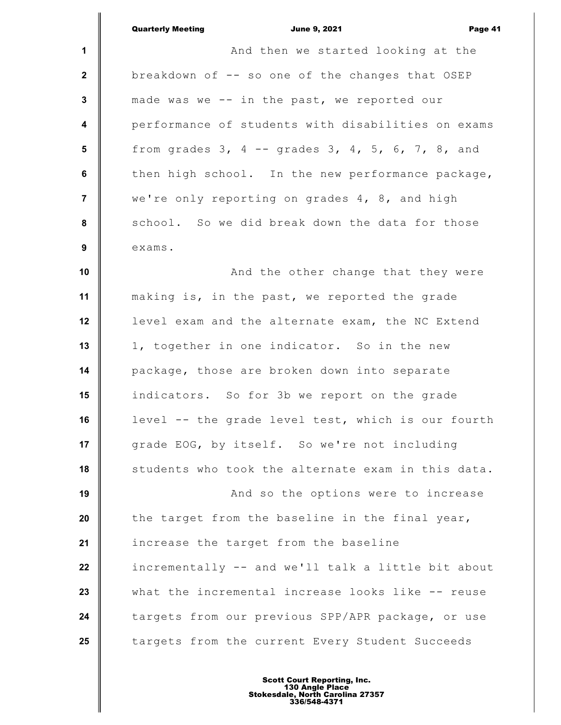**1 2 3 4 5 6 7 8 9 10 11 12 13 14 15 16 17 18 19 20 21 22 23 24 25** Quarterly Meeting **Communist Communist Communist Communist Communist Communist Communist Communist Communist Communist Communist Communist Page 41** And then we started looking at the breakdown of -- so one of the changes that OSEP made was we -- in the past, we reported our performance of students with disabilities on exams from grades  $3$ ,  $4$  -- grades  $3$ ,  $4$ ,  $5$ ,  $6$ ,  $7$ ,  $8$ , and then high school. In the new performance package, we're only reporting on grades 4, 8, and high school. So we did break down the data for those exams. And the other change that they were making is, in the past, we reported the grade level exam and the alternate exam, the NC Extend 1, together in one indicator. So in the new package, those are broken down into separate indicators. So for 3b we report on the grade level -- the grade level test, which is our fourth grade EOG, by itself. So we're not including students who took the alternate exam in this data. And so the options were to increase the target from the baseline in the final year, increase the target from the baseline incrementally -- and we'll talk a little bit about what the incremental increase looks like -- reuse targets from our previous SPP/APR package, or use targets from the current Every Student Succeeds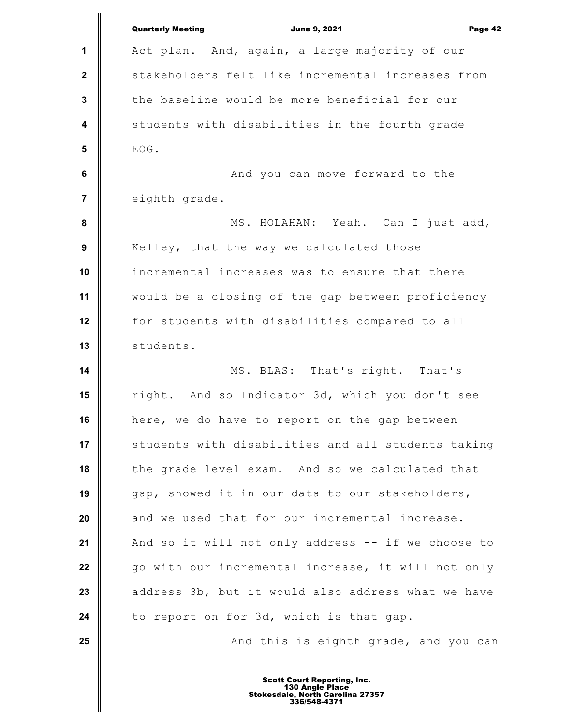|                         | <b>Quarterly Meeting</b><br><b>June 9, 2021</b><br>Page 42 |
|-------------------------|------------------------------------------------------------|
| 1                       | Act plan. And, again, a large majority of our              |
| $\mathbf 2$             | stakeholders felt like incremental increases from          |
| 3                       | the baseline would be more beneficial for our              |
| $\overline{\mathbf{4}}$ | students with disabilities in the fourth grade             |
| $5\phantom{1}$          | EOG.                                                       |
| 6                       | And you can move forward to the                            |
| 7                       | eighth grade.                                              |
| 8                       | MS. HOLAHAN: Yeah. Can I just add,                         |
| $\boldsymbol{9}$        | Kelley, that the way we calculated those                   |
| 10                      | incremental increases was to ensure that there             |
| 11                      | would be a closing of the gap between proficiency          |
| 12                      | for students with disabilities compared to all             |
| 13                      | students.                                                  |
| 14                      | MS. BLAS: That's right. That's                             |
| 15                      | right. And so Indicator 3d, which you don't see            |
| 16                      | here, we do have to report on the gap between              |
| 17                      | students with disabilities and all students taking         |
| 18                      | the grade level exam. And so we calculated that            |
| 19                      | gap, showed it in our data to our stakeholders,            |
| 20                      | and we used that for our incremental increase.             |
| 21                      | And so it will not only address -- if we choose to         |
| 22                      | go with our incremental increase, it will not only         |
| 23                      | address 3b, but it would also address what we have         |
| 24                      | to report on for 3d, which is that gap.                    |
| 25                      | And this is eighth grade, and you can                      |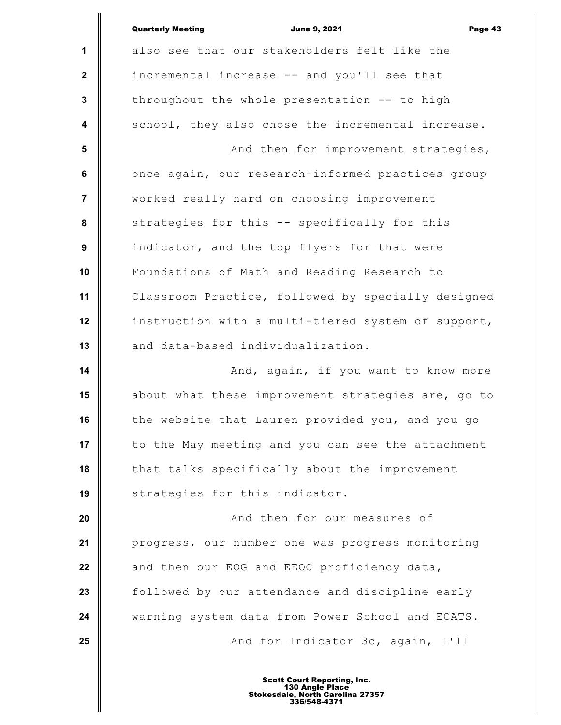|                | <b>Quarterly Meeting</b><br><b>June 9, 2021</b><br>Page 43 |
|----------------|------------------------------------------------------------|
| 1              | also see that our stakeholders felt like the               |
| $\mathbf{2}$   | incremental increase -- and you'll see that                |
| 3              | throughout the whole presentation -- to high               |
| 4              | school, they also chose the incremental increase.          |
| 5              | And then for improvement strategies,                       |
| $\bf 6$        | once again, our research-informed practices group          |
| $\overline{7}$ | worked really hard on choosing improvement                 |
| 8              | strategies for this -- specifically for this               |
| 9              | indicator, and the top flyers for that were                |
| 10             | Foundations of Math and Reading Research to                |
| 11             | Classroom Practice, followed by specially designed         |
| 12             | instruction with a multi-tiered system of support,         |
| 13             | and data-based individualization.                          |
| 14             | And, again, if you want to know more                       |
| 15             | about what these improvement strategies are, go to         |
| 16             | the website that Lauren provided you, and you go           |
| 17             | to the May meeting and you can see the attachment          |
| 18             | that talks specifically about the improvement              |
| 19             | strategies for this indicator.                             |
| 20             | And then for our measures of                               |
| 21             | progress, our number one was progress monitoring           |
| 22             | and then our EOG and EEOC proficiency data,                |
| 23             | followed by our attendance and discipline early            |
| 24             | warning system data from Power School and ECATS.           |
| 25             | And for Indicator 3c, again, I'll                          |
|                | <b>Scott Court Reporting, Inc.</b>                         |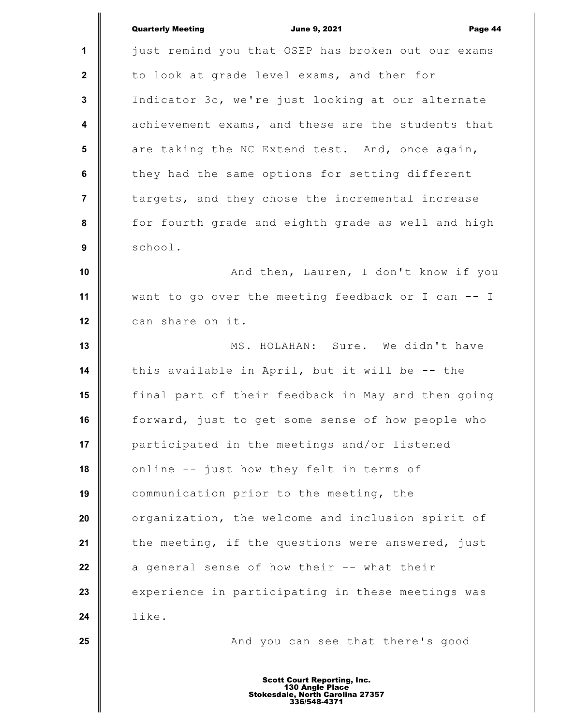|                         | <b>Quarterly Meeting</b><br><b>June 9, 2021</b><br>Page 44 |
|-------------------------|------------------------------------------------------------|
| $\mathbf 1$             | just remind you that OSEP has broken out our exams         |
| $\mathbf{2}$            | to look at grade level exams, and then for                 |
| $\mathbf{3}$            | Indicator 3c, we're just looking at our alternate          |
| $\overline{\mathbf{4}}$ | achievement exams, and these are the students that         |
| 5                       | are taking the NC Extend test. And, once again,            |
| 6                       | they had the same options for setting different            |
| $\overline{7}$          | targets, and they chose the incremental increase           |
| 8                       | for fourth grade and eighth grade as well and high         |
| 9                       | school.                                                    |
| 10                      | And then, Lauren, I don't know if you                      |
| 11                      | want to go over the meeting feedback or I can -- I         |
| 12                      | can share on it.                                           |
| 13                      | MS. HOLAHAN: Sure. We didn't have                          |
| 14                      | this available in April, but it will be -- the             |
| 15                      | final part of their feedback in May and then going         |
| 16                      | forward, just to get some sense of how people who          |
| 17                      | participated in the meetings and/or listened               |
| 18                      | online -- just how they felt in terms of                   |
| 19                      | communication prior to the meeting, the                    |
| 20                      | organization, the welcome and inclusion spirit of          |
| 21                      | the meeting, if the questions were answered, just          |
| 22                      | a general sense of how their -- what their                 |
| 23                      | experience in participating in these meetings was          |
| 24                      | like.                                                      |
| 25                      | And you can see that there's good                          |
|                         |                                                            |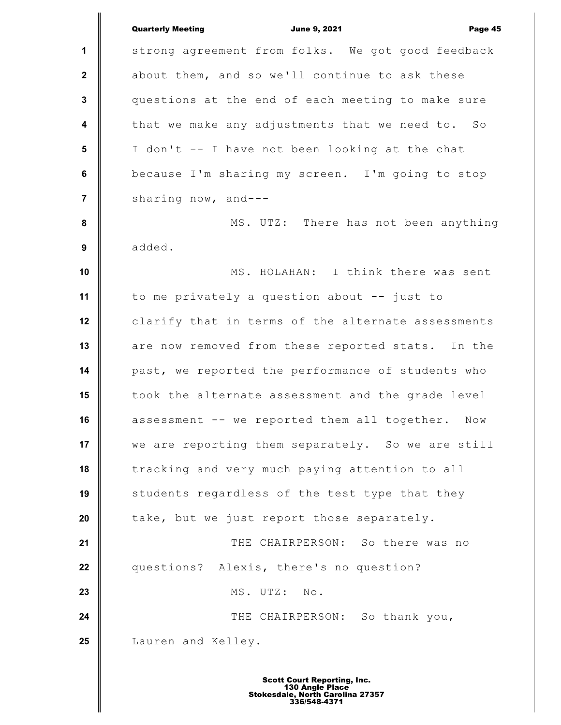**1 2 3 4 5 6 7 8 9 10 11 12 13 14 15 16 17 18 19 20 21 22 23 24 25** Quarterly Meeting **Communist Communist Communist Communist Communist Communist Communist Communist Communist Communist Communist Communist Page 45** strong agreement from folks. We got good feedback about them, and so we'll continue to ask these questions at the end of each meeting to make sure that we make any adjustments that we need to. So I don't -- I have not been looking at the chat because I'm sharing my screen. I'm going to stop sharing now, and--- MS. UTZ: There has not been anything added. MS. HOLAHAN: I think there was sent to me privately a question about -- just to clarify that in terms of the alternate assessments are now removed from these reported stats. In the past, we reported the performance of students who took the alternate assessment and the grade level assessment -- we reported them all together. Now we are reporting them separately. So we are still tracking and very much paying attention to all students regardless of the test type that they take, but we just report those separately. THE CHAIRPERSON: So there was no questions? Alexis, there's no question? MS. UTZ: No. THE CHAIRPERSON: So thank you, Lauren and Kelley.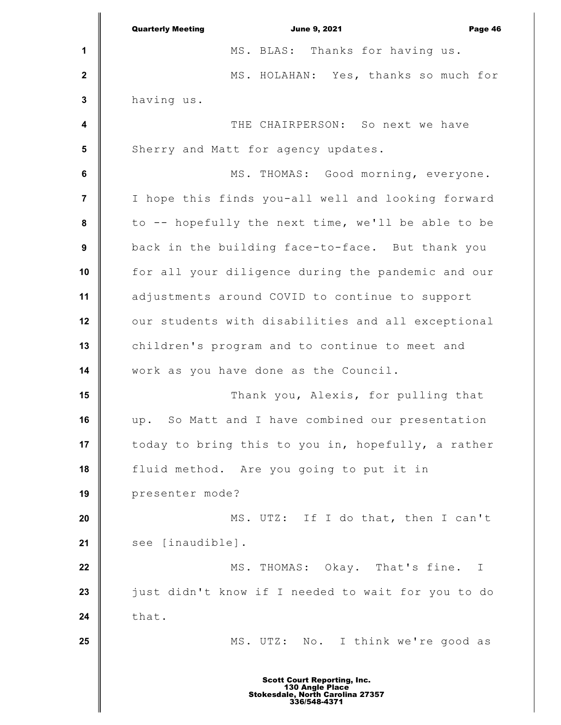**1 2 3 4 5 6 7 8 9 10 11 12 13 14 15 16 17 18 19 20 21 22 23 24 25** Quarterly Meeting **Communist Communist Communist Communist Communist Communist Communist Communist Communist Communist Communist Communist Communist Communist Communist Communist Communist Communist Communist Communist Com** MS. BLAS: Thanks for having us. MS. HOLAHAN: Yes, thanks so much for having us. THE CHAIRPERSON: So next we have Sherry and Matt for agency updates. MS. THOMAS: Good morning, everyone. I hope this finds you-all well and looking forward to -- hopefully the next time, we'll be able to be back in the building face-to-face. But thank you for all your diligence during the pandemic and our adjustments around COVID to continue to support our students with disabilities and all exceptional children's program and to continue to meet and work as you have done as the Council. Thank you, Alexis, for pulling that up. So Matt and I have combined our presentation today to bring this to you in, hopefully, a rather fluid method. Are you going to put it in presenter mode? MS. UTZ: If I do that, then I can't see [inaudible]. MS. THOMAS: Okay. That's fine. I just didn't know if I needed to wait for you to do that. MS. UTZ: No. I think we're good as Scott Court Reporting, Inc. 130 Angle Place Stokesdale, North Carolina 27357 336/548-4371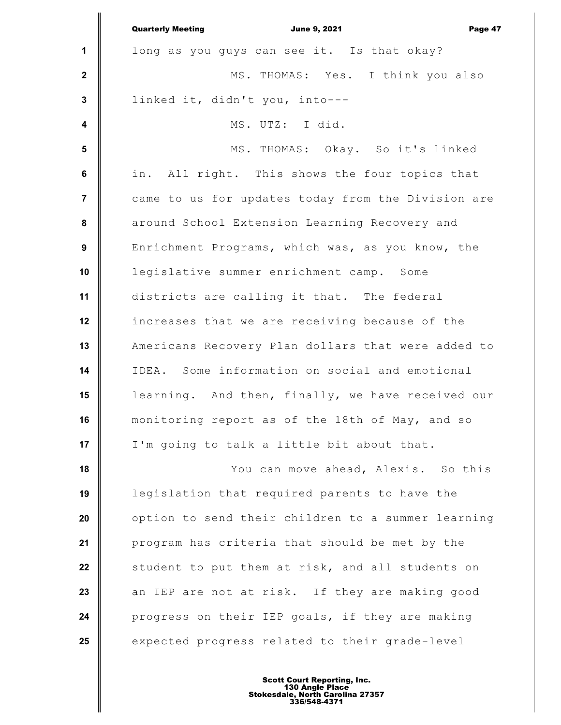|                  | <b>Quarterly Meeting</b><br><b>June 9, 2021</b><br>Page 47 |
|------------------|------------------------------------------------------------|
| $\mathbf{1}$     | long as you guys can see it. Is that okay?                 |
| $\mathbf{2}$     | MS. THOMAS: Yes. I think you also                          |
| $\mathbf{3}$     | linked it, didn't you, into---                             |
| $\boldsymbol{4}$ | MS. UTZ: I did.                                            |
| 5                | MS. THOMAS: Okay. So it's linked                           |
| 6                | in. All right. This shows the four topics that             |
| $\overline{7}$   | came to us for updates today from the Division are         |
| 8                | around School Extension Learning Recovery and              |
| 9                | Enrichment Programs, which was, as you know, the           |
| 10               | legislative summer enrichment camp. Some                   |
| 11               | districts are calling it that. The federal                 |
| 12               | increases that we are receiving because of the             |
| 13               | Americans Recovery Plan dollars that were added to         |
| 14               | IDEA. Some information on social and emotional             |
| 15               | learning. And then, finally, we have received our          |
| 16               | monitoring report as of the 18th of May, and so            |
| 17               | I'm going to talk a little bit about that.                 |
| 18               | You can move ahead, Alexis. So this                        |
| 19               | legislation that required parents to have the              |
| 20               | option to send their children to a summer learning         |
| 21               | program has criteria that should be met by the             |
| 22               | student to put them at risk, and all students on           |
| 23               | an IEP are not at risk. If they are making good            |
| 24               | progress on their IEP goals, if they are making            |
| 25               | expected progress related to their grade-level             |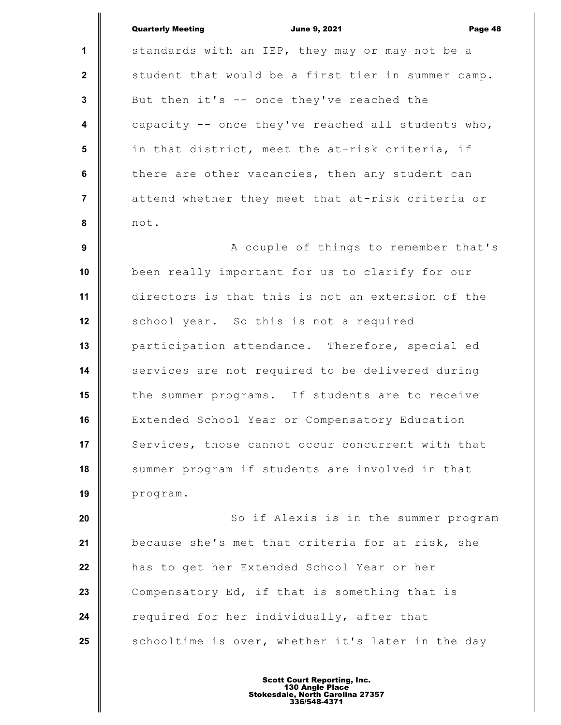| <b>Quarterly Meeting</b> |  |
|--------------------------|--|
|                          |  |

**June 9, 2021 Page 48** 

**1 2 3 4 5 6 7 8 9 10 11 12 13 14 15 16 17 18 19 20 21 22 23 24** standards with an IEP, they may or may not be a student that would be a first tier in summer camp. But then it's -- once they've reached the capacity -- once they've reached all students who, in that district, meet the at-risk criteria, if there are other vacancies, then any student can attend whether they meet that at-risk criteria or not. A couple of things to remember that's been really important for us to clarify for our directors is that this is not an extension of the school year. So this is not a required participation attendance. Therefore, special ed services are not required to be delivered during the summer programs. If students are to receive Extended School Year or Compensatory Education Services, those cannot occur concurrent with that summer program if students are involved in that program. So if Alexis is in the summer program because she's met that criteria for at risk, she has to get her Extended School Year or her Compensatory Ed, if that is something that is required for her individually, after that

schooltime is over, whether it's later in the day

**25**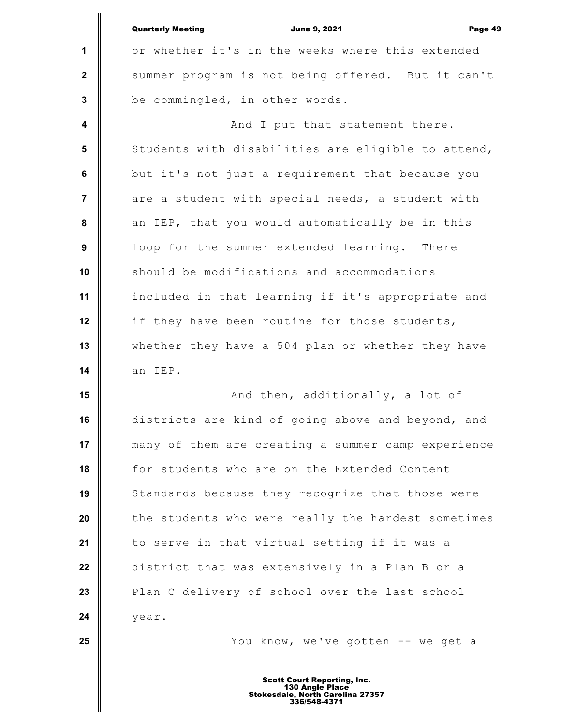|                | <b>Quarterly Meeting</b><br><b>June 9, 2021</b><br>Page 49 |
|----------------|------------------------------------------------------------|
| 1              | or whether it's in the weeks where this extended           |
| $\mathbf 2$    | summer program is not being offered. But it can't          |
| 3              | be commingled, in other words.                             |
| 4              | And I put that statement there.                            |
| 5              | Students with disabilities are eligible to attend,         |
| 6              | but it's not just a requirement that because you           |
| $\overline{7}$ | are a student with special needs, a student with           |
| 8              | an IEP, that you would automatically be in this            |
| 9              | loop for the summer extended learning. There               |
| 10             | should be modifications and accommodations                 |
| 11             | included in that learning if it's appropriate and          |
| 12             | if they have been routine for those students,              |
| 13             | whether they have a 504 plan or whether they have          |
| 14             | an IEP.                                                    |
| 15             | And then, additionally, a lot of                           |
| 16             | districts are kind of going above and beyond, and          |
| 17             | many of them are creating a summer camp experience         |
| 18             | for students who are on the Extended Content               |
| 19             | Standards because they recognize that those were           |
| 20             | the students who were really the hardest sometimes         |
| 21             | to serve in that virtual setting if it was a               |
| 22             | district that was extensively in a Plan B or a             |
| 23             | Plan C delivery of school over the last school             |
| 24             | year.                                                      |
| 25             | You know, we've gotten -- we get a                         |
|                |                                                            |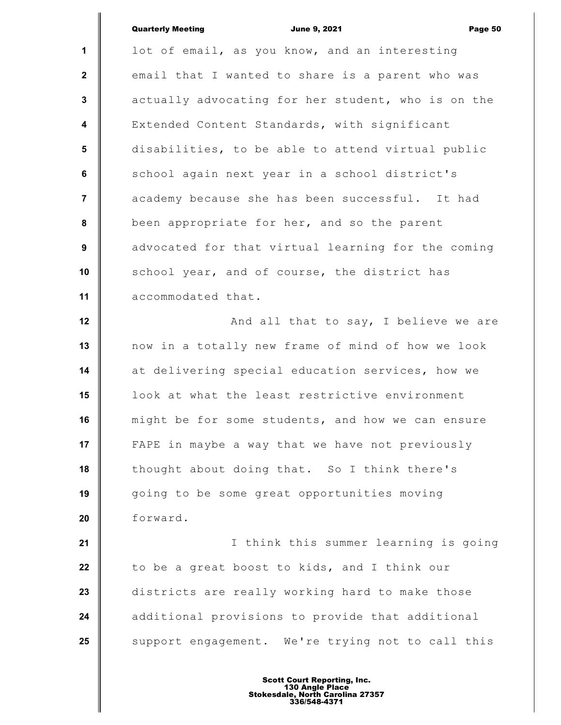|                         | <b>Quarterly Meeting</b><br><b>June 9, 2021</b><br>Page 50 |
|-------------------------|------------------------------------------------------------|
| 1                       | lot of email, as you know, and an interesting              |
| $\mathbf{2}$            | email that I wanted to share is a parent who was           |
| $\mathbf{3}$            | actually advocating for her student, who is on the         |
| $\overline{\mathbf{4}}$ | Extended Content Standards, with significant               |
| 5                       | disabilities, to be able to attend virtual public          |
| 6                       | school again next year in a school district's              |
| $\overline{7}$          | academy because she has been successful. It had            |
| 8                       | been appropriate for her, and so the parent                |
| 9                       | advocated for that virtual learning for the coming         |
| 10                      | school year, and of course, the district has               |
| 11                      | accommodated that.                                         |
| 12                      | And all that to say, I believe we are                      |
| 13                      | now in a totally new frame of mind of how we look          |
| 14                      | at delivering special education services, how we           |
| 15                      | look at what the least restrictive environment             |
| 16                      | might be for some students, and how we can ensure          |
| 17                      | FAPE in maybe a way that we have not previously            |
| 18                      | thought about doing that. So I think there's               |
| 19                      | going to be some great opportunities moving                |
| 20                      | forward.                                                   |
| 21                      | I think this summer learning is going                      |
| 22                      | to be a great boost to kids, and I think our               |
| 23                      | districts are really working hard to make those            |
| 24                      | additional provisions to provide that additional           |
| 25                      | support engagement. We're trying not to call this          |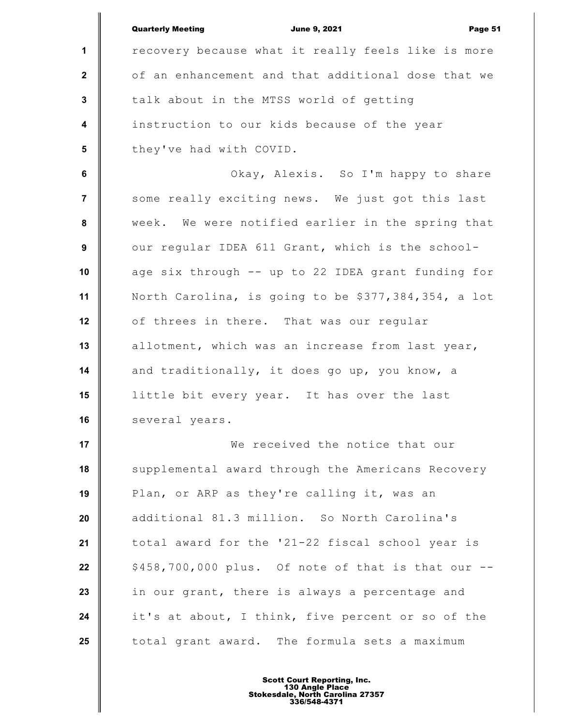|                | <b>Quarterly Meeting</b><br><b>June 9, 2021</b><br>Page 51 |
|----------------|------------------------------------------------------------|
| $\mathbf 1$    | recovery because what it really feels like is more         |
| $\mathbf{2}$   | of an enhancement and that additional dose that we         |
| $\mathbf{3}$   | talk about in the MTSS world of getting                    |
| 4              | instruction to our kids because of the year                |
| 5              | they've had with COVID.                                    |
| 6              | Okay, Alexis. So I'm happy to share                        |
| $\overline{7}$ | some really exciting news. We just got this last           |
| 8              | week. We were notified earlier in the spring that          |
| 9              | our regular IDEA 611 Grant, which is the school-           |
| 10             | age six through -- up to 22 IDEA grant funding for         |
| 11             | North Carolina, is going to be \$377,384,354, a lot        |
| 12             | of threes in there. That was our regular                   |
| 13             | allotment, which was an increase from last year,           |
| 14             | and traditionally, it does go up, you know, a              |
| 15             | little bit every year. It has over the last                |
| 16             | several years.                                             |
| 17             | We received the notice that our                            |
| 18             | supplemental award through the Americans Recovery          |
| 19             | Plan, or ARP as they're calling it, was an                 |
| 20             | additional 81.3 million. So North Carolina's               |
| 21             | total award for the '21-22 fiscal school year is           |
| 22             | \$458,700,000 plus. Of note of that is that our --         |
| 23             | in our grant, there is always a percentage and             |
| 24             | it's at about, I think, five percent or so of the          |
| 25             | total grant award. The formula sets a maximum              |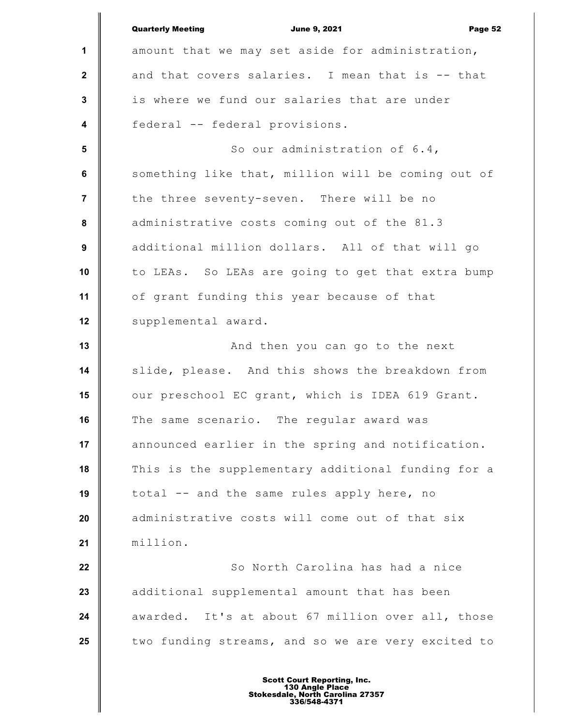|                         | <b>Quarterly Meeting</b><br><b>June 9, 2021</b><br>Page 52 |
|-------------------------|------------------------------------------------------------|
| 1                       | amount that we may set aside for administration,           |
| $\mathbf{2}$            | and that covers salaries. I mean that is -- that           |
| $\mathbf{3}$            | is where we fund our salaries that are under               |
| $\overline{\mathbf{4}}$ | federal -- federal provisions.                             |
| 5                       | So our administration of 6.4,                              |
| $6\phantom{a}$          | something like that, million will be coming out of         |
| $\overline{7}$          | the three seventy-seven. There will be no                  |
| $\pmb{8}$               | administrative costs coming out of the 81.3                |
| 9                       | additional million dollars. All of that will go            |
| 10                      | to LEAs. So LEAs are going to get that extra bump          |
| 11                      | of grant funding this year because of that                 |
| 12                      | supplemental award.                                        |
| 13                      | And then you can go to the next                            |
| 14                      | slide, please. And this shows the breakdown from           |
| 15                      | our preschool EC grant, which is IDEA 619 Grant.           |
| 16                      | The same scenario. The regular award was                   |
| 17                      | announced earlier in the spring and notification.          |
| 18                      | This is the supplementary additional funding for a         |
| 19                      | total -- and the same rules apply here, no                 |
| 20                      | administrative costs will come out of that six             |
| 21                      | million.                                                   |
| 22                      | So North Carolina has had a nice                           |
| 23                      | additional supplemental amount that has been               |
| 24                      | awarded. It's at about 67 million over all, those          |
| 25                      | two funding streams, and so we are very excited to         |
|                         |                                                            |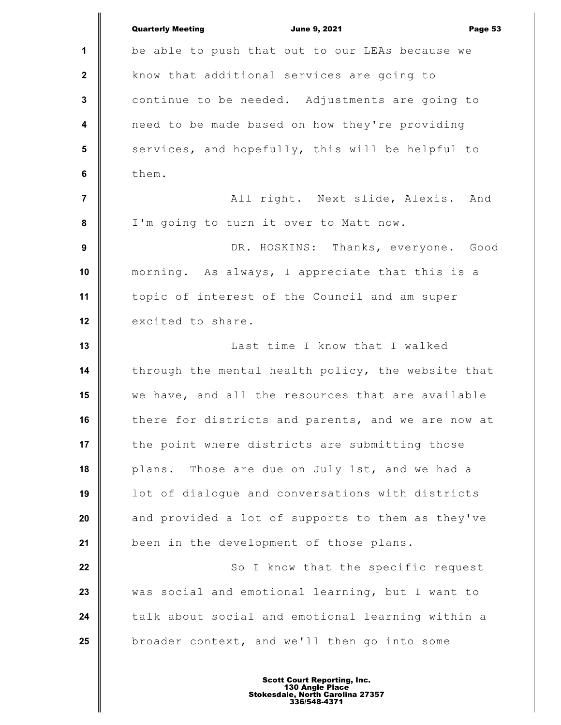**1 2 3 4 5 6 7 8 9 10 11 12 13 14 15 16 17 18 19 20 21 22 23 24 25** Quarterly Meeting **Communist Communist Communist Communist Communist Communist Communist Communist Communist Communist Communist Communist Communist Communist Communist Communist Communist Communist Communist Communist Com** be able to push that out to our LEAs because we know that additional services are going to continue to be needed. Adjustments are going to need to be made based on how they're providing services, and hopefully, this will be helpful to them. All right. Next slide, Alexis. And I'm going to turn it over to Matt now. DR. HOSKINS: Thanks, everyone. Good morning. As always, I appreciate that this is a topic of interest of the Council and am super excited to share. Last time I know that I walked through the mental health policy, the website that we have, and all the resources that are available there for districts and parents, and we are now at the point where districts are submitting those plans. Those are due on July 1st, and we had a lot of dialogue and conversations with districts and provided a lot of supports to them as they've been in the development of those plans. So I know that the specific request was social and emotional learning, but I want to talk about social and emotional learning within a broader context, and we'll then go into some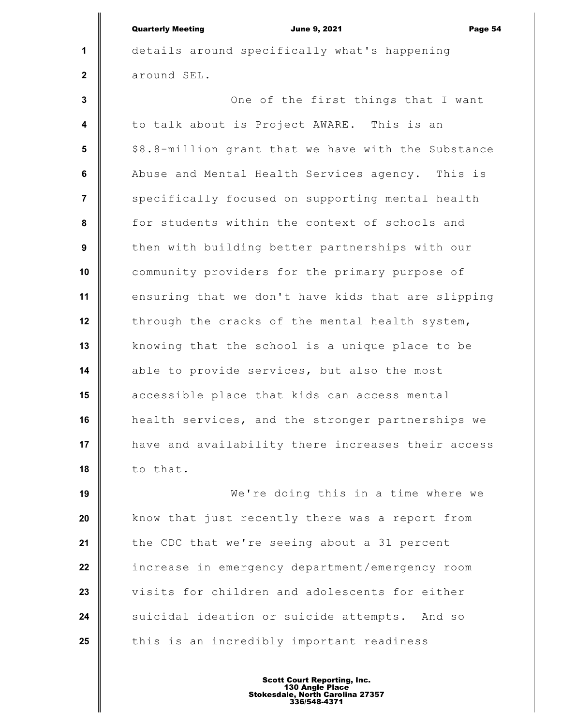|                         | <b>Quarterly Meeting</b><br><b>June 9, 2021</b><br>Page 54 |
|-------------------------|------------------------------------------------------------|
| $\mathbf 1$             | details around specifically what's happening               |
| $\mathbf{2}$            | around SEL.                                                |
| $\mathbf{3}$            | One of the first things that I want                        |
| $\overline{\mathbf{4}}$ | to talk about is Project AWARE. This is an                 |
| 5                       | \$8.8-million grant that we have with the Substance        |
| $\bf 6$                 | Abuse and Mental Health Services agency. This is           |
| $\overline{7}$          | specifically focused on supporting mental health           |
| 8                       | for students within the context of schools and             |
| 9                       | then with building better partnerships with our            |
| 10                      | community providers for the primary purpose of             |
| 11                      | ensuring that we don't have kids that are slipping         |
| 12                      | through the cracks of the mental health system,            |
| 13                      | knowing that the school is a unique place to be            |
| 14                      | able to provide services, but also the most                |
| 15                      | accessible place that kids can access mental               |
| 16                      | health services, and the stronger partnerships we          |
| 17                      | have and availability there increases their access         |
| 18                      | to that.                                                   |
| 19                      | We're doing this in a time where we                        |
|                         |                                                            |

**20 21 22 23 24 25** know that just recently there was a report from the CDC that we're seeing about a 31 percent increase in emergency department/emergency room visits for children and adolescents for either suicidal ideation or suicide attempts. And so this is an incredibly important readiness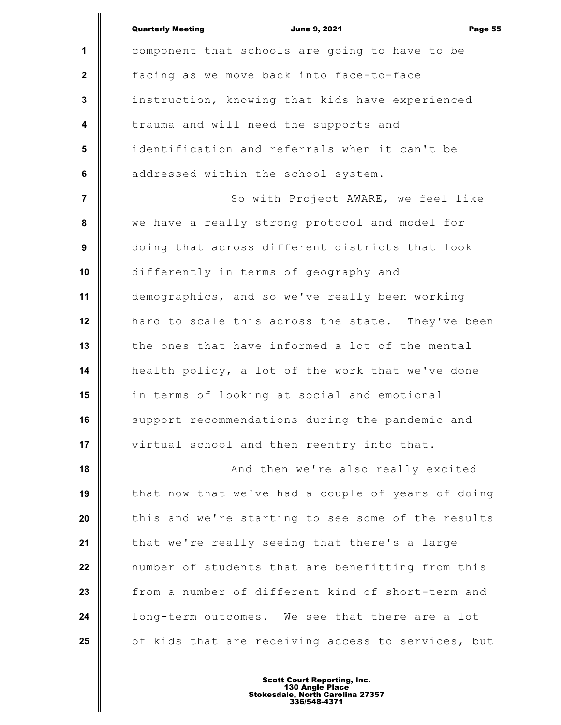|                  | <b>Quarterly Meeting</b><br><b>June 9, 2021</b><br>Page 55 |
|------------------|------------------------------------------------------------|
| 1                | component that schools are going to have to be             |
| $\mathbf{2}$     | facing as we move back into face-to-face                   |
| $\mathbf{3}$     | instruction, knowing that kids have experienced            |
| $\boldsymbol{4}$ | trauma and will need the supports and                      |
| 5                | identification and referrals when it can't be              |
| 6                | addressed within the school system.                        |
| $\overline{7}$   | So with Project AWARE, we feel like                        |
| 8                | we have a really strong protocol and model for             |
| 9                | doing that across different districts that look            |
| 10               | differently in terms of geography and                      |
| 11               | demographics, and so we've really been working             |
| 12               | hard to scale this across the state. They've been          |
| 13               | the ones that have informed a lot of the mental            |
| 14               | health policy, a lot of the work that we've done           |
| 15               | in terms of looking at social and emotional                |
| 16               | support recommendations during the pandemic and            |
| 17               | virtual school and then reentry into that.                 |
| 18               | And then we're also really excited                         |
| 19               | that now that we've had a couple of years of doing         |
| 20               | this and we're starting to see some of the results         |
| 21               | that we're really seeing that there's a large              |
| 22               | number of students that are benefitting from this          |
| 23               | from a number of different kind of short-term and          |
| 24               | long-term outcomes. We see that there are a lot            |
| 25               | of kids that are receiving access to services, but         |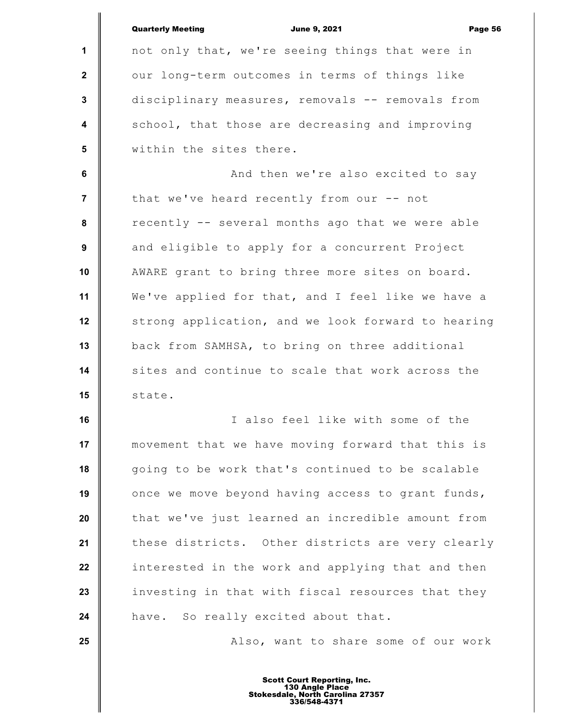|                         | <b>Quarterly Meeting</b><br><b>June 9, 2021</b><br>Page 56 |
|-------------------------|------------------------------------------------------------|
| $\mathbf 1$             | not only that, we're seeing things that were in            |
| $\mathbf{2}$            | our long-term outcomes in terms of things like             |
| 3                       | disciplinary measures, removals -- removals from           |
| $\overline{\mathbf{4}}$ | school, that those are decreasing and improving            |
| $5\phantom{.0}$         | within the sites there.                                    |
| 6                       | And then we're also excited to say                         |
| 7                       | that we've heard recently from our -- not                  |
| 8                       | recently -- several months ago that we were able           |
| 9                       | and eligible to apply for a concurrent Project             |
| 10                      | AWARE grant to bring three more sites on board.            |
| 11                      | We've applied for that, and I feel like we have a          |
| 12                      | strong application, and we look forward to hearing         |
| 13                      | back from SAMHSA, to bring on three additional             |
| 14                      | sites and continue to scale that work across the           |
| 15                      | state.                                                     |
| 16                      | I also feel like with some of the                          |
| 17                      | movement that we have moving forward that this is          |
| 18                      | going to be work that's continued to be scalable           |
| 19                      | once we move beyond having access to grant funds,          |
| 20                      | that we've just learned an incredible amount from          |
| 21                      | these districts. Other districts are very clearly          |
| 22                      | interested in the work and applying that and then          |
| 23                      | investing in that with fiscal resources that they          |
| 24                      | have. So really excited about that.                        |
| 25                      | Also, want to share some of our work                       |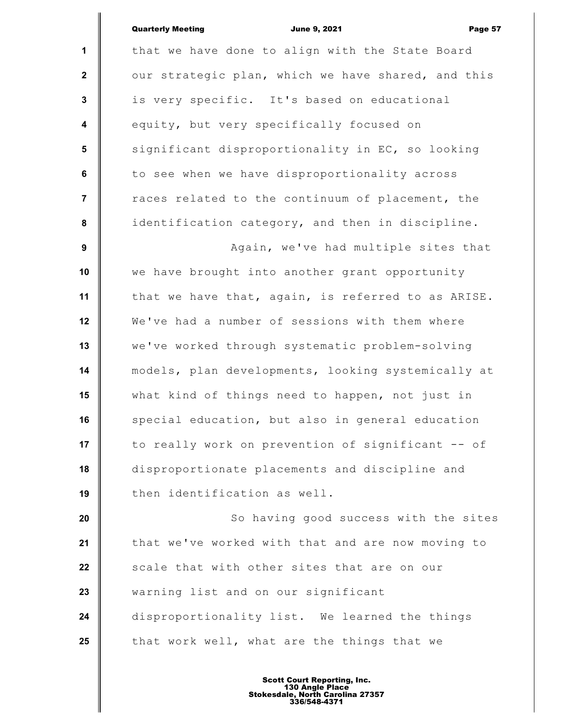| <b>Quarterly Meeting</b> |  |
|--------------------------|--|
|                          |  |

|                  | <b>Quarterly Meeting</b><br><b>June 9, 2021</b><br>Page 57 |
|------------------|------------------------------------------------------------|
| 1                | that we have done to align with the State Board            |
| $\mathbf{2}$     | our strategic plan, which we have shared, and this         |
| $\mathbf{3}$     | is very specific. It's based on educational                |
| $\boldsymbol{4}$ | equity, but very specifically focused on                   |
| $5\phantom{.0}$  | significant disproportionality in EC, so looking           |
| 6                | to see when we have disproportionality across              |
| $\overline{7}$   | races related to the continuum of placement, the           |
| 8                | identification category, and then in discipline.           |
| 9                | Again, we've had multiple sites that                       |
| 10               | we have brought into another grant opportunity             |
| 11               | that we have that, again, is referred to as ARISE.         |
| 12               | We've had a number of sessions with them where             |
| 13               | we've worked through systematic problem-solving            |
| 14               | models, plan developments, looking systemically at         |
| 15               | what kind of things need to happen, not just in            |
| 16               | special education, but also in general education           |
| 17               | to really work on prevention of significant -- of          |
| 18               | disproportionate placements and discipline and             |
| 19               | then identification as well.                               |
| 20               | So having good success with the sites                      |
| 21               | that we've worked with that and are now moving to          |
| 22               | scale that with other sites that are on our                |
| 23               | warning list and on our significant                        |
| 24               | disproportionality list. We learned the things             |
| 25               | that work well, what are the things that we                |
|                  |                                                            |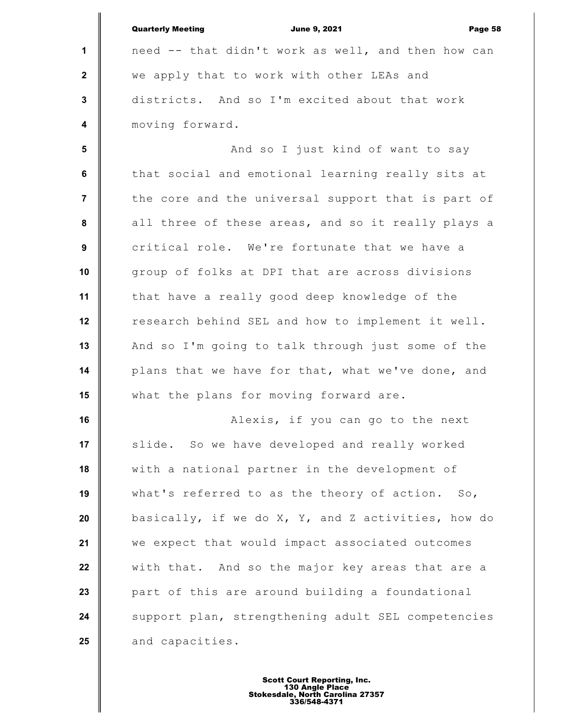|                         | <b>Quarterly Meeting</b><br><b>June 9, 2021</b><br>Page 58 |
|-------------------------|------------------------------------------------------------|
| $\mathbf 1$             | need -- that didn't work as well, and then how can         |
| $\mathbf{2}$            | we apply that to work with other LEAs and                  |
| $\mathbf{3}$            | districts. And so I'm excited about that work              |
| $\overline{\mathbf{4}}$ | moving forward.                                            |
| 5                       | And so I just kind of want to say                          |
| 6                       | that social and emotional learning really sits at          |
| $\overline{7}$          | the core and the universal support that is part of         |
| 8                       | all three of these areas, and so it really plays a         |
| 9                       | critical role. We're fortunate that we have a              |
| 10                      | group of folks at DPI that are across divisions            |
| 11                      | that have a really good deep knowledge of the              |
| 12                      | research behind SEL and how to implement it well.          |
| 13                      | And so I'm going to talk through just some of the          |
| 14                      | plans that we have for that, what we've done, and          |
| 15                      | what the plans for moving forward are.                     |
| 16                      | Alexis, if you can go to the next                          |
| 17                      | slide. So we have developed and really worked              |
| 18                      | with a national partner in the development of              |
| 19                      | what's referred to as the theory of action. So,            |
| 20                      | basically, if we do X, Y, and Z activities, how do         |
| 21                      | we expect that would impact associated outcomes            |
| 22                      | with that. And so the major key areas that are a           |
| 23                      | part of this are around building a foundational            |
| 24                      | support plan, strengthening adult SEL competencies         |
| 25                      | and capacities.                                            |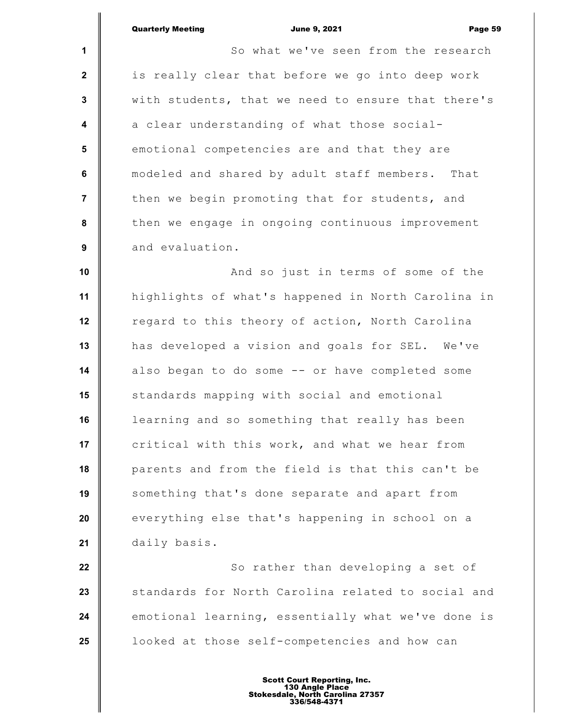**1 2 3 4 5 6 7 8 9 10 11 12 13 14 15 16 17 18 19 20 21** Quarterly Meeting **Communist Communist Communist Communist Communist Communist Communist Communist Communist Communist Communist Communist Page 59** So what we've seen from the research is really clear that before we go into deep work with students, that we need to ensure that there's a clear understanding of what those socialemotional competencies are and that they are modeled and shared by adult staff members. That then we begin promoting that for students, and then we engage in ongoing continuous improvement and evaluation. And so just in terms of some of the highlights of what's happened in North Carolina in regard to this theory of action, North Carolina has developed a vision and goals for SEL. We've also began to do some -- or have completed some standards mapping with social and emotional learning and so something that really has been critical with this work, and what we hear from parents and from the field is that this can't be something that's done separate and apart from everything else that's happening in school on a daily basis.

**22 23 24 25** So rather than developing a set of standards for North Carolina related to social and emotional learning, essentially what we've done is looked at those self-competencies and how can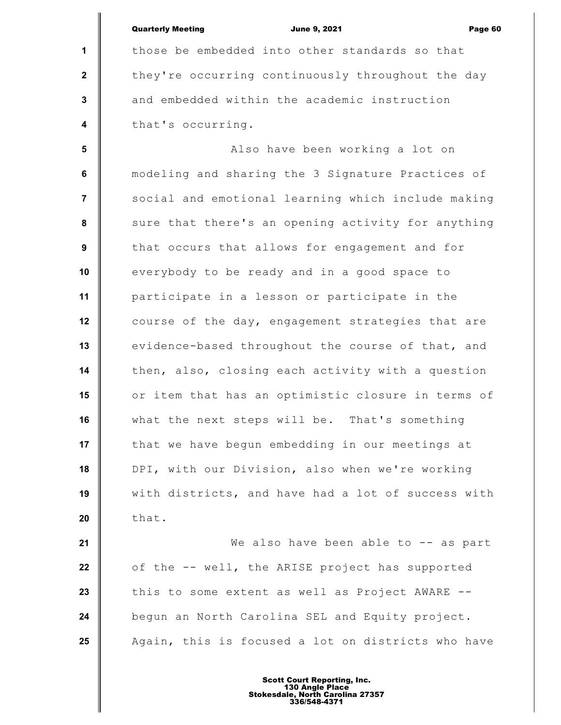**1 2 3 4 5 6 7 8 9 10 11 12 13 14 15 16 17 18 19 20 21 22** Quarterly Meeting **Communist Communist Communist Communist Communist Communist Communist Communist Communist Communist Communist Communist Communist Communist Communist Communist Communist Communist Communist Communist Com** those be embedded into other standards so that they're occurring continuously throughout the day and embedded within the academic instruction that's occurring. Also have been working a lot on modeling and sharing the 3 Signature Practices of social and emotional learning which include making sure that there's an opening activity for anything that occurs that allows for engagement and for everybody to be ready and in a good space to participate in a lesson or participate in the course of the day, engagement strategies that are evidence-based throughout the course of that, and then, also, closing each activity with a question or item that has an optimistic closure in terms of what the next steps will be. That's something that we have begun embedding in our meetings at DPI, with our Division, also when we're working with districts, and have had a lot of success with that. We also have been able to -- as part of the -- well, the ARISE project has supported

begun an North Carolina SEL and Equity project. Again, this is focused a lot on districts who have

this to some extent as well as Project AWARE --

**23**

**24**

**25**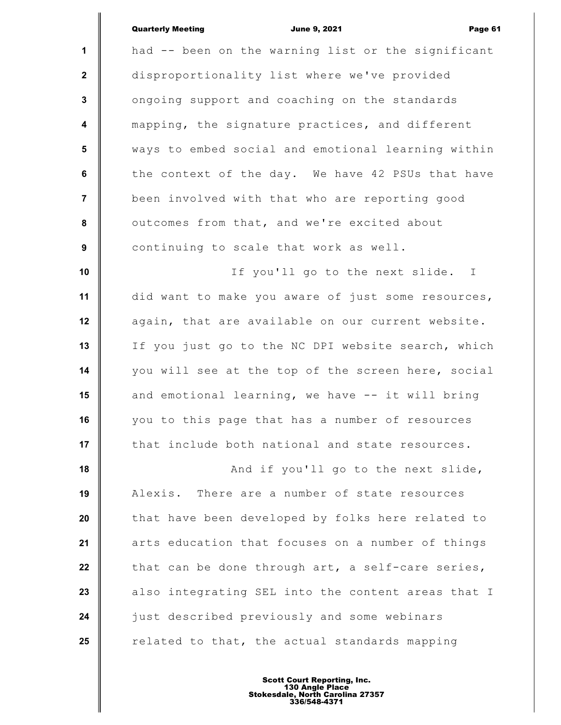| <b>Quarterly Meeting</b> |
|--------------------------|
|--------------------------|

|                         | <b>Quarterly Meeting</b><br><b>June 9, 2021</b><br>Page 61 |
|-------------------------|------------------------------------------------------------|
| $\mathbf{1}$            | had -- been on the warning list or the significant         |
| $\mathbf{2}$            | disproportionality list where we've provided               |
| $\mathbf{3}$            | ongoing support and coaching on the standards              |
| $\overline{\mathbf{4}}$ | mapping, the signature practices, and different            |
| 5                       | ways to embed social and emotional learning within         |
| 6                       | the context of the day. We have 42 PSUs that have          |
| $\overline{7}$          | been involved with that who are reporting good             |
| 8                       | outcomes from that, and we're excited about                |
| 9                       | continuing to scale that work as well.                     |
| 10                      | If you'll go to the next slide. I                          |
| 11                      | did want to make you aware of just some resources,         |
| 12                      | again, that are available on our current website.          |
| 13                      | If you just go to the NC DPI website search, which         |
| 14                      | you will see at the top of the screen here, social         |
| 15                      | and emotional learning, we have -- it will bring           |
| 16                      | you to this page that has a number of resources            |
| 17                      | that include both national and state resources.            |
| 18                      | And if you'll go to the next slide,                        |
| 19                      | Alexis. There are a number of state resources              |
| 20                      | that have been developed by folks here related to          |
| 21                      | arts education that focuses on a number of things          |
| 22                      | that can be done through art, a self-care series,          |
| 23                      | also integrating SEL into the content areas that I         |
| 24                      | just described previously and some webinars                |
| 25                      | related to that, the actual standards mapping              |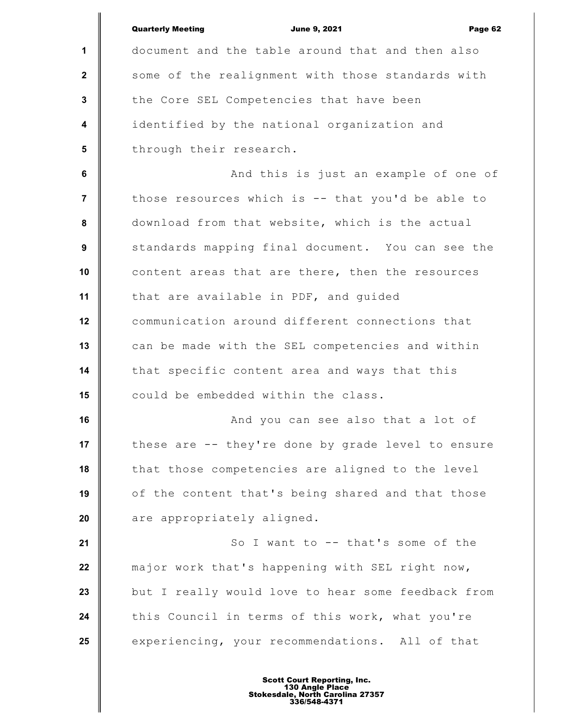|                  | <b>Quarterly Meeting</b><br><b>June 9, 2021</b><br>Page 62 |
|------------------|------------------------------------------------------------|
| $\mathbf 1$      | document and the table around that and then also           |
| $\mathbf{2}$     | some of the realignment with those standards with          |
| $\mathbf{3}$     | the Core SEL Competencies that have been                   |
| $\boldsymbol{4}$ | identified by the national organization and                |
| $5\phantom{1}$   | through their research.                                    |
| 6                | And this is just an example of one of                      |
| $\overline{7}$   | those resources which is -- that you'd be able to          |
| $\pmb{8}$        | download from that website, which is the actual            |
| 9                | standards mapping final document. You can see the          |
| 10               | content areas that are there, then the resources           |
| 11               | that are available in PDF, and guided                      |
| 12               | communication around different connections that            |
| 13               | can be made with the SEL competencies and within           |
| 14               | that specific content area and ways that this              |
| 15               | could be embedded within the class.                        |
| 16               | And you can see also that a lot of                         |
| 17               | these are -- they're done by grade level to ensure         |
| 18               | that those competencies are aligned to the level           |
| 19               | of the content that's being shared and that those          |
| 20               | are appropriately aligned.                                 |
| 21               | So I want to -- that's some of the                         |
| 22               | major work that's happening with SEL right now,            |
| 23               | but I really would love to hear some feedback from         |
| 24               | this Council in terms of this work, what you're            |
| 25               | experiencing, your recommendations. All of that            |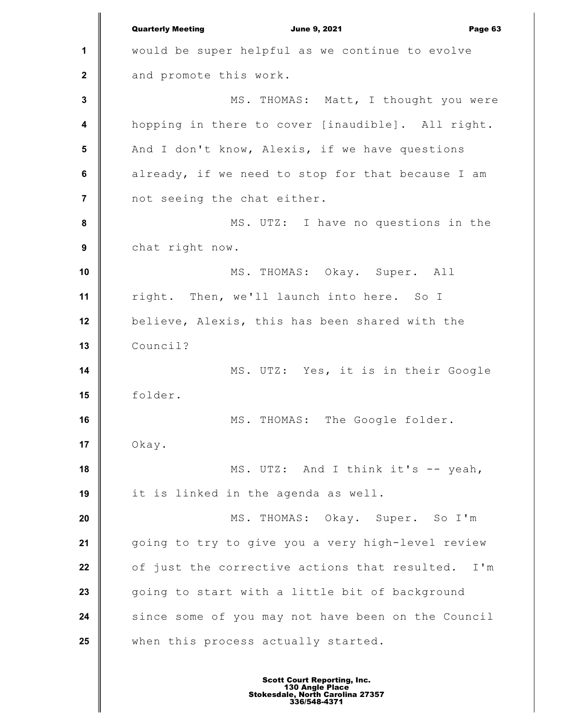**1 2 3 4 5 6 7 8 9 10 11 12 13 14 15 16 17 18 19 20 21 22 23 24 25** Quarterly Meeting **Communist Communist Communist Communist Communist Communist Communist Communist Communist Communist Communist Communist Communist Communist Communist Communist Communist Communist Communist Communist Com** would be super helpful as we continue to evolve and promote this work. MS. THOMAS: Matt, I thought you were hopping in there to cover [inaudible]. All right. And I don't know, Alexis, if we have questions already, if we need to stop for that because I am not seeing the chat either. MS. UTZ: I have no questions in the chat right now. MS. THOMAS: Okay. Super. All right. Then, we'll launch into here. So I believe, Alexis, this has been shared with the Council? MS. UTZ: Yes, it is in their Google folder. MS. THOMAS: The Google folder. Okay. MS. UTZ: And I think it's -- yeah, it is linked in the agenda as well. MS. THOMAS: Okay. Super. So I'm going to try to give you a very high-level review of just the corrective actions that resulted. I'm going to start with a little bit of background since some of you may not have been on the Council when this process actually started.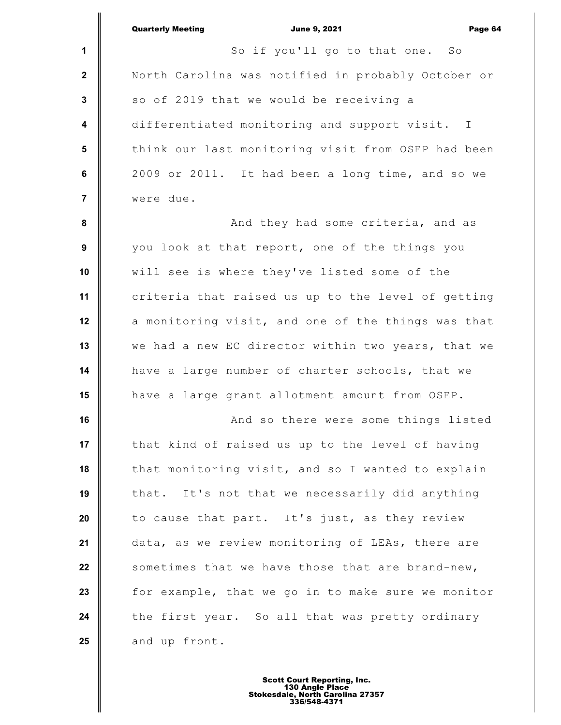|                | <b>Quarterly Meeting</b><br><b>June 9, 2021</b><br>Page 64 |
|----------------|------------------------------------------------------------|
| $\mathbf{1}$   | So if you'll go to that one. So                            |
| $\mathbf{2}$   | North Carolina was notified in probably October or         |
| 3              | so of 2019 that we would be receiving a                    |
| 4              | differentiated monitoring and support visit. I             |
| $5\phantom{1}$ | think our last monitoring visit from OSEP had been         |
| 6              | 2009 or 2011. It had been a long time, and so we           |
| 7              | were due.                                                  |
| 8              | And they had some criteria, and as                         |
| 9              | you look at that report, one of the things you             |
| 10             | will see is where they've listed some of the               |
| 11             | criteria that raised us up to the level of getting         |
| 12             | a monitoring visit, and one of the things was that         |
| 13             | we had a new EC director within two years, that we         |
| 14             | have a large number of charter schools, that we            |
| 15             | have a large grant allotment amount from OSEP.             |
| 16             | And so there were some things listed                       |
| 17             | that kind of raised us up to the level of having           |
| 18             | that monitoring visit, and so I wanted to explain          |
| 19             | that. It's not that we necessarily did anything            |
| 20             | to cause that part. It's just, as they review              |
| 21             | data, as we review monitoring of LEAs, there are           |
| 22             | sometimes that we have those that are brand-new,           |
| 23             | for example, that we go in to make sure we monitor         |
| 24             | the first year. So all that was pretty ordinary            |
| 25             | and up front.                                              |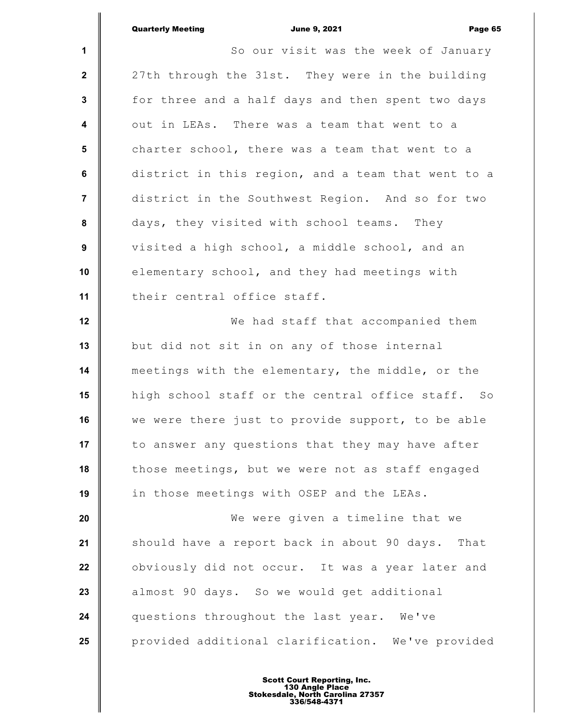**1 2 3 4 5 6 7 8 9 10 11 12 13 14 15 16 17 18 19 20 21 22 23 24 25** Quarterly Meeting **Communist Communist Communist Communist Communist Communist Communist Communist Communist Communist Communist Communist Communist Communist Communist Communist Communist Communist Communist Communist Com** So our visit was the week of January 27th through the 31st. They were in the building for three and a half days and then spent two days out in LEAs. There was a team that went to a charter school, there was a team that went to a district in this region, and a team that went to a district in the Southwest Region. And so for two days, they visited with school teams. They visited a high school, a middle school, and an elementary school, and they had meetings with their central office staff. We had staff that accompanied them but did not sit in on any of those internal meetings with the elementary, the middle, or the high school staff or the central office staff. So we were there just to provide support, to be able to answer any questions that they may have after those meetings, but we were not as staff engaged in those meetings with OSEP and the LEAs. We were given a timeline that we should have a report back in about 90 days. That obviously did not occur. It was a year later and almost 90 days. So we would get additional questions throughout the last year. We've provided additional clarification. We've provided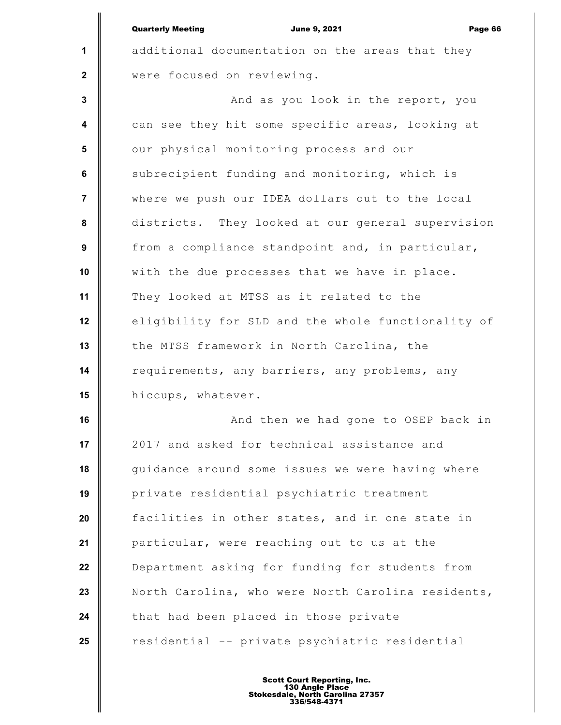|                  | <b>Quarterly Meeting</b><br><b>June 9, 2021</b><br>Page 66 |
|------------------|------------------------------------------------------------|
| 1                | additional documentation on the areas that they            |
| $\mathbf{2}$     | were focused on reviewing.                                 |
| $\mathbf{3}$     | And as you look in the report, you                         |
| $\boldsymbol{4}$ | can see they hit some specific areas, looking at           |
| 5                | our physical monitoring process and our                    |
| 6                | subrecipient funding and monitoring, which is              |
| $\overline{7}$   | where we push our IDEA dollars out to the local            |
| 8                | districts. They looked at our general supervision          |
| 9                | from a compliance standpoint and, in particular,           |
| 10               | with the due processes that we have in place.              |
| 11               | They looked at MTSS as it related to the                   |
| 12               | eligibility for SLD and the whole functionality of         |
| 13               | the MTSS framework in North Carolina, the                  |
| 14               | requirements, any barriers, any problems, any              |
| 15               | hiccups, whatever.                                         |
| 16               | And then we had gone to OSEP back in                       |
| 17               | 2017 and asked for technical assistance and                |
| 18               | guidance around some issues we were having where           |
| 19               | private residential psychiatric treatment                  |
| 20               | facilities in other states, and in one state in            |
| 21               | particular, were reaching out to us at the                 |
| 22               | Department asking for funding for students from            |
| 23               | North Carolina, who were North Carolina residents,         |
| 24               | that had been placed in those private                      |
| 25               | residential -- private psychiatric residential             |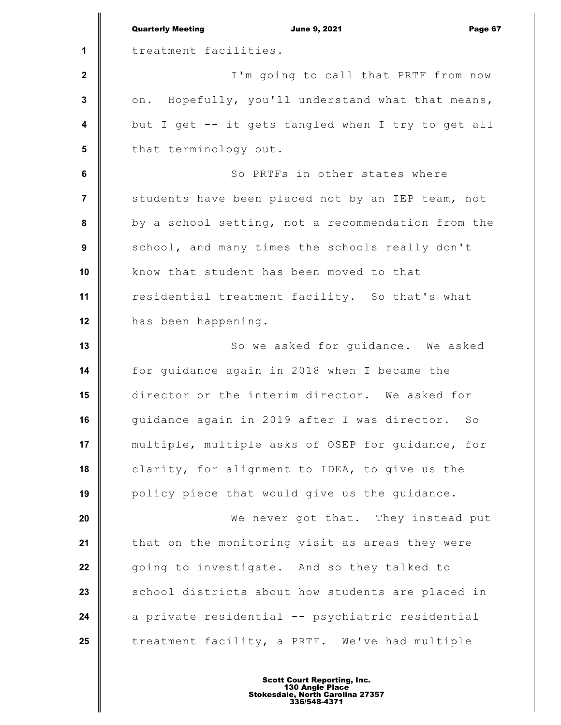|                         | <b>Quarterly Meeting</b><br><b>June 9, 2021</b><br>Page 67 |
|-------------------------|------------------------------------------------------------|
| 1                       | treatment facilities.                                      |
| $\mathbf{2}$            | I'm going to call that PRTF from now                       |
| 3                       | on. Hopefully, you'll understand what that means,          |
| $\overline{\mathbf{4}}$ | but I get -- it gets tangled when I try to get all         |
| $5\phantom{.0}$         | that terminology out.                                      |
| 6                       | So PRTFs in other states where                             |
| $\overline{\mathbf{r}}$ | students have been placed not by an IEP team, not          |
| 8                       | by a school setting, not a recommendation from the         |
| 9                       | school, and many times the schools really don't            |
| 10                      | know that student has been moved to that                   |
| 11                      | residential treatment facility. So that's what             |
| 12                      | has been happening.                                        |
| 13                      | So we asked for guidance. We asked                         |
| 14                      | for guidance again in 2018 when I became the               |
| 15                      | director or the interim director. We asked for             |
| 16                      | quidance again in 2019 after I was director. So            |
| 17                      | multiple, multiple asks of OSEP for guidance, for          |
| 18                      | clarity, for alignment to IDEA, to give us the             |
| 19                      | policy piece that would give us the guidance.              |
| 20                      | We never got that. They instead put                        |
| 21                      | that on the monitoring visit as areas they were            |
| 22                      | going to investigate. And so they talked to                |
| 23                      | school districts about how students are placed in          |
| 24                      | a private residential -- psychiatric residential           |
| 25                      | treatment facility, a PRTF. We've had multiple             |
|                         |                                                            |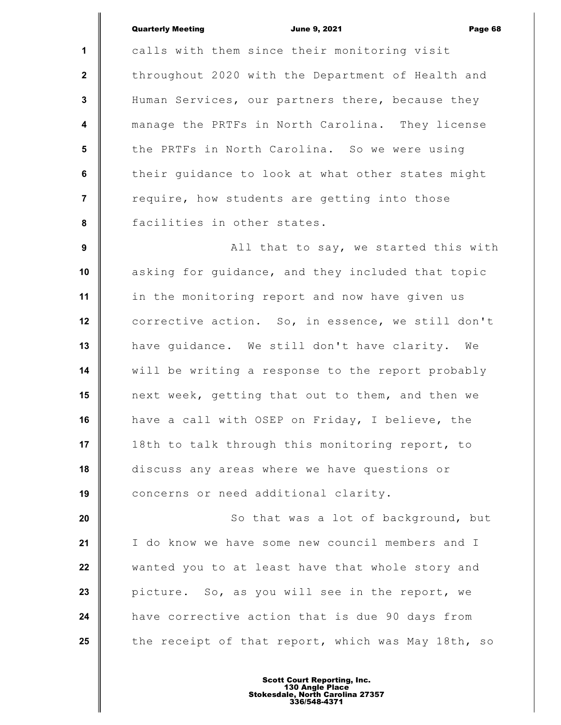Quarterly Meeting **Communist Communist Communist Communist Communist Communist Communist Communist Communist Communist Communist Communist Communist Communist Communist Communist Communist Communist Communist Communist Com** 

**1 2 3 4 5 6 7 8 9 10 11 12 13 14 15 16 17 18 19 20 21 22 23 24 25** calls with them since their monitoring visit throughout 2020 with the Department of Health and Human Services, our partners there, because they manage the PRTFs in North Carolina. They license the PRTFs in North Carolina. So we were using their guidance to look at what other states might require, how students are getting into those facilities in other states. All that to say, we started this with asking for guidance, and they included that topic in the monitoring report and now have given us corrective action. So, in essence, we still don't have guidance. We still don't have clarity. We will be writing a response to the report probably next week, getting that out to them, and then we have a call with OSEP on Friday, I believe, the 18th to talk through this monitoring report, to discuss any areas where we have questions or concerns or need additional clarity. So that was a lot of background, but I do know we have some new council members and I wanted you to at least have that whole story and picture. So, as you will see in the report, we have corrective action that is due 90 days from the receipt of that report, which was May 18th, so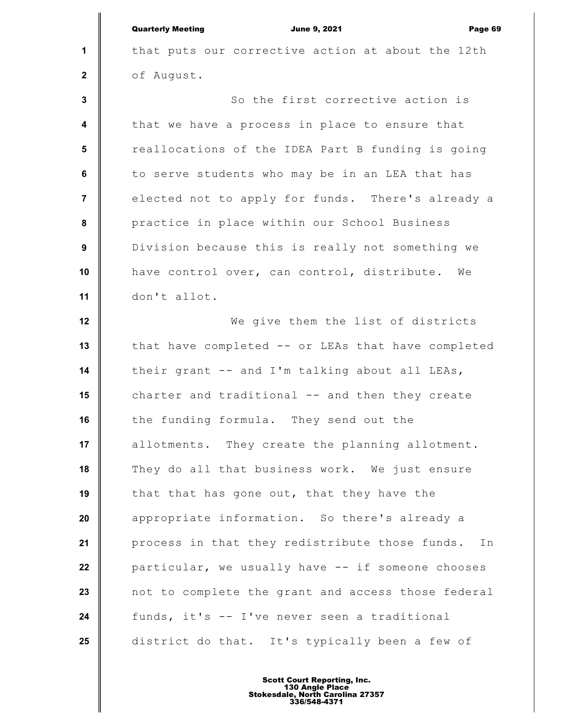**1 2 3 4 5 6 7 8 9 10 11 12 13 14 15 16 17 18 19 20 21 22 23 24 25** Quarterly Meeting **Communist Communist Communist Communist Communist Communist Communist Communist Communist Communist Communist Communist Communist Communist Communist Communist Communist Communist Communist Communist Com** that puts our corrective action at about the 12th of August. So the first corrective action is that we have a process in place to ensure that reallocations of the IDEA Part B funding is going to serve students who may be in an LEA that has elected not to apply for funds. There's already a practice in place within our School Business Division because this is really not something we have control over, can control, distribute. We don't allot. We give them the list of districts that have completed -- or LEAs that have completed their grant -- and I'm talking about all LEAs, charter and traditional -- and then they create the funding formula. They send out the allotments. They create the planning allotment. They do all that business work. We just ensure that that has gone out, that they have the appropriate information. So there's already a process in that they redistribute those funds. In particular, we usually have -- if someone chooses not to complete the grant and access those federal funds, it's -- I've never seen a traditional district do that. It's typically been a few of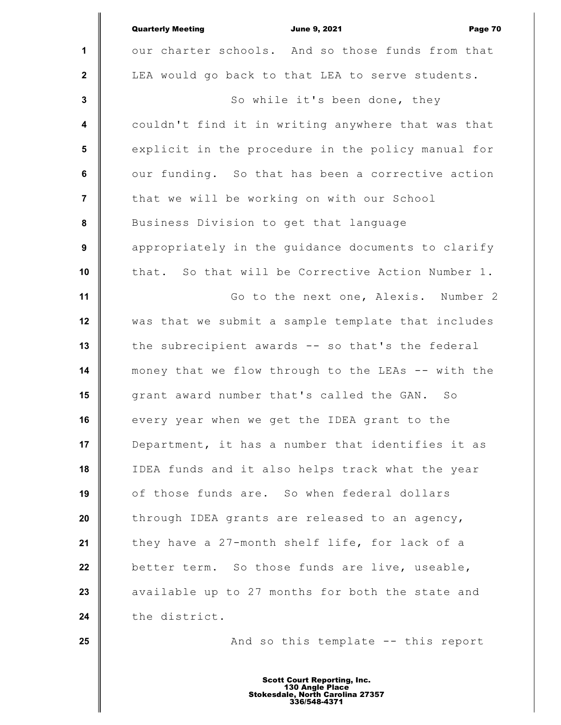|                         | <b>Quarterly Meeting</b><br><b>June 9, 2021</b><br>Page 70 |
|-------------------------|------------------------------------------------------------|
| $\mathbf{1}$            | our charter schools. And so those funds from that          |
| $\mathbf{2}$            | LEA would go back to that LEA to serve students.           |
| $\mathbf{3}$            | So while it's been done, they                              |
| $\overline{\mathbf{4}}$ | couldn't find it in writing anywhere that was that         |
| $5\phantom{1}$          | explicit in the procedure in the policy manual for         |
| $\bf 6$                 | our funding. So that has been a corrective action          |
| $\overline{7}$          | that we will be working on with our School                 |
| 8                       | Business Division to get that language                     |
| $\boldsymbol{9}$        | appropriately in the guidance documents to clarify         |
| 10                      | that. So that will be Corrective Action Number 1.          |
| 11                      | Go to the next one, Alexis. Number 2                       |
| 12                      | was that we submit a sample template that includes         |
| 13                      | the subrecipient awards -- so that's the federal           |
| 14                      | money that we flow through to the LEAs -- with the         |
| 15                      | grant award number that's called the GAN.<br>SO            |
| 16                      | every year when we get the IDEA grant to the               |
| 17                      | Department, it has a number that identifies it as          |
| 18                      | IDEA funds and it also helps track what the year           |
| 19                      | of those funds are. So when federal dollars                |
| 20                      | through IDEA grants are released to an agency,             |
| 21                      | they have a 27-month shelf life, for lack of a             |
| 22                      | better term. So those funds are live, useable,             |
| 23                      | available up to 27 months for both the state and           |
| 24                      | the district.                                              |
| 25                      | And so this template -- this report                        |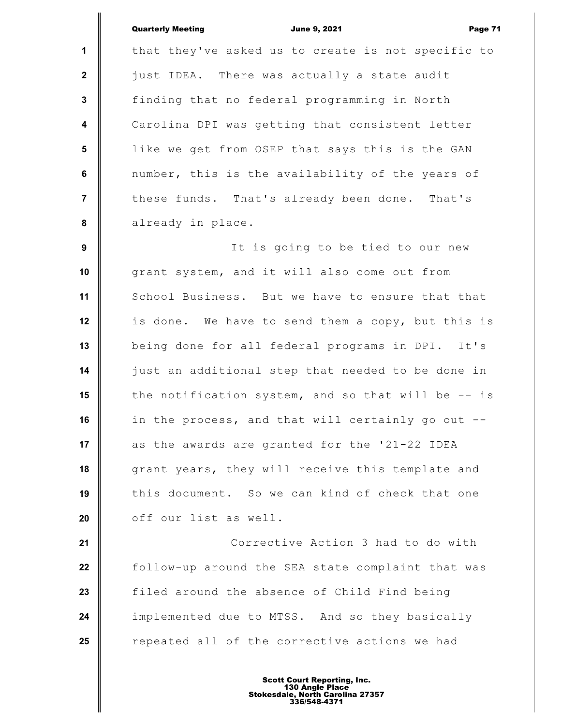|                         | Page 71<br><b>Quarterly Meeting</b><br><b>June 9, 2021</b> |
|-------------------------|------------------------------------------------------------|
| $\mathbf{1}$            | that they've asked us to create is not specific to         |
| $\mathbf{2}$            | just IDEA. There was actually a state audit                |
| $\mathbf{3}$            | finding that no federal programming in North               |
| $\overline{\mathbf{4}}$ | Carolina DPI was getting that consistent letter            |
| $5\phantom{1}$          | like we get from OSEP that says this is the GAN            |
| 6                       | number, this is the availability of the years of           |
| $\overline{7}$          | these funds. That's already been done. That's              |
| 8                       | already in place.                                          |
| $\boldsymbol{9}$        | It is going to be tied to our new                          |
| 10                      | grant system, and it will also come out from               |
| 11                      | School Business. But we have to ensure that that           |
| 12                      | is done. We have to send them a copy, but this is          |
| 13                      | being done for all federal programs in DPI. It's           |
| 14                      | just an additional step that needed to be done in          |
| 15                      | the notification system, and so that will be -- is         |
| 16                      | in the process, and that will certainly go out --          |
| 17                      | as the awards are granted for the '21-22 IDEA              |
| 18                      | grant years, they will receive this template and           |
| 19                      | this document. So we can kind of check that one            |
| 20                      | off our list as well.                                      |
| 21                      | Corrective Action 3 had to do with                         |
| 22                      | follow-up around the SEA state complaint that was          |
| 23                      | filed around the absence of Child Find being               |
| 24                      | implemented due to MTSS. And so they basically             |
| 25                      | repeated all of the corrective actions we had              |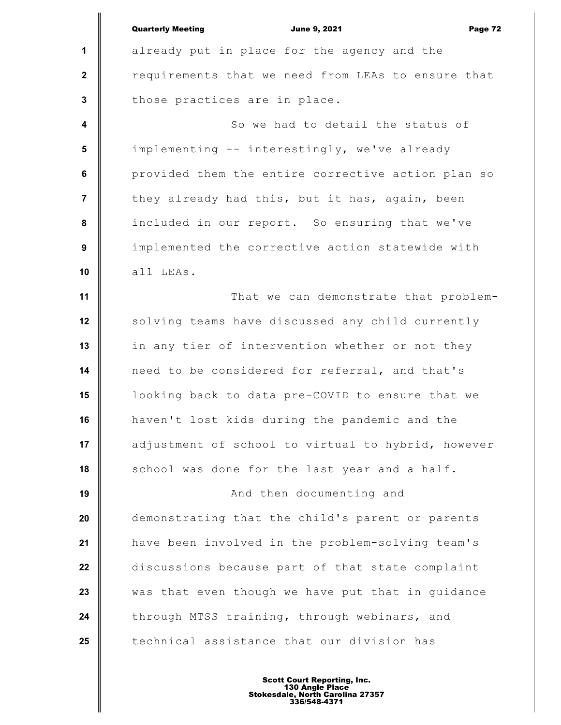**1 2 3 4 5 6 7 8 9 10 11 12 13 14 15 16 17 18 19 20 21 22 23 24 25** Quarterly Meeting **Communist Communist Communist Communist Communist Communist Communist Communist Communist Communist Communist Communist Page 72** already put in place for the agency and the requirements that we need from LEAs to ensure that those practices are in place. So we had to detail the status of implementing -- interestingly, we've already provided them the entire corrective action plan so they already had this, but it has, again, been included in our report. So ensuring that we've implemented the corrective action statewide with all LEAs. That we can demonstrate that problemsolving teams have discussed any child currently in any tier of intervention whether or not they need to be considered for referral, and that's looking back to data pre-COVID to ensure that we haven't lost kids during the pandemic and the adjustment of school to virtual to hybrid, however school was done for the last year and a half. And then documenting and demonstrating that the child's parent or parents have been involved in the problem-solving team's discussions because part of that state complaint was that even though we have put that in guidance through MTSS training, through webinars, and technical assistance that our division has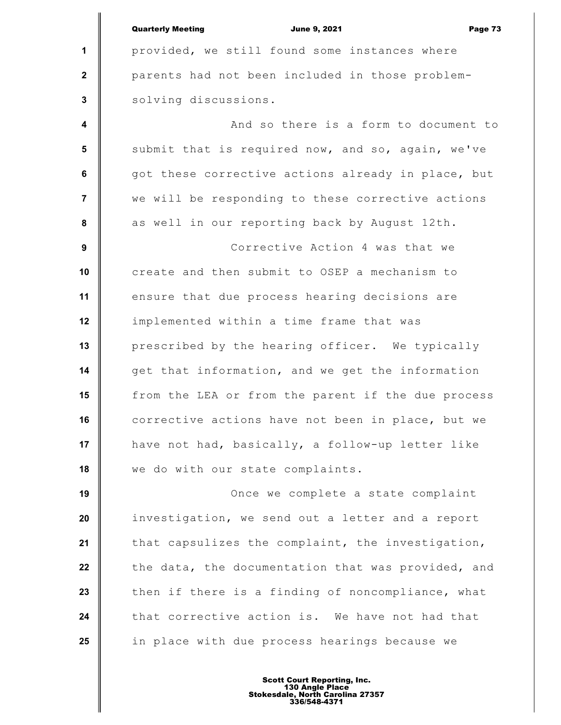|                         | <b>Quarterly Meeting</b><br><b>June 9, 2021</b><br>Page 73 |
|-------------------------|------------------------------------------------------------|
| $\mathbf 1$             | provided, we still found some instances where              |
| $\boldsymbol{2}$        | parents had not been included in those problem-            |
| $\mathbf 3$             | solving discussions.                                       |
| $\overline{\mathbf{4}}$ | And so there is a form to document to                      |
| 5                       | submit that is required now, and so, again, we've          |
| 6                       | got these corrective actions already in place, but         |
| $\overline{7}$          | we will be responding to these corrective actions          |
| 8                       | as well in our reporting back by August 12th.              |
| 9                       | Corrective Action 4 was that we                            |
| 10                      | create and then submit to OSEP a mechanism to              |
| 11                      | ensure that due process hearing decisions are              |
| 12                      | implemented within a time frame that was                   |
| 13                      | prescribed by the hearing officer. We typically            |
| 14                      | get that information, and we get the information           |
| 15                      | from the LEA or from the parent if the due process         |
| 16                      | corrective actions have not been in place, but we          |
| 17                      | have not had, basically, a follow-up letter like           |
| 18                      | we do with our state complaints.                           |
| 19                      | Once we complete a state complaint                         |
| 20                      | investigation, we send out a letter and a report           |
| 21                      | that capsulizes the complaint, the investigation,          |
| 22                      | the data, the documentation that was provided, and         |
| 23                      | then if there is a finding of noncompliance, what          |
| 24                      | that corrective action is. We have not had that            |
| 25                      | in place with due process hearings because we              |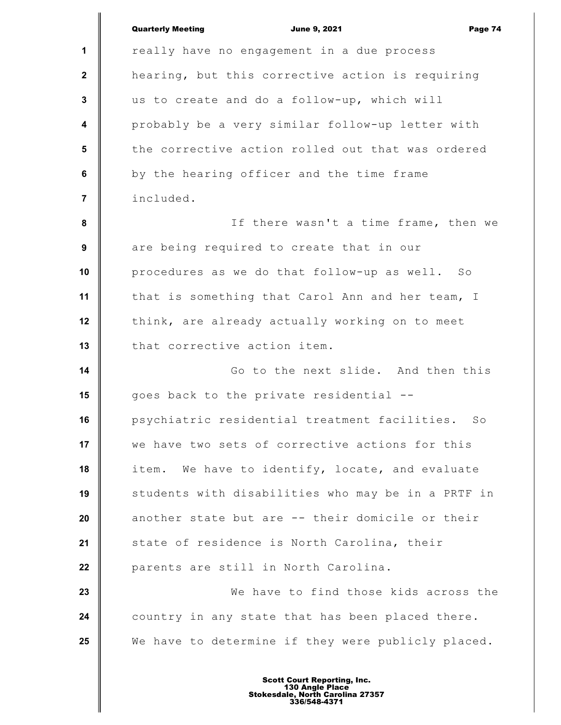|                         | <b>Quarterly Meeting</b><br><b>June 9, 2021</b><br>Page 74 |
|-------------------------|------------------------------------------------------------|
| 1                       | really have no engagement in a due process                 |
| $\mathbf{2}$            | hearing, but this corrective action is requiring           |
| 3                       | us to create and do a follow-up, which will                |
| $\overline{\mathbf{4}}$ | probably be a very similar follow-up letter with           |
| $5\phantom{.0}$         | the corrective action rolled out that was ordered          |
| 6                       | by the hearing officer and the time frame                  |
| $\overline{7}$          | included.                                                  |
| 8                       | If there wasn't a time frame, then we                      |
| 9                       | are being required to create that in our                   |
| 10                      | procedures as we do that follow-up as well. So             |
| 11                      | that is something that Carol Ann and her team, I           |
| 12                      | think, are already actually working on to meet             |
| 13                      | that corrective action item.                               |
| 14                      | Go to the next slide. And then this                        |
| 15                      | goes back to the private residential --                    |
| 16                      | psychiatric residential treatment facilities. So           |
| 17                      | we have two sets of corrective actions for this            |
| 18                      | We have to identify, locate, and evaluate<br>item.         |
| 19                      | students with disabilities who may be in a PRTF in         |
| 20                      | another state but are -- their domicile or their           |
| 21                      | state of residence is North Carolina, their                |
| 22                      | parents are still in North Carolina.                       |
| 23                      | We have to find those kids across the                      |
| 24                      | country in any state that has been placed there.           |
| 25                      | We have to determine if they were publicly placed.         |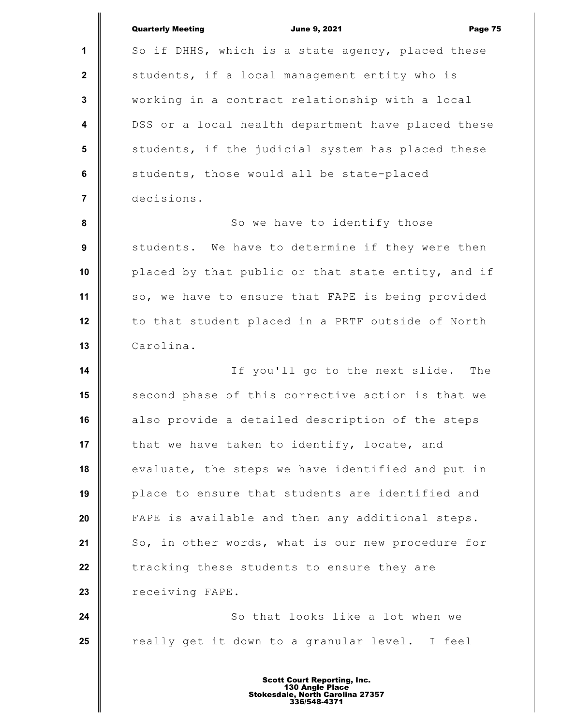|                         | <b>Quarterly Meeting</b><br><b>June 9, 2021</b><br>Page 75 |
|-------------------------|------------------------------------------------------------|
| 1                       | So if DHHS, which is a state agency, placed these          |
| $\mathbf{2}$            | students, if a local management entity who is              |
| 3                       | working in a contract relationship with a local            |
| $\overline{\mathbf{4}}$ | DSS or a local health department have placed these         |
| $5\phantom{.0}$         | students, if the judicial system has placed these          |
| $\bf 6$                 | students, those would all be state-placed                  |
| $\overline{7}$          | decisions.                                                 |
| 8                       | So we have to identify those                               |
| 9                       | students. We have to determine if they were then           |
| 10                      | placed by that public or that state entity, and if         |
| 11                      | so, we have to ensure that FAPE is being provided          |
| 12                      | to that student placed in a PRTF outside of North          |
| 13                      | Carolina.                                                  |
| 14                      | If you'll go to the next slide.<br>The                     |
| 15                      | second phase of this corrective action is that we          |
| 16                      | also provide a detailed description of the steps           |
| 17                      | that we have taken to identify, locate, and                |
| 18                      | evaluate, the steps we have identified and put in          |
| 19                      | place to ensure that students are identified and           |
| 20                      | FAPE is available and then any additional steps.           |
| 21                      | So, in other words, what is our new procedure for          |
| 22                      | tracking these students to ensure they are                 |
| 23                      | receiving FAPE.                                            |
| 24                      | So that looks like a lot when we                           |
| 25                      | really get it down to a granular level. I feel             |
|                         |                                                            |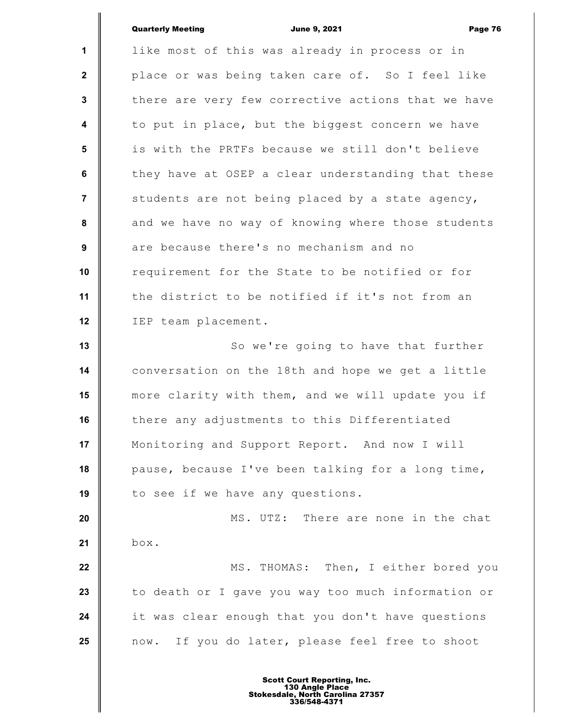|                         | <b>Quarterly Meeting</b><br><b>June 9, 2021</b><br>Page 76 |
|-------------------------|------------------------------------------------------------|
| $\mathbf{1}$            | like most of this was already in process or in             |
| $\boldsymbol{2}$        | place or was being taken care of. So I feel like           |
| 3                       | there are very few corrective actions that we have         |
| $\overline{\mathbf{4}}$ | to put in place, but the biggest concern we have           |
| 5                       | is with the PRTFs because we still don't believe           |
| 6                       | they have at OSEP a clear understanding that these         |
| $\overline{7}$          | students are not being placed by a state agency,           |
| 8                       | and we have no way of knowing where those students         |
| 9                       | are because there's no mechanism and no                    |
| 10                      | requirement for the State to be notified or for            |
| 11                      | the district to be notified if it's not from an            |
| 12                      | IEP team placement.                                        |
| 13                      | So we're going to have that further                        |
| 14                      | conversation on the 18th and hope we get a little          |
| 15                      | more clarity with them, and we will update you if          |
| 16                      | there any adjustments to this Differentiated               |
| 17                      | Monitoring and Support Report. And now I will              |
| 18                      | pause, because I've been talking for a long time,          |
| 19                      | to see if we have any questions.                           |
| 20                      | MS. UTZ: There are none in the chat                        |
| 21                      | box.                                                       |
| 22                      | MS. THOMAS: Then, I either bored you                       |
| 23                      | to death or I gave you way too much information or         |
| 24                      | it was clear enough that you don't have questions          |
| 25                      | now. If you do later, please feel free to shoot            |
|                         |                                                            |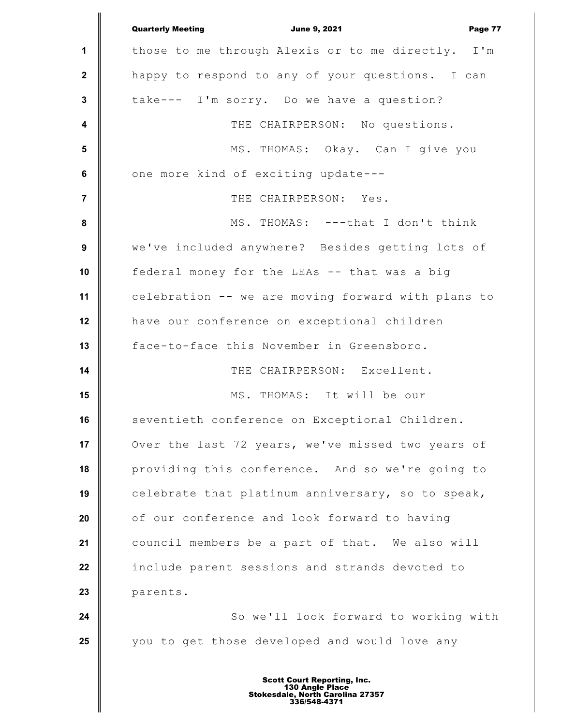|                         | <b>Quarterly Meeting</b><br><b>June 9, 2021</b><br>Page 77 |
|-------------------------|------------------------------------------------------------|
| 1                       | those to me through Alexis or to me directly. I'm          |
| $\boldsymbol{2}$        | happy to respond to any of your questions. I can           |
| $\mathbf 3$             | take--- I'm sorry. Do we have a question?                  |
| $\overline{\mathbf{4}}$ | THE CHAIRPERSON: No questions.                             |
| $\sqrt{5}$              | MS. THOMAS: Okay. Can I give you                           |
| $\bf 6$                 | one more kind of exciting update---                        |
| $\overline{7}$          | THE CHAIRPERSON: Yes.                                      |
| $\pmb{8}$               | MS. THOMAS: ---that I don't think                          |
| $\boldsymbol{9}$        | we've included anywhere? Besides getting lots of           |
| 10                      | federal money for the LEAs -- that was a big               |
| 11                      | celebration -- we are moving forward with plans to         |
| 12                      | have our conference on exceptional children                |
| 13                      | face-to-face this November in Greensboro.                  |
| 14                      | THE CHAIRPERSON: Excellent.                                |
| 15                      | MS. THOMAS: It will be our                                 |
| 16                      | seventieth conference on Exceptional Children.             |
| 17                      | Over the last 72 years, we've missed two years of          |
| 18                      | providing this conference. And so we're going to           |
| 19                      | celebrate that platinum anniversary, so to speak,          |
| 20                      | of our conference and look forward to having               |
| 21                      | council members be a part of that. We also will            |
| 22                      | include parent sessions and strands devoted to             |
| 23                      | parents.                                                   |
| 24                      | So we'll look forward to working with                      |
| 25                      | you to get those developed and would love any              |
|                         |                                                            |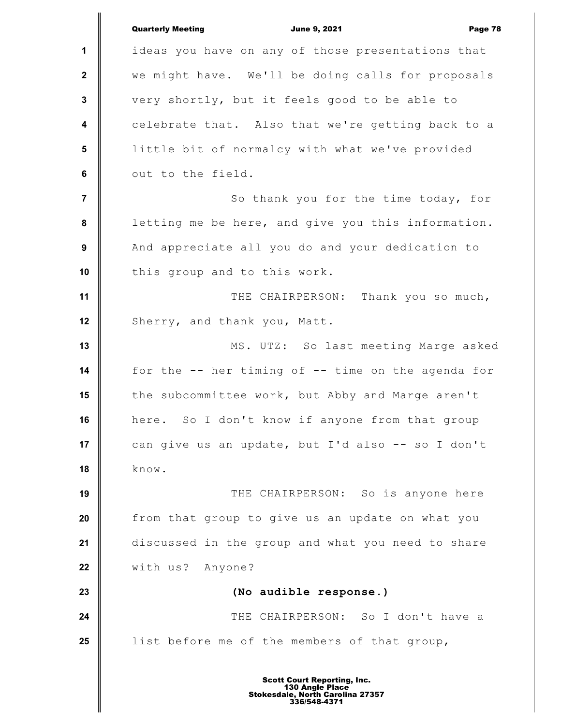**1 2 3 4 5 6 7 8 9 10 11 12 13 14 15 16 17 18 19 20 21 22 23 24 25** Quarterly Meeting **Communist Communist Communist Communist Communist Communist Communist Communist Communist Communist Communist Communist Page 78** ideas you have on any of those presentations that we might have. We'll be doing calls for proposals very shortly, but it feels good to be able to celebrate that. Also that we're getting back to a little bit of normalcy with what we've provided out to the field. So thank you for the time today, for letting me be here, and give you this information. And appreciate all you do and your dedication to this group and to this work. THE CHAIRPERSON: Thank you so much, Sherry, and thank you, Matt. MS. UTZ: So last meeting Marge asked for the -- her timing of -- time on the agenda for the subcommittee work, but Abby and Marge aren't here. So I don't know if anyone from that group can give us an update, but I'd also -- so I don't know. THE CHAIRPERSON: So is anyone here from that group to give us an update on what you discussed in the group and what you need to share with us? Anyone? **(No audible response.)** THE CHAIRPERSON: So I don't have a list before me of the members of that group,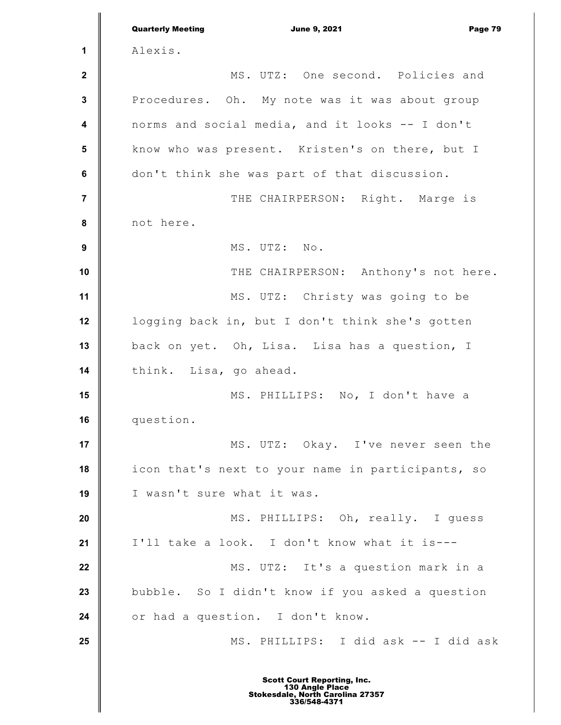|                  | <b>Quarterly Meeting</b><br><b>June 9, 2021</b><br>Page 79 |
|------------------|------------------------------------------------------------|
| 1                | Alexis.                                                    |
| $\boldsymbol{2}$ | MS. UTZ: One second. Policies and                          |
| $\mathbf 3$      | Procedures. Oh. My note was it was about group             |
| 4                | norms and social media, and it looks -- I don't            |
| 5                | know who was present. Kristen's on there, but I            |
| 6                | don't think she was part of that discussion.               |
| $\overline{7}$   | THE CHAIRPERSON: Right. Marge is                           |
| 8                | not here.                                                  |
| $\boldsymbol{9}$ | MS. UTZ: No.                                               |
| 10               | THE CHAIRPERSON: Anthony's not here.                       |
| 11               | MS. UTZ: Christy was going to be                           |
| 12               | logging back in, but I don't think she's gotten            |
| 13               | back on yet. Oh, Lisa. Lisa has a question, I              |
| 14               | think. Lisa, go ahead.                                     |
| 15               | MS. PHILLIPS: No, I don't have a                           |
| 16               | question.                                                  |
| 17               | MS. UTZ: Okay. I've never seen the                         |
| 18               | icon that's next to your name in participants, so          |
| 19               | I wasn't sure what it was.                                 |
| 20               | MS. PHILLIPS: Oh, really. I quess                          |
| 21               | I'll take a look. I don't know what it is---               |
| 22               | MS. UTZ: It's a question mark in a                         |
| 23               | bubble. So I didn't know if you asked a question           |
| 24               | or had a question. I don't know.                           |
| 25               | MS. PHILLIPS: I did ask -- I did ask                       |
|                  |                                                            |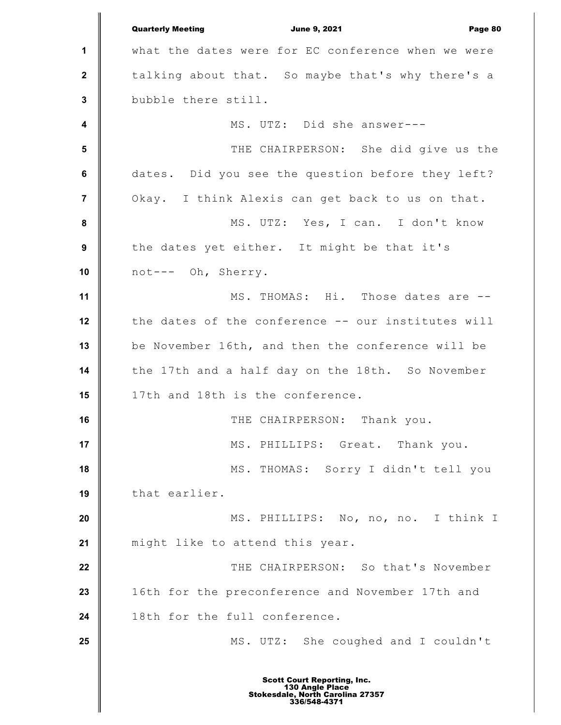**1 2 3 4 5 6 7 8 9 10 11 12 13 14 15 16 17 18 19 20 21 22 23 24 25** Quarterly Meeting **Communist Communist Communist Communist Communist Communist Communist Communist Communist Communist Communist Communist Communist Communist Communist Communist Communist Communist Communist Communist Com** what the dates were for EC conference when we were talking about that. So maybe that's why there's a bubble there still. MS. UTZ: Did she answer--- THE CHAIRPERSON: She did give us the dates. Did you see the question before they left? Okay. I think Alexis can get back to us on that. MS. UTZ: Yes, I can. I don't know the dates yet either. It might be that it's not--- Oh, Sherry. MS. THOMAS: Hi. Those dates are -the dates of the conference -- our institutes will be November 16th, and then the conference will be the 17th and a half day on the 18th. So November 17th and 18th is the conference. THE CHAIRPERSON: Thank you. MS. PHILLIPS: Great. Thank you. MS. THOMAS: Sorry I didn't tell you that earlier. MS. PHILLIPS: No, no, no. I think I might like to attend this year. THE CHAIRPERSON: So that's November 16th for the preconference and November 17th and 18th for the full conference. MS. UTZ: She coughed and I couldn't Scott Court Reporting, Inc. 130 Angle Place Stokesdale, North Carolina 27357 336/548-4371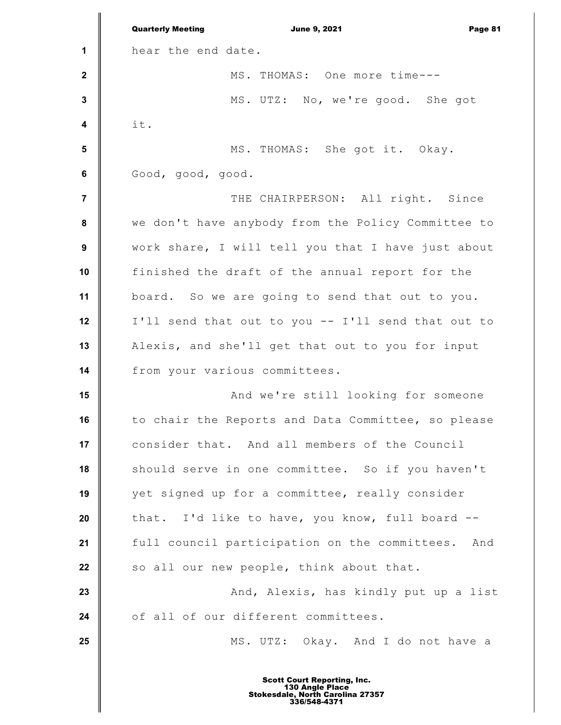**1 2 3 4 5 6 7 8 9 10 11 12 13 14 15 16 17 18 19 20 21 22 23 24 25** Quarterly Meeting **Communist Communist Communist Communist Communist Communist Communist Communist Communist Communist Communist Communist Communist Communist Communist Communist Communist Communist Communist Communist Com** hear the end date. MS. THOMAS: One more time--- MS. UTZ: No, we're good. She got it. MS. THOMAS: She got it. Okay. Good, good, good. THE CHAIRPERSON: All right. Since we don't have anybody from the Policy Committee to work share, I will tell you that I have just about finished the draft of the annual report for the board. So we are going to send that out to you. I'll send that out to you -- I'll send that out to Alexis, and she'll get that out to you for input from your various committees. And we're still looking for someone to chair the Reports and Data Committee, so please consider that. And all members of the Council should serve in one committee. So if you haven't yet signed up for a committee, really consider that. I'd like to have, you know, full board - full council participation on the committees. And so all our new people, think about that. And, Alexis, has kindly put up a list of all of our different committees. MS. UTZ: Okay. And I do not have a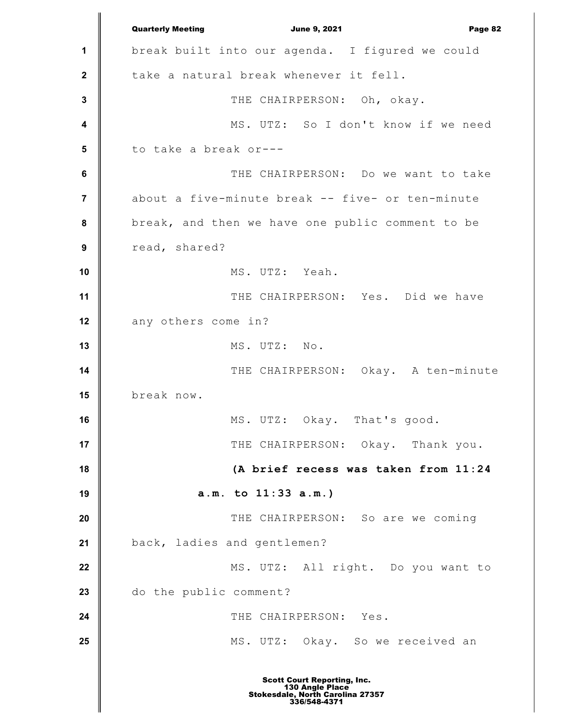**1 2 3 4 5 6 7 8 9 10 11 12 13 14 15 16 17 18 19 20 21 22 23 24 25** Quarterly Meeting **Communist Communist Communist Communist Communist Communist Communist Communist Communist Communist Communist Communist Communist Communist Communist Communist Communist Communist Communist Communist Com** break built into our agenda. I figured we could take a natural break whenever it fell. THE CHAIRPERSON: Oh, okay. MS. UTZ: So I don't know if we need to take a break or--- THE CHAIRPERSON: Do we want to take about a five-minute break -- five- or ten-minute break, and then we have one public comment to be read, shared? MS. UTZ: Yeah. THE CHAIRPERSON: Yes. Did we have any others come in? MS. UTZ: No. THE CHAIRPERSON: Okay. A ten-minute break now. MS. UTZ: Okay. That's good. THE CHAIRPERSON: Okay. Thank you. **(A brief recess was taken from 11:24 a.m. to 11:33 a.m.)** THE CHAIRPERSON: So are we coming back, ladies and gentlemen? MS. UTZ: All right. Do you want to do the public comment? THE CHAIRPERSON: Yes. MS. UTZ: Okay. So we received an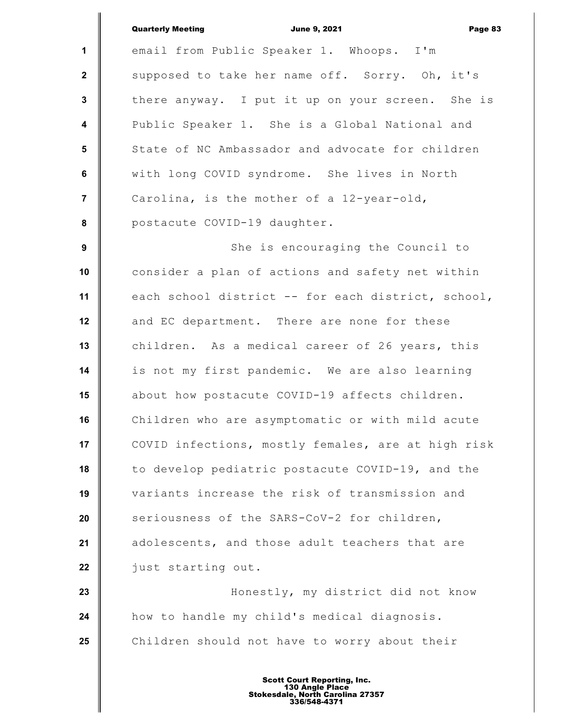**1 2 3 4 5 6 7 8 9 10 11 12 13 14 15 16 17 18 19 20 21 22 23 24 25** Quarterly Meeting **Communist Communist Communist Communist Communist Communist Communist Communist Communist Communist Communist Communist Communist Communist Communist Communist Communist Communist Communist Communist Com** email from Public Speaker 1. Whoops. I'm supposed to take her name off. Sorry. Oh, it's there anyway. I put it up on your screen. She is Public Speaker 1. She is a Global National and State of NC Ambassador and advocate for children with long COVID syndrome. She lives in North Carolina, is the mother of a 12-year-old, postacute COVID-19 daughter. She is encouraging the Council to consider a plan of actions and safety net within each school district -- for each district, school, and EC department. There are none for these children. As a medical career of 26 years, this is not my first pandemic. We are also learning about how postacute COVID-19 affects children. Children who are asymptomatic or with mild acute COVID infections, mostly females, are at high risk to develop pediatric postacute COVID-19, and the variants increase the risk of transmission and seriousness of the SARS-CoV-2 for children, adolescents, and those adult teachers that are just starting out. Honestly, my district did not know how to handle my child's medical diagnosis. Children should not have to worry about their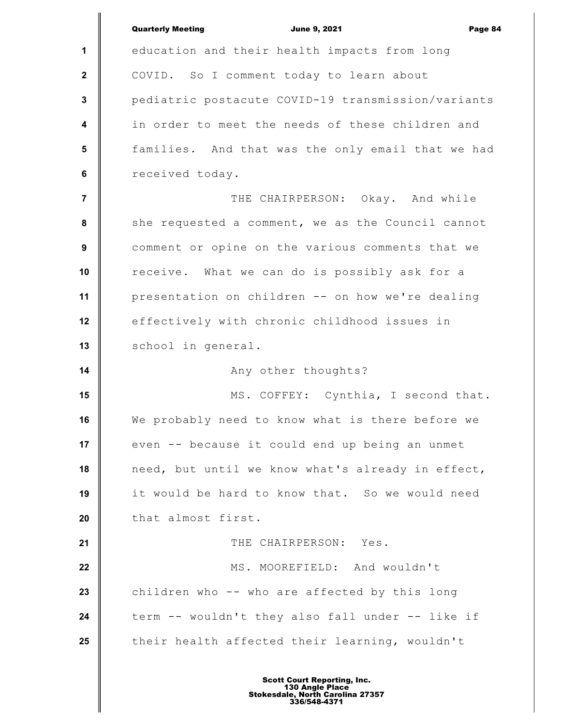|                         | <b>Quarterly Meeting</b><br><b>June 9, 2021</b><br>Page 84 |
|-------------------------|------------------------------------------------------------|
| $\mathbf{1}$            | education and their health impacts from long               |
| $\mathbf{2}$            | COVID. So I comment today to learn about                   |
| 3                       | pediatric postacute COVID-19 transmission/variants         |
| $\overline{\mathbf{4}}$ | in order to meet the needs of these children and           |
| 5                       | families. And that was the only email that we had          |
| 6                       | received today.                                            |
| $\overline{7}$          | THE CHAIRPERSON: Okay. And while                           |
| 8                       | she requested a comment, we as the Council cannot          |
| 9                       | comment or opine on the various comments that we           |
| 10                      | receive. What we can do is possibly ask for a              |
| 11                      | presentation on children -- on how we're dealing           |
| 12                      | effectively with chronic childhood issues in               |
| 13                      | school in general.                                         |
| 14                      | Any other thoughts?                                        |
| 15                      | MS. COFFEY: Cynthia, I second that.                        |
| 16                      | We probably need to know what is there before we           |
| 17                      | even -- because it could end up being an unmet             |
| 18                      | need, but until we know what's already in effect,          |
| 19                      | it would be hard to know that. So we would need            |
| 20                      | that almost first.                                         |
| 21                      | THE CHAIRPERSON: Yes.                                      |
| 22                      | MS. MOOREFIELD: And wouldn't                               |
| 23                      | children who -- who are affected by this long              |
| 24                      | term -- wouldn't they also fall under -- like if           |
| 25                      | their health affected their learning, wouldn't             |
|                         |                                                            |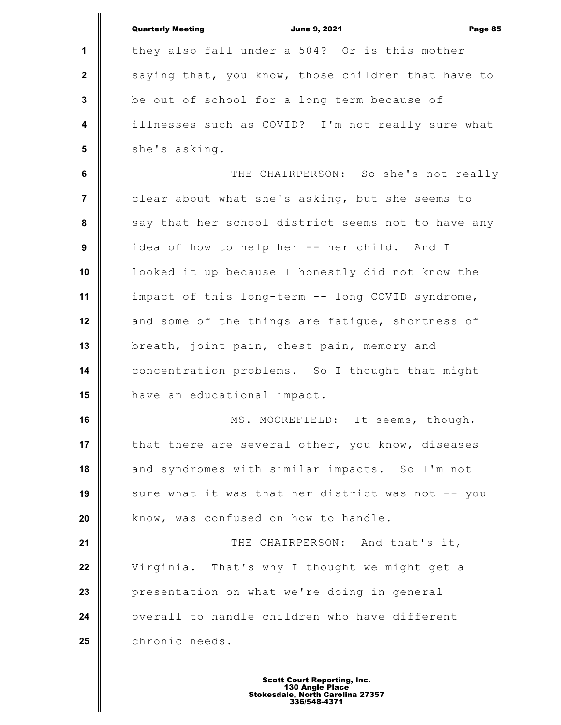|                  | <b>Quarterly Meeting</b><br><b>June 9, 2021</b><br>Page 85 |
|------------------|------------------------------------------------------------|
| 1                | they also fall under a 504? Or is this mother              |
| $\mathbf{2}$     | saying that, you know, those children that have to         |
| $\mathbf{3}$     | be out of school for a long term because of                |
| $\boldsymbol{4}$ | illnesses such as COVID? I'm not really sure what          |
| $5\phantom{1}$   | she's asking.                                              |
| 6                | THE CHAIRPERSON: So she's not really                       |
| $\overline{7}$   | clear about what she's asking, but she seems to            |
| 8                | say that her school district seems not to have any         |
| 9                | idea of how to help her -- her child. And I                |
| 10               | looked it up because I honestly did not know the           |
| 11               | impact of this long-term -- long COVID syndrome,           |
| 12               | and some of the things are fatigue, shortness of           |
| 13               | breath, joint pain, chest pain, memory and                 |
| 14               | concentration problems. So I thought that might            |
| 15               | have an educational impact.                                |
| 16               | MS. MOOREFIELD: It seems, though,                          |
| 17               | that there are several other, you know, diseases           |
| 18               | and syndromes with similar impacts. So I'm not             |
| 19               | sure what it was that her district was not -- you          |
| 20               | know, was confused on how to handle.                       |
| 21               | THE CHAIRPERSON: And that's it,                            |
| 22               | Virginia. That's why I thought we might get a              |
| 23               | presentation on what we're doing in general                |
| 24               | overall to handle children who have different              |
| 25               | chronic needs.                                             |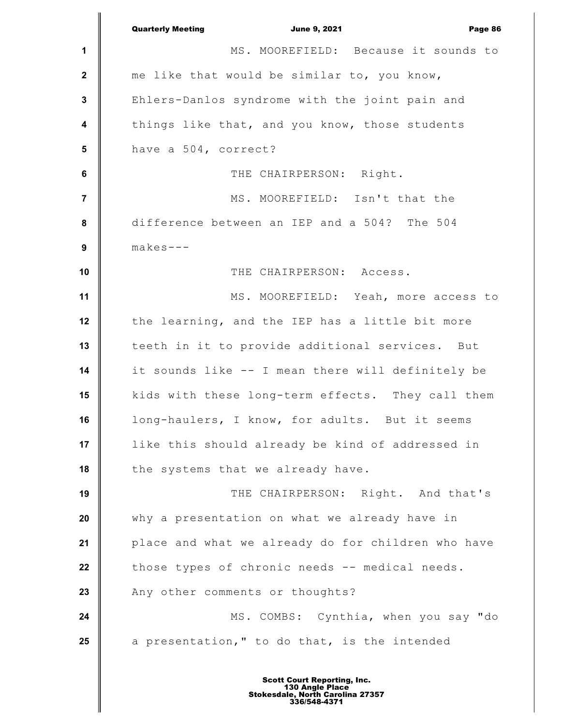|                  | <b>Quarterly Meeting</b><br><b>June 9, 2021</b><br>Page 86 |
|------------------|------------------------------------------------------------|
| 1                | MS. MOOREFIELD: Because it sounds to                       |
| $\boldsymbol{2}$ | me like that would be similar to, you know,                |
| $\mathbf 3$      | Ehlers-Danlos syndrome with the joint pain and             |
| 4                | things like that, and you know, those students             |
| 5                | have a 504, correct?                                       |
| $\bf 6$          | THE CHAIRPERSON: Right.                                    |
| $\overline{7}$   | MS. MOOREFIELD: Isn't that the                             |
| 8                | difference between an IEP and a 504? The 504               |
| $\boldsymbol{9}$ | $makes---$                                                 |
| 10               | THE CHAIRPERSON: Access.                                   |
| 11               | MS. MOOREFIELD: Yeah, more access to                       |
| 12               | the learning, and the IEP has a little bit more            |
| 13               | teeth in it to provide additional services. But            |
| 14               | it sounds like -- I mean there will definitely be          |
| 15               | kids with these long-term effects. They call them          |
| 16               | long-haulers, I know, for adults. But it seems             |
| 17               | like this should already be kind of addressed in           |
| 18               | the systems that we already have.                          |
| 19               | THE CHAIRPERSON: Right. And that's                         |
| 20               | why a presentation on what we already have in              |
| 21               | place and what we already do for children who have         |
| 22               | those types of chronic needs -- medical needs.             |
| 23               | Any other comments or thoughts?                            |
| 24               | MS. COMBS: Cynthia, when you say "do                       |
| 25               | a presentation," to do that, is the intended               |
|                  |                                                            |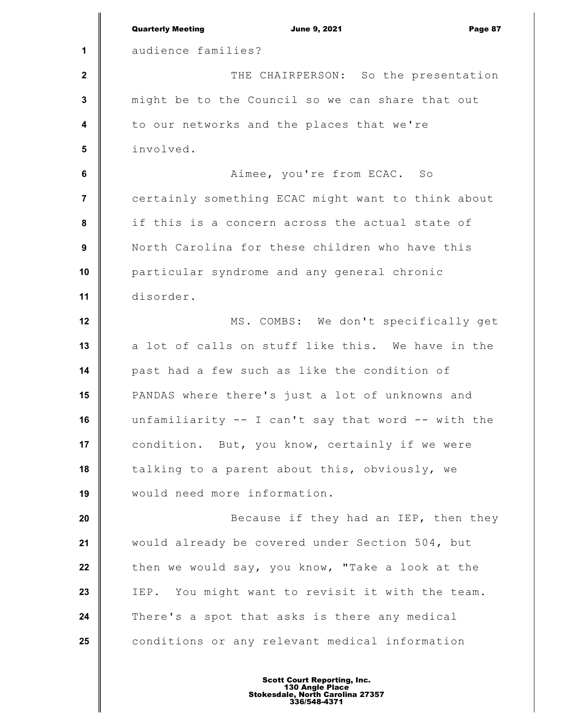|                | <b>Quarterly Meeting</b><br><b>June 9, 2021</b><br>Page 87 |
|----------------|------------------------------------------------------------|
| 1              | audience families?                                         |
| $\mathbf{2}$   | THE CHAIRPERSON: So the presentation                       |
| $\mathbf 3$    | might be to the Council so we can share that out           |
| 4              | to our networks and the places that we're                  |
| 5              | involved.                                                  |
| $\bf 6$        | Aimee, you're from ECAC. So                                |
| $\overline{7}$ | certainly something ECAC might want to think about         |
| 8              | if this is a concern across the actual state of            |
| 9              | North Carolina for these children who have this            |
| 10             | particular syndrome and any general chronic                |
| 11             | disorder.                                                  |
| 12             | MS. COMBS: We don't specifically get                       |
| 13             | a lot of calls on stuff like this. We have in the          |
| 14             | past had a few such as like the condition of               |
| 15             | PANDAS where there's just a lot of unknowns and            |
| 16             | unfamiliarity $-$ I can't say that word $-$ with the       |
| 17             | condition. But, you know, certainly if we were             |
| 18             | talking to a parent about this, obviously, we              |
| 19             | would need more information.                               |
| 20             | Because if they had an IEP, then they                      |
| 21             | would already be covered under Section 504, but            |
| 22             | then we would say, you know, "Take a look at the           |
| 23             | IEP. You might want to revisit it with the team.           |
| 24             | There's a spot that asks is there any medical              |
| 25             | conditions or any relevant medical information             |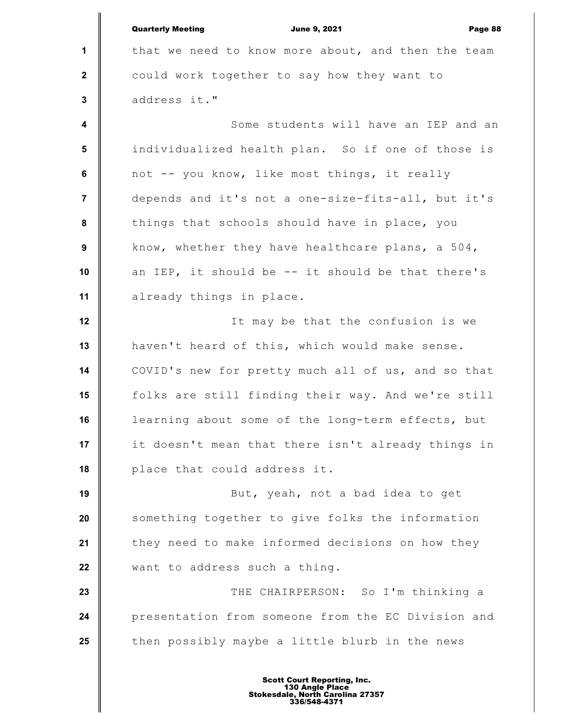**1 2 3 4 5 6 7 8 9 10 11 12 13 14 15 16 17 18 19 20 21 22 23 24 25** Quarterly Meeting June 9, 2021 Page 88 that we need to know more about, and then the team could work together to say how they want to address it." Some students will have an IEP and an individualized health plan. So if one of those is not -- you know, like most things, it really depends and it's not a one-size-fits-all, but it's things that schools should have in place, you know, whether they have healthcare plans, a 504, an IEP, it should be -- it should be that there's already things in place. It may be that the confusion is we haven't heard of this, which would make sense. COVID's new for pretty much all of us, and so that folks are still finding their way. And we're still learning about some of the long-term effects, but it doesn't mean that there isn't already things in place that could address it. But, yeah, not a bad idea to get something together to give folks the information they need to make informed decisions on how they want to address such a thing. THE CHAIRPERSON: So I'm thinking a presentation from someone from the EC Division and then possibly maybe a little blurb in the news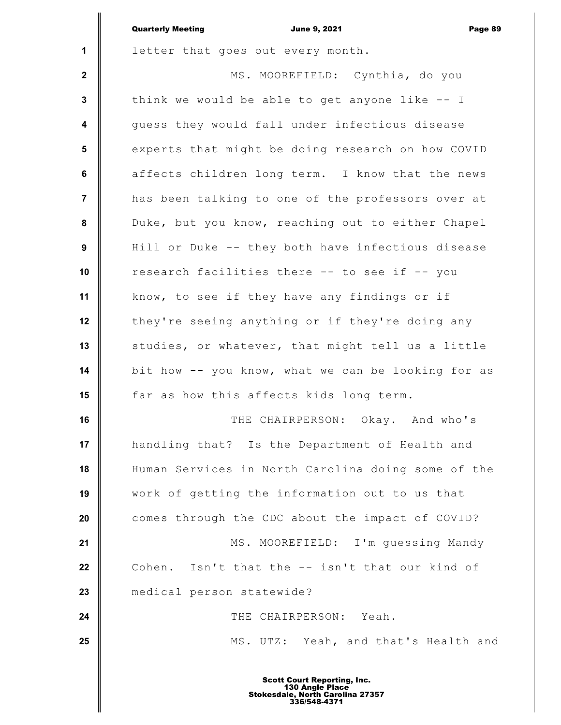|                         | <b>Quarterly Meeting</b><br><b>June 9, 2021</b><br>Page 89 |
|-------------------------|------------------------------------------------------------|
| 1                       | letter that goes out every month.                          |
| $\mathbf{2}$            | MS. MOOREFIELD: Cynthia, do you                            |
| $\mathbf 3$             | think we would be able to get anyone like $-$ I            |
| $\overline{\mathbf{4}}$ | quess they would fall under infectious disease             |
| 5                       | experts that might be doing research on how COVID          |
| $\bf 6$                 | affects children long term. I know that the news           |
| $\overline{7}$          | has been talking to one of the professors over at          |
| 8                       | Duke, but you know, reaching out to either Chapel          |
| 9                       | Hill or Duke -- they both have infectious disease          |
| 10                      | research facilities there -- to see if -- you              |
| 11                      | know, to see if they have any findings or if               |
| 12                      | they're seeing anything or if they're doing any            |
| 13                      | studies, or whatever, that might tell us a little          |
| 14                      | bit how -- you know, what we can be looking for as         |
| 15                      | far as how this affects kids long term.                    |
| 16                      | THE CHAIRPERSON: Okay. And who's                           |
| 17                      | handling that? Is the Department of Health and             |
| 18                      | Human Services in North Carolina doing some of the         |
| 19                      | work of getting the information out to us that             |
| 20                      | comes through the CDC about the impact of COVID?           |
| 21                      | MS. MOOREFIELD: I'm quessing Mandy                         |
| 22                      | Cohen. Isn't that the -- isn't that our kind of            |
| 23                      | medical person statewide?                                  |
| 24                      | THE CHAIRPERSON: Yeah.                                     |
| 25                      | MS. UTZ: Yeah, and that's Health and                       |
|                         |                                                            |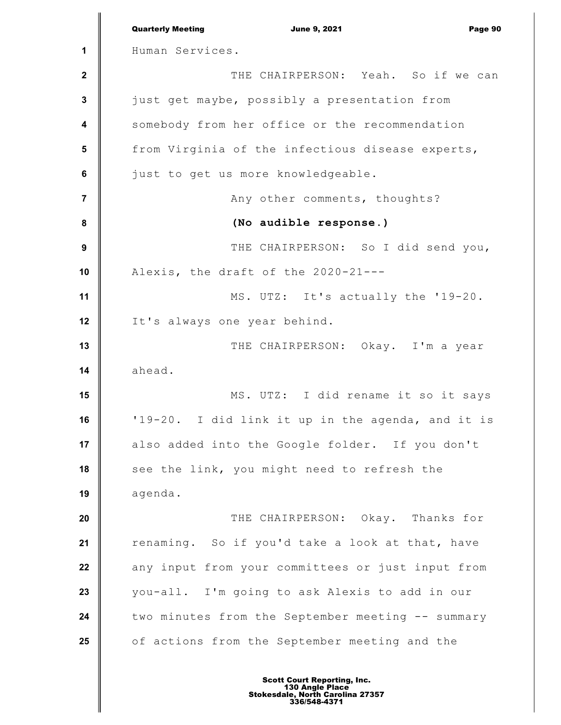|                         | <b>Quarterly Meeting</b><br><b>June 9, 2021</b><br>Page 90 |
|-------------------------|------------------------------------------------------------|
| 1                       | Human Services.                                            |
| $\boldsymbol{2}$        | THE CHAIRPERSON: Yeah. So if we can                        |
| $\mathbf 3$             | just get maybe, possibly a presentation from               |
| $\overline{\mathbf{4}}$ | somebody from her office or the recommendation             |
| 5                       | from Virginia of the infectious disease experts,           |
| $\bf 6$                 | just to get us more knowledgeable.                         |
| $\overline{7}$          | Any other comments, thoughts?                              |
| $\pmb{8}$               | (No audible response.)                                     |
| $\boldsymbol{9}$        | THE CHAIRPERSON: So I did send you,                        |
| 10                      | Alexis, the draft of the 2020-21---                        |
| 11                      | MS. UTZ: It's actually the '19-20.                         |
| 12                      | It's always one year behind.                               |
| 13                      | THE CHAIRPERSON: Okay. I'm a year                          |
| 14                      | ahead.                                                     |
| 15                      | MS. UTZ: I did rename it so it says                        |
| 16                      | '19-20. I did link it up in the agenda, and it is          |
| 17                      | also added into the Google folder. If you don't            |
| 18                      | see the link, you might need to refresh the                |
| 19                      | agenda.                                                    |
| 20                      | THE CHAIRPERSON: Okay. Thanks for                          |
| 21                      | renaming. So if you'd take a look at that, have            |
| 22                      | any input from your committees or just input from          |
| 23                      | you-all. I'm going to ask Alexis to add in our             |
| 24                      | two minutes from the September meeting -- summary          |
| 25                      | of actions from the September meeting and the              |
|                         |                                                            |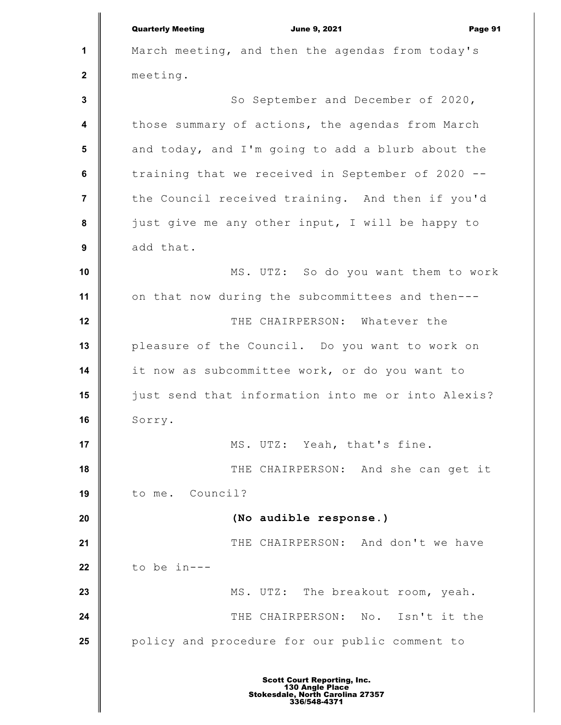**1 2 3 4 5 6 7 8 9 10 11 12 13 14 15 16 17 18 19 20 21 22 23 24 25** Quarterly Meeting **Communist Communist Communist Communist Communist Communist Communist Communist Communist Communist Communist Communist Page 91** March meeting, and then the agendas from today's meeting. So September and December of 2020, those summary of actions, the agendas from March and today, and I'm going to add a blurb about the training that we received in September of 2020 - the Council received training. And then if you'd just give me any other input, I will be happy to add that. MS. UTZ: So do you want them to work on that now during the subcommittees and then--- THE CHAIRPERSON: Whatever the pleasure of the Council. Do you want to work on it now as subcommittee work, or do you want to just send that information into me or into Alexis? Sorry. MS. UTZ: Yeah, that's fine. THE CHAIRPERSON: And she can get it to me. Council? **(No audible response.)** THE CHAIRPERSON: And don't we have to be in--- MS. UTZ: The breakout room, yeah. THE CHAIRPERSON: No. Isn't it the policy and procedure for our public comment to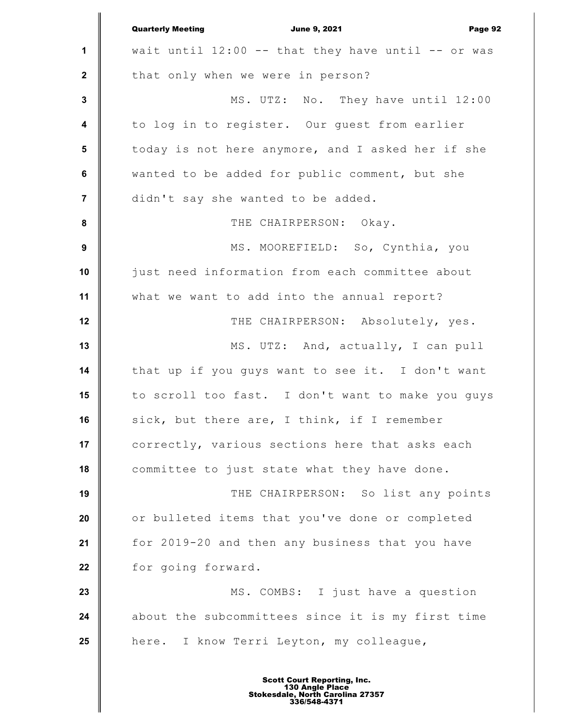|                         | <b>Quarterly Meeting</b><br><b>June 9, 2021</b><br>Page 92 |
|-------------------------|------------------------------------------------------------|
| 1                       | wait until $12:00$ -- that they have until -- or was       |
| $\mathbf{2}$            | that only when we were in person?                          |
| $\mathbf{3}$            | MS. UTZ: No. They have until 12:00                         |
| $\overline{\mathbf{4}}$ | to log in to register. Our guest from earlier              |
| 5                       | today is not here anymore, and I asked her if she          |
| $\bf 6$                 | wanted to be added for public comment, but she             |
| $\overline{7}$          | didn't say she wanted to be added.                         |
| ${\bf 8}$               | THE CHAIRPERSON: Okay.                                     |
| $\boldsymbol{9}$        | MS. MOOREFIELD: So, Cynthia, you                           |
| 10                      | just need information from each committee about            |
| 11                      | what we want to add into the annual report?                |
| 12                      | THE CHAIRPERSON: Absolutely, yes.                          |
| 13                      | MS. UTZ: And, actually, I can pull                         |
| 14                      | that up if you guys want to see it. I don't want           |
| 15                      | to scroll too fast. I don't want to make you guys          |
| 16                      | sick, but there are, I think, if I remember                |
| 17                      | correctly, various sections here that asks each            |
| 18                      | committee to just state what they have done.               |
| 19                      | THE CHAIRPERSON: So list any points                        |
| 20                      | or bulleted items that you've done or completed            |
| 21                      | for 2019-20 and then any business that you have            |
| 22                      | for going forward.                                         |
| 23                      | MS. COMBS: I just have a question                          |
| 24                      | about the subcommittees since it is my first time          |
| 25                      | here. I know Terri Leyton, my colleague,                   |
|                         |                                                            |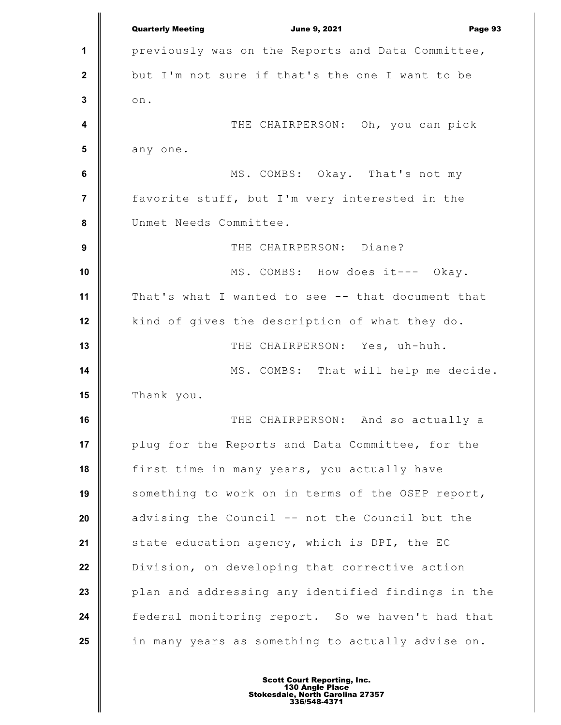**1 2 3 4 5 6 7 8 9 10 11 12 13 14 15 16 17 18 19 20 21 22 23 24 25** Quarterly Meeting **Communist Communist Communist Communist Communist Communist Communist Communist Communist Communist Communist Communist Page 93** previously was on the Reports and Data Committee, but I'm not sure if that's the one I want to be on. THE CHAIRPERSON: Oh, you can pick any one. MS. COMBS: Okay. That's not my favorite stuff, but I'm very interested in the Unmet Needs Committee. THE CHAIRPERSON: Diane? MS. COMBS: How does it--- Okay. That's what I wanted to see -- that document that kind of gives the description of what they do. THE CHAIRPERSON: Yes, uh-huh. MS. COMBS: That will help me decide. Thank you. THE CHAIRPERSON: And so actually a plug for the Reports and Data Committee, for the first time in many years, you actually have something to work on in terms of the OSEP report, advising the Council -- not the Council but the state education agency, which is DPI, the EC Division, on developing that corrective action plan and addressing any identified findings in the federal monitoring report. So we haven't had that in many years as something to actually advise on.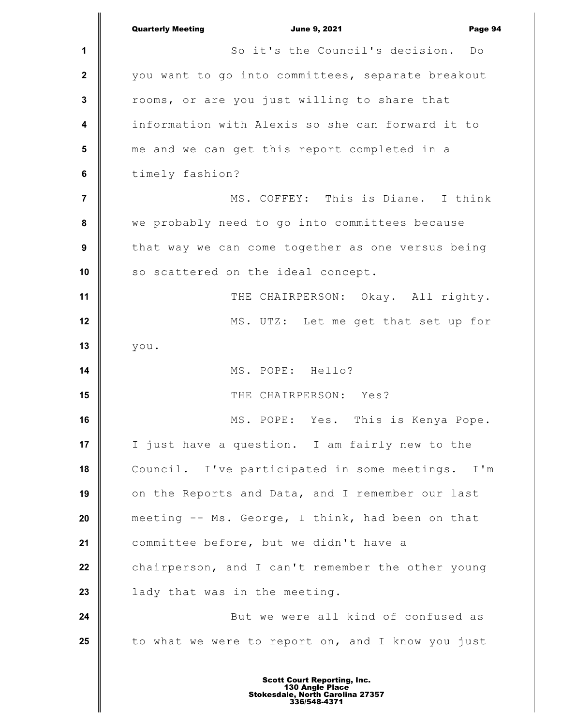|                         | <b>Quarterly Meeting</b><br><b>June 9, 2021</b><br>Page 94 |
|-------------------------|------------------------------------------------------------|
| 1                       | So it's the Council's decision.<br>Do                      |
| $\mathbf 2$             | you want to go into committees, separate breakout          |
| $\mathbf{3}$            | rooms, or are you just willing to share that               |
| $\overline{\mathbf{4}}$ | information with Alexis so she can forward it to           |
| 5                       | me and we can get this report completed in a               |
| $\bf 6$                 | timely fashion?                                            |
| $\overline{7}$          | MS. COFFEY: This is Diane. I think                         |
| 8                       | we probably need to go into committees because             |
| $\boldsymbol{9}$        | that way we can come together as one versus being          |
| 10                      | so scattered on the ideal concept.                         |
| 11                      | THE CHAIRPERSON: Okay. All righty.                         |
| 12                      | MS. UTZ: Let me get that set up for                        |
| 13                      | you.                                                       |
| 14                      | MS. POPE: Hello?                                           |
| 15                      | THE CHAIRPERSON: Yes?                                      |
| 16                      | MS. POPE: Yes. This is Kenya Pope.                         |
| 17                      | I just have a question. I am fairly new to the             |
| 18                      | Council. I've participated in some meetings. I'm           |
| 19                      | on the Reports and Data, and I remember our last           |
| 20                      | meeting -- Ms. George, I think, had been on that           |
| 21                      | committee before, but we didn't have a                     |
| 22                      | chairperson, and I can't remember the other young          |
| 23                      | lady that was in the meeting.                              |
| 24                      | But we were all kind of confused as                        |
| 25                      | to what we were to report on, and I know you just          |
|                         |                                                            |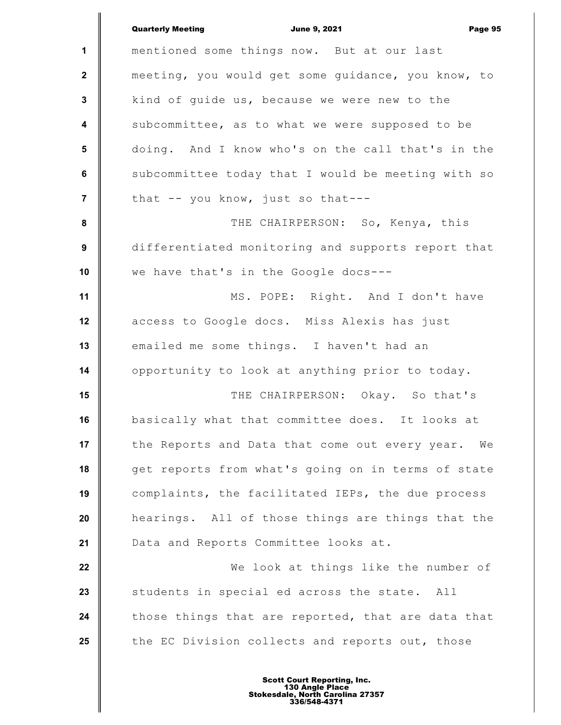|                         | <b>Quarterly Meeting</b><br><b>June 9, 2021</b><br>Page 95 |
|-------------------------|------------------------------------------------------------|
| $\mathbf{1}$            | mentioned some things now. But at our last                 |
| $\mathbf 2$             | meeting, you would get some guidance, you know, to         |
| 3                       | kind of quide us, because we were new to the               |
| $\overline{\mathbf{4}}$ | subcommittee, as to what we were supposed to be            |
| 5                       | doing. And I know who's on the call that's in the          |
| 6                       | subcommittee today that I would be meeting with so         |
| $\overline{7}$          | that -- you know, just so that---                          |
| 8                       | THE CHAIRPERSON: So, Kenya, this                           |
| 9                       | differentiated monitoring and supports report that         |
| 10                      | we have that's in the Google docs---                       |
| 11                      | MS. POPE: Right. And I don't have                          |
| 12                      | access to Google docs. Miss Alexis has just                |
| 13                      | emailed me some things. I haven't had an                   |
| 14                      | opportunity to look at anything prior to today.            |
| 15                      | THE CHAIRPERSON: Okay. So that's                           |
| 16                      | basically what that committee does. It looks at            |
| 17                      | the Reports and Data that come out every year.<br>We       |
| 18                      | get reports from what's going on in terms of state         |
| 19                      | complaints, the facilitated IEPs, the due process          |
| 20                      | hearings. All of those things are things that the          |
| 21                      | Data and Reports Committee looks at.                       |
| 22                      | We look at things like the number of                       |
| 23                      | students in special ed across the state. All               |
| 24                      | those things that are reported, that are data that         |
| 25                      | the EC Division collects and reports out, those            |
|                         |                                                            |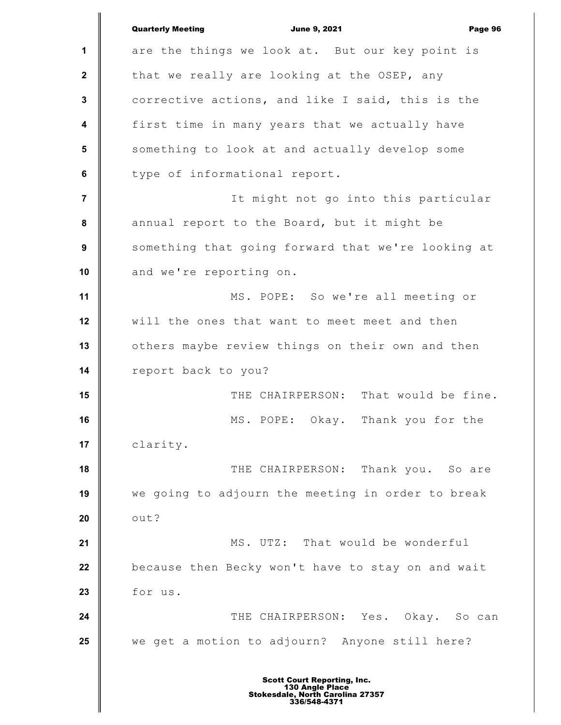**1 2 3 4 5 6 7 8 9 10 11 12 13 14 15 16 17 18 19 20 21 22 23 24 25** Quarterly Meeting **Communist Communist Communist Communist Communist Communist Communist Communist Communist Communist Communist Communist Page 96** are the things we look at. But our key point is that we really are looking at the OSEP, any corrective actions, and like I said, this is the first time in many years that we actually have something to look at and actually develop some type of informational report. It might not go into this particular annual report to the Board, but it might be something that going forward that we're looking at and we're reporting on. MS. POPE: So we're all meeting or will the ones that want to meet meet and then others maybe review things on their own and then report back to you? THE CHAIRPERSON: That would be fine. MS. POPE: Okay. Thank you for the clarity. THE CHAIRPERSON: Thank you. So are we going to adjourn the meeting in order to break out? MS. UTZ: That would be wonderful because then Becky won't have to stay on and wait for us. THE CHAIRPERSON: Yes. Okay. So can we get a motion to adjourn? Anyone still here?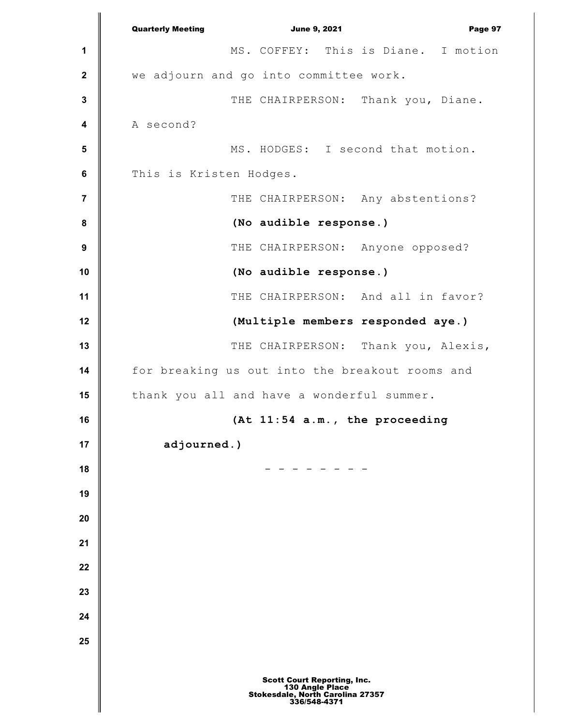**1 2 3 4 5 6 7 8 9 10 11 12 13 14 15 16 17 18 19 20 21 22 23 24 25** Quarterly Meeting **Communist Communist Communist Communist Communist Communist Communist Communist Communist Communist Communist Communist Page 97** MS. COFFEY: This is Diane. I motion we adjourn and go into committee work. THE CHAIRPERSON: Thank you, Diane. A second? MS. HODGES: I second that motion. This is Kristen Hodges. THE CHAIRPERSON: Any abstentions? **(No audible response.)** THE CHAIRPERSON: Anyone opposed? **(No audible response.)** THE CHAIRPERSON: And all in favor? **(Multiple members responded aye.)** THE CHAIRPERSON: Thank you, Alexis, for breaking us out into the breakout rooms and thank you all and have a wonderful summer. **(At 11:54 a.m., the proceeding adjourned.)** - - - - - - - - Scott Court Reporting, Inc. 130 Angle Place Stokesdale, North Carolina 27357 336/548-4371